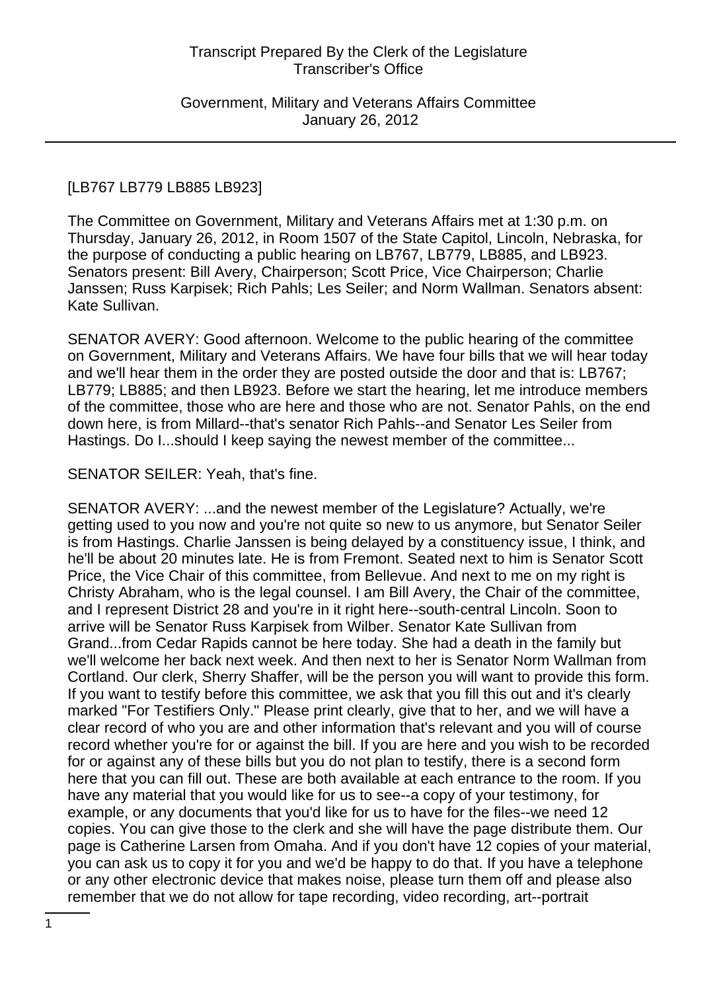Government, Military and Veterans Affairs Committee January 26, 2012

#### [LB767 LB779 LB885 LB923]

The Committee on Government, Military and Veterans Affairs met at 1:30 p.m. on Thursday, January 26, 2012, in Room 1507 of the State Capitol, Lincoln, Nebraska, for the purpose of conducting a public hearing on LB767, LB779, LB885, and LB923. Senators present: Bill Avery, Chairperson; Scott Price, Vice Chairperson; Charlie Janssen; Russ Karpisek; Rich Pahls; Les Seiler; and Norm Wallman. Senators absent: Kate Sullivan.

SENATOR AVERY: Good afternoon. Welcome to the public hearing of the committee on Government, Military and Veterans Affairs. We have four bills that we will hear today and we'll hear them in the order they are posted outside the door and that is: LB767; LB779; LB885; and then LB923. Before we start the hearing, let me introduce members of the committee, those who are here and those who are not. Senator Pahls, on the end down here, is from Millard--that's senator Rich Pahls--and Senator Les Seiler from Hastings. Do I...should I keep saying the newest member of the committee...

#### SENATOR SEILER: Yeah, that's fine.

SENATOR AVERY: ...and the newest member of the Legislature? Actually, we're getting used to you now and you're not quite so new to us anymore, but Senator Seiler is from Hastings. Charlie Janssen is being delayed by a constituency issue, I think, and he'll be about 20 minutes late. He is from Fremont. Seated next to him is Senator Scott Price, the Vice Chair of this committee, from Bellevue. And next to me on my right is Christy Abraham, who is the legal counsel. I am Bill Avery, the Chair of the committee, and I represent District 28 and you're in it right here--south-central Lincoln. Soon to arrive will be Senator Russ Karpisek from Wilber. Senator Kate Sullivan from Grand...from Cedar Rapids cannot be here today. She had a death in the family but we'll welcome her back next week. And then next to her is Senator Norm Wallman from Cortland. Our clerk, Sherry Shaffer, will be the person you will want to provide this form. If you want to testify before this committee, we ask that you fill this out and it's clearly marked "For Testifiers Only." Please print clearly, give that to her, and we will have a clear record of who you are and other information that's relevant and you will of course record whether you're for or against the bill. If you are here and you wish to be recorded for or against any of these bills but you do not plan to testify, there is a second form here that you can fill out. These are both available at each entrance to the room. If you have any material that you would like for us to see--a copy of your testimony, for example, or any documents that you'd like for us to have for the files--we need 12 copies. You can give those to the clerk and she will have the page distribute them. Our page is Catherine Larsen from Omaha. And if you don't have 12 copies of your material, you can ask us to copy it for you and we'd be happy to do that. If you have a telephone or any other electronic device that makes noise, please turn them off and please also remember that we do not allow for tape recording, video recording, art--portrait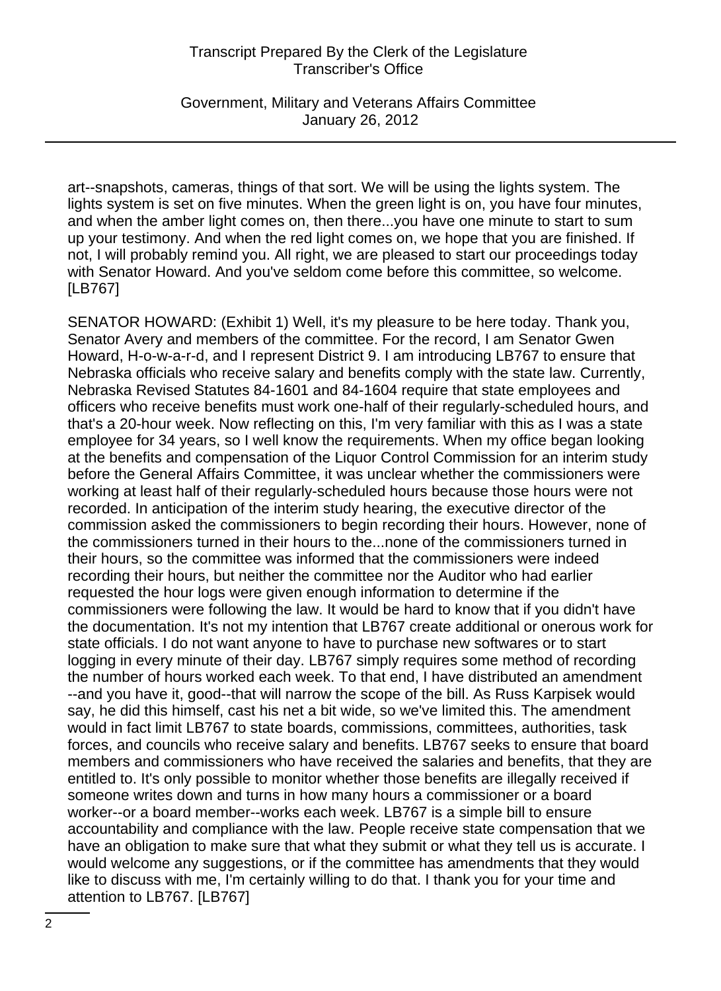Government, Military and Veterans Affairs Committee January 26, 2012

art--snapshots, cameras, things of that sort. We will be using the lights system. The lights system is set on five minutes. When the green light is on, you have four minutes, and when the amber light comes on, then there...you have one minute to start to sum up your testimony. And when the red light comes on, we hope that you are finished. If not, I will probably remind you. All right, we are pleased to start our proceedings today with Senator Howard. And you've seldom come before this committee, so welcome. [LB767]

SENATOR HOWARD: (Exhibit 1) Well, it's my pleasure to be here today. Thank you, Senator Avery and members of the committee. For the record, I am Senator Gwen Howard, H-o-w-a-r-d, and I represent District 9. I am introducing LB767 to ensure that Nebraska officials who receive salary and benefits comply with the state law. Currently, Nebraska Revised Statutes 84-1601 and 84-1604 require that state employees and officers who receive benefits must work one-half of their regularly-scheduled hours, and that's a 20-hour week. Now reflecting on this, I'm very familiar with this as I was a state employee for 34 years, so I well know the requirements. When my office began looking at the benefits and compensation of the Liquor Control Commission for an interim study before the General Affairs Committee, it was unclear whether the commissioners were working at least half of their regularly-scheduled hours because those hours were not recorded. In anticipation of the interim study hearing, the executive director of the commission asked the commissioners to begin recording their hours. However, none of the commissioners turned in their hours to the...none of the commissioners turned in their hours, so the committee was informed that the commissioners were indeed recording their hours, but neither the committee nor the Auditor who had earlier requested the hour logs were given enough information to determine if the commissioners were following the law. It would be hard to know that if you didn't have the documentation. It's not my intention that LB767 create additional or onerous work for state officials. I do not want anyone to have to purchase new softwares or to start logging in every minute of their day. LB767 simply requires some method of recording the number of hours worked each week. To that end, I have distributed an amendment --and you have it, good--that will narrow the scope of the bill. As Russ Karpisek would say, he did this himself, cast his net a bit wide, so we've limited this. The amendment would in fact limit LB767 to state boards, commissions, committees, authorities, task forces, and councils who receive salary and benefits. LB767 seeks to ensure that board members and commissioners who have received the salaries and benefits, that they are entitled to. It's only possible to monitor whether those benefits are illegally received if someone writes down and turns in how many hours a commissioner or a board worker--or a board member--works each week. LB767 is a simple bill to ensure accountability and compliance with the law. People receive state compensation that we have an obligation to make sure that what they submit or what they tell us is accurate. I would welcome any suggestions, or if the committee has amendments that they would like to discuss with me, I'm certainly willing to do that. I thank you for your time and attention to LB767. [LB767]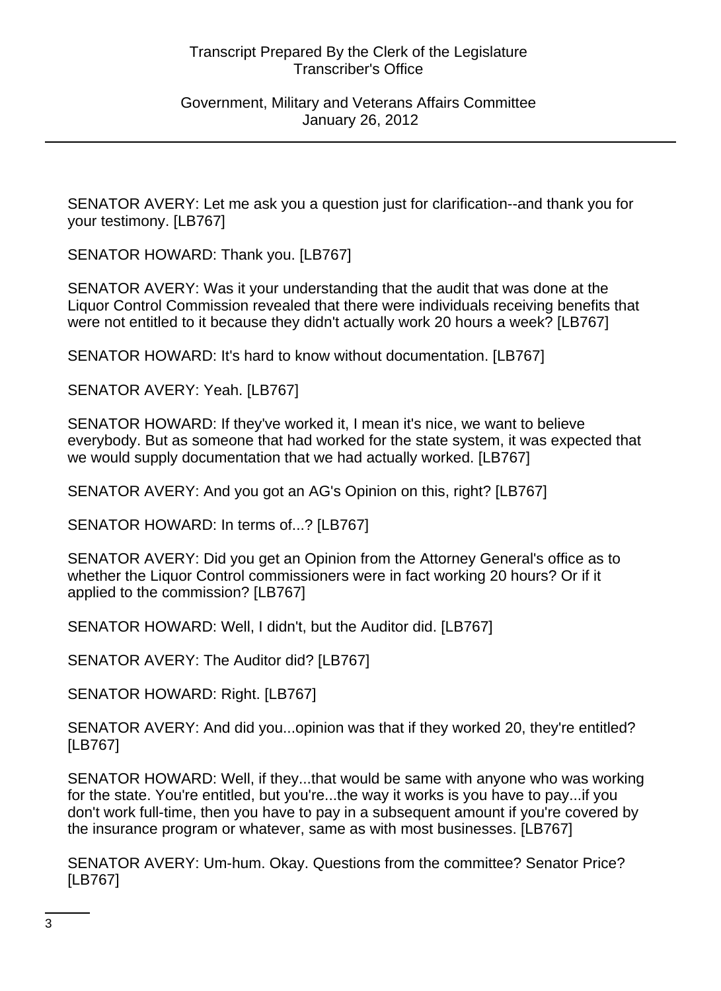SENATOR AVERY: Let me ask you a question just for clarification--and thank you for your testimony. [LB767]

SENATOR HOWARD: Thank you. [LB767]

SENATOR AVERY: Was it your understanding that the audit that was done at the Liquor Control Commission revealed that there were individuals receiving benefits that were not entitled to it because they didn't actually work 20 hours a week? [LB767]

SENATOR HOWARD: It's hard to know without documentation. [LB767]

SENATOR AVERY: Yeah. [LB767]

SENATOR HOWARD: If they've worked it, I mean it's nice, we want to believe everybody. But as someone that had worked for the state system, it was expected that we would supply documentation that we had actually worked. [LB767]

SENATOR AVERY: And you got an AG's Opinion on this, right? [LB767]

SENATOR HOWARD: In terms of...? [LB767]

SENATOR AVERY: Did you get an Opinion from the Attorney General's office as to whether the Liquor Control commissioners were in fact working 20 hours? Or if it applied to the commission? [LB767]

SENATOR HOWARD: Well, I didn't, but the Auditor did. [LB767]

SENATOR AVERY: The Auditor did? [LB767]

SENATOR HOWARD: Right. [LB767]

SENATOR AVERY: And did you...opinion was that if they worked 20, they're entitled? [LB767]

SENATOR HOWARD: Well, if they...that would be same with anyone who was working for the state. You're entitled, but you're...the way it works is you have to pay...if you don't work full-time, then you have to pay in a subsequent amount if you're covered by the insurance program or whatever, same as with most businesses. [LB767]

SENATOR AVERY: Um-hum. Okay. Questions from the committee? Senator Price? [LB767]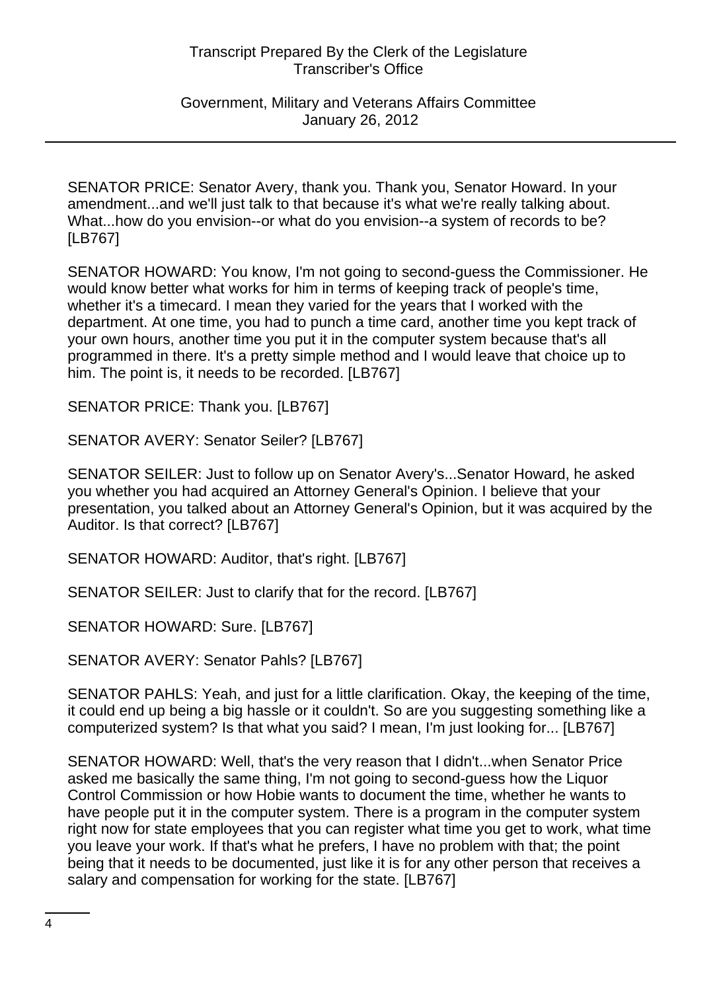Government, Military and Veterans Affairs Committee January 26, 2012

SENATOR PRICE: Senator Avery, thank you. Thank you, Senator Howard. In your amendment...and we'll just talk to that because it's what we're really talking about. What...how do you envision--or what do you envision--a system of records to be? [LB767]

SENATOR HOWARD: You know, I'm not going to second-guess the Commissioner. He would know better what works for him in terms of keeping track of people's time, whether it's a timecard. I mean they varied for the years that I worked with the department. At one time, you had to punch a time card, another time you kept track of your own hours, another time you put it in the computer system because that's all programmed in there. It's a pretty simple method and I would leave that choice up to him. The point is, it needs to be recorded. [LB767]

SENATOR PRICE: Thank you. [LB767]

SENATOR AVERY: Senator Seiler? [LB767]

SENATOR SEILER: Just to follow up on Senator Avery's...Senator Howard, he asked you whether you had acquired an Attorney General's Opinion. I believe that your presentation, you talked about an Attorney General's Opinion, but it was acquired by the Auditor. Is that correct? [LB767]

SENATOR HOWARD: Auditor, that's right. [LB767]

SENATOR SEILER: Just to clarify that for the record. [LB767]

SENATOR HOWARD: Sure. [LB767]

SENATOR AVERY: Senator Pahls? [LB767]

SENATOR PAHLS: Yeah, and just for a little clarification. Okay, the keeping of the time, it could end up being a big hassle or it couldn't. So are you suggesting something like a computerized system? Is that what you said? I mean, I'm just looking for... [LB767]

SENATOR HOWARD: Well, that's the very reason that I didn't...when Senator Price asked me basically the same thing, I'm not going to second-guess how the Liquor Control Commission or how Hobie wants to document the time, whether he wants to have people put it in the computer system. There is a program in the computer system right now for state employees that you can register what time you get to work, what time you leave your work. If that's what he prefers, I have no problem with that; the point being that it needs to be documented, just like it is for any other person that receives a salary and compensation for working for the state. [LB767]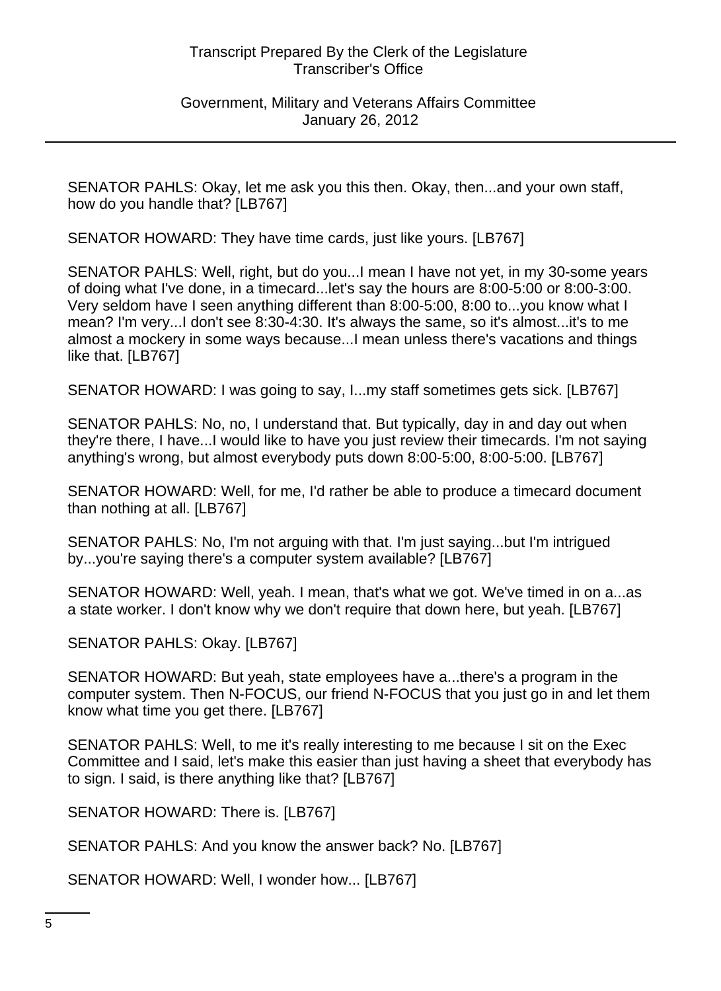Government, Military and Veterans Affairs Committee January 26, 2012

SENATOR PAHLS: Okay, let me ask you this then. Okay, then...and your own staff, how do you handle that? [LB767]

SENATOR HOWARD: They have time cards, just like yours. [LB767]

SENATOR PAHLS: Well, right, but do you...I mean I have not yet, in my 30-some years of doing what I've done, in a timecard...let's say the hours are 8:00-5:00 or 8:00-3:00. Very seldom have I seen anything different than 8:00-5:00, 8:00 to...you know what I mean? I'm very...I don't see 8:30-4:30. It's always the same, so it's almost...it's to me almost a mockery in some ways because...I mean unless there's vacations and things like that. [LB767]

SENATOR HOWARD: I was going to say, I...my staff sometimes gets sick. [LB767]

SENATOR PAHLS: No, no, I understand that. But typically, day in and day out when they're there, I have...I would like to have you just review their timecards. I'm not saying anything's wrong, but almost everybody puts down 8:00-5:00, 8:00-5:00. [LB767]

SENATOR HOWARD: Well, for me, I'd rather be able to produce a timecard document than nothing at all. [LB767]

SENATOR PAHLS: No, I'm not arguing with that. I'm just saying...but I'm intrigued by...you're saying there's a computer system available? [LB767]

SENATOR HOWARD: Well, yeah. I mean, that's what we got. We've timed in on a...as a state worker. I don't know why we don't require that down here, but yeah. [LB767]

SENATOR PAHLS: Okay. [LB767]

SENATOR HOWARD: But yeah, state employees have a...there's a program in the computer system. Then N-FOCUS, our friend N-FOCUS that you just go in and let them know what time you get there. [LB767]

SENATOR PAHLS: Well, to me it's really interesting to me because I sit on the Exec Committee and I said, let's make this easier than just having a sheet that everybody has to sign. I said, is there anything like that? [LB767]

SENATOR HOWARD: There is. [LB767]

SENATOR PAHLS: And you know the answer back? No. [LB767]

SENATOR HOWARD: Well, I wonder how... [LB767]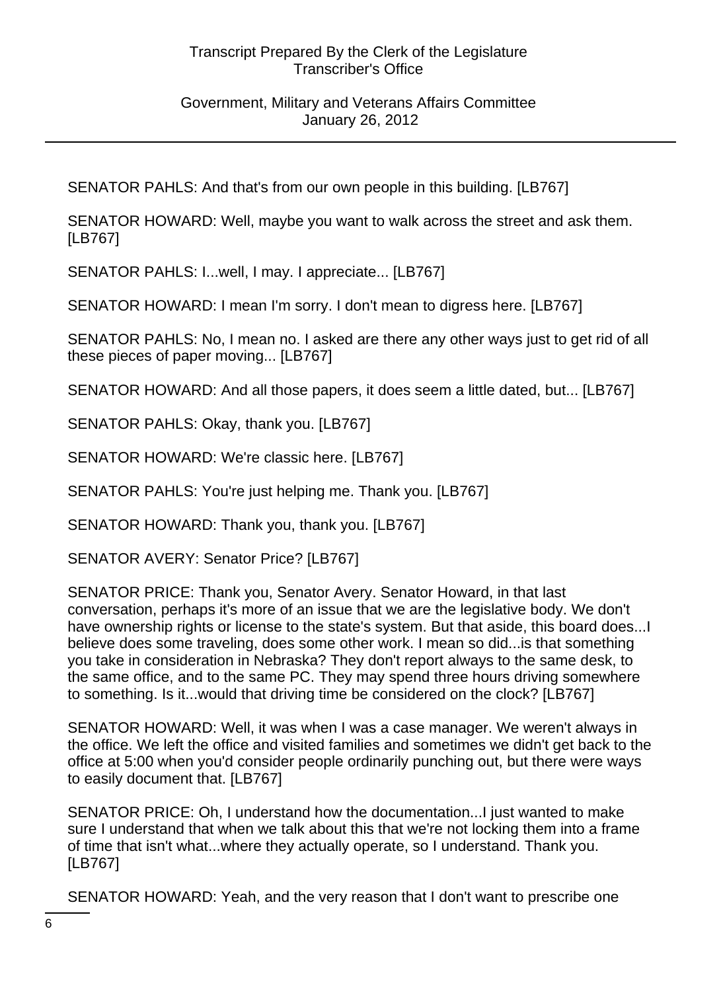SENATOR PAHLS: And that's from our own people in this building. [LB767]

SENATOR HOWARD: Well, maybe you want to walk across the street and ask them. [LB767]

SENATOR PAHLS: I...well, I may. I appreciate... [LB767]

SENATOR HOWARD: I mean I'm sorry. I don't mean to digress here. [LB767]

SENATOR PAHLS: No, I mean no. I asked are there any other ways just to get rid of all these pieces of paper moving... [LB767]

SENATOR HOWARD: And all those papers, it does seem a little dated, but... [LB767]

SENATOR PAHLS: Okay, thank you. [LB767]

SENATOR HOWARD: We're classic here. [LB767]

SENATOR PAHLS: You're just helping me. Thank you. [LB767]

SENATOR HOWARD: Thank you, thank you. [LB767]

SENATOR AVERY: Senator Price? [LB767]

SENATOR PRICE: Thank you, Senator Avery. Senator Howard, in that last conversation, perhaps it's more of an issue that we are the legislative body. We don't have ownership rights or license to the state's system. But that aside, this board does...I believe does some traveling, does some other work. I mean so did...is that something you take in consideration in Nebraska? They don't report always to the same desk, to the same office, and to the same PC. They may spend three hours driving somewhere to something. Is it...would that driving time be considered on the clock? [LB767]

SENATOR HOWARD: Well, it was when I was a case manager. We weren't always in the office. We left the office and visited families and sometimes we didn't get back to the office at 5:00 when you'd consider people ordinarily punching out, but there were ways to easily document that. [LB767]

SENATOR PRICE: Oh, I understand how the documentation...I just wanted to make sure I understand that when we talk about this that we're not locking them into a frame of time that isn't what...where they actually operate, so I understand. Thank you. [LB767]

SENATOR HOWARD: Yeah, and the very reason that I don't want to prescribe one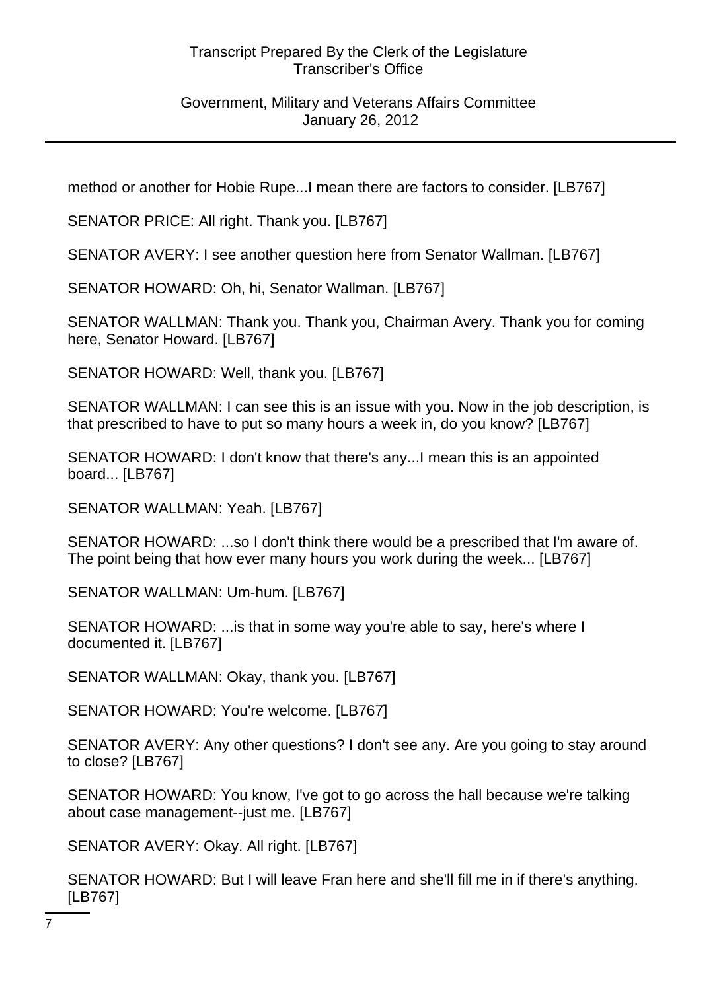# Government, Military and Veterans Affairs Committee January 26, 2012

method or another for Hobie Rupe...I mean there are factors to consider. [LB767]

SENATOR PRICE: All right. Thank you. [LB767]

SENATOR AVERY: I see another question here from Senator Wallman. [LB767]

SENATOR HOWARD: Oh, hi, Senator Wallman. [LB767]

SENATOR WALLMAN: Thank you. Thank you, Chairman Avery. Thank you for coming here, Senator Howard. [LB767]

SENATOR HOWARD: Well, thank you. [LB767]

SENATOR WALLMAN: I can see this is an issue with you. Now in the job description, is that prescribed to have to put so many hours a week in, do you know? [LB767]

SENATOR HOWARD: I don't know that there's any...I mean this is an appointed board... [LB767]

SENATOR WALLMAN: Yeah. [LB767]

SENATOR HOWARD: ...so I don't think there would be a prescribed that I'm aware of. The point being that how ever many hours you work during the week... [LB767]

SENATOR WALLMAN: Um-hum. [LB767]

SENATOR HOWARD: ...is that in some way you're able to say, here's where I documented it. [LB767]

SENATOR WALLMAN: Okay, thank you. [LB767]

SENATOR HOWARD: You're welcome. [LB767]

SENATOR AVERY: Any other questions? I don't see any. Are you going to stay around to close? [LB767]

SENATOR HOWARD: You know, I've got to go across the hall because we're talking about case management--just me. [LB767]

SENATOR AVERY: Okay. All right. [LB767]

SENATOR HOWARD: But I will leave Fran here and she'll fill me in if there's anything. [LB767]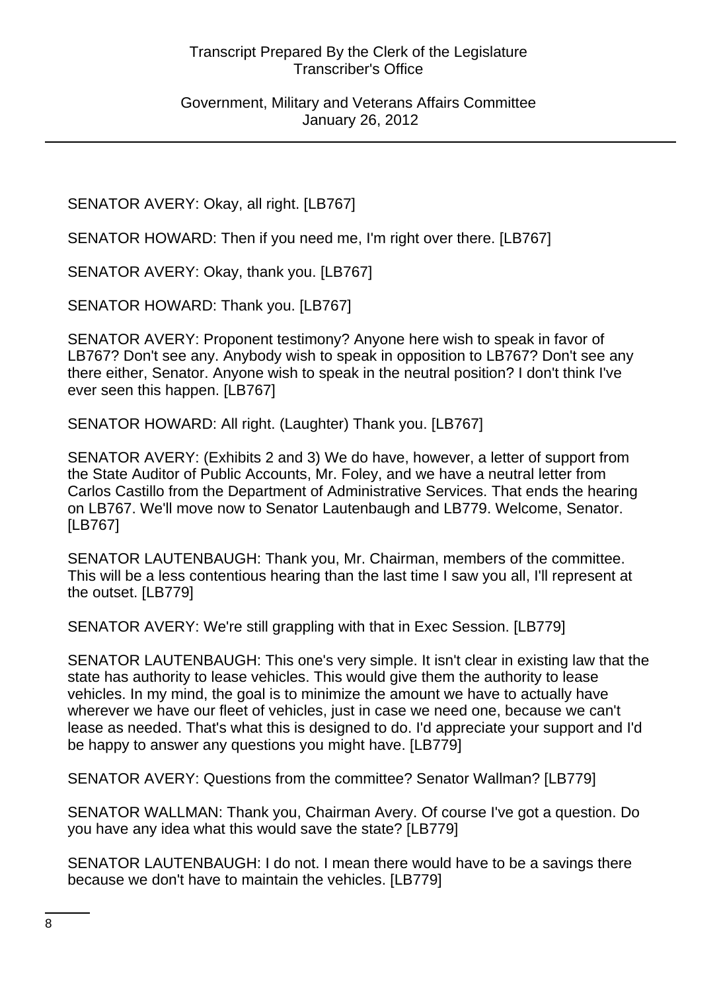SENATOR AVERY: Okay, all right. [LB767]

SENATOR HOWARD: Then if you need me, I'm right over there. [LB767]

SENATOR AVERY: Okay, thank you. [LB767]

SENATOR HOWARD: Thank you. [LB767]

SENATOR AVERY: Proponent testimony? Anyone here wish to speak in favor of LB767? Don't see any. Anybody wish to speak in opposition to LB767? Don't see any there either, Senator. Anyone wish to speak in the neutral position? I don't think I've ever seen this happen. [LB767]

SENATOR HOWARD: All right. (Laughter) Thank you. [LB767]

SENATOR AVERY: (Exhibits 2 and 3) We do have, however, a letter of support from the State Auditor of Public Accounts, Mr. Foley, and we have a neutral letter from Carlos Castillo from the Department of Administrative Services. That ends the hearing on LB767. We'll move now to Senator Lautenbaugh and LB779. Welcome, Senator. [LB767]

SENATOR LAUTENBAUGH: Thank you, Mr. Chairman, members of the committee. This will be a less contentious hearing than the last time I saw you all, I'll represent at the outset. [LB779]

SENATOR AVERY: We're still grappling with that in Exec Session. [LB779]

SENATOR LAUTENBAUGH: This one's very simple. It isn't clear in existing law that the state has authority to lease vehicles. This would give them the authority to lease vehicles. In my mind, the goal is to minimize the amount we have to actually have wherever we have our fleet of vehicles, just in case we need one, because we can't lease as needed. That's what this is designed to do. I'd appreciate your support and I'd be happy to answer any questions you might have. [LB779]

SENATOR AVERY: Questions from the committee? Senator Wallman? [LB779]

SENATOR WALLMAN: Thank you, Chairman Avery. Of course I've got a question. Do you have any idea what this would save the state? [LB779]

SENATOR LAUTENBAUGH: I do not. I mean there would have to be a savings there because we don't have to maintain the vehicles. [LB779]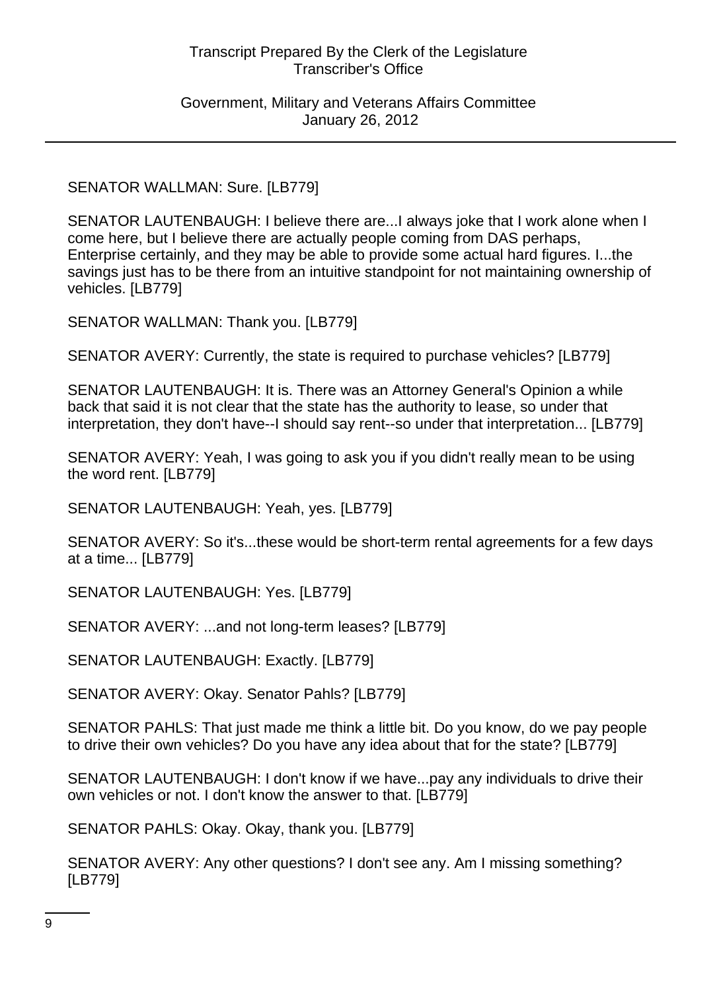Government, Military and Veterans Affairs Committee January 26, 2012

SENATOR WALLMAN: Sure. [LB779]

SENATOR LAUTENBAUGH: I believe there are...I always joke that I work alone when I come here, but I believe there are actually people coming from DAS perhaps, Enterprise certainly, and they may be able to provide some actual hard figures. I...the savings just has to be there from an intuitive standpoint for not maintaining ownership of vehicles. [LB779]

SENATOR WALLMAN: Thank you. [LB779]

SENATOR AVERY: Currently, the state is required to purchase vehicles? [LB779]

SENATOR LAUTENBAUGH: It is. There was an Attorney General's Opinion a while back that said it is not clear that the state has the authority to lease, so under that interpretation, they don't have--I should say rent--so under that interpretation... [LB779]

SENATOR AVERY: Yeah, I was going to ask you if you didn't really mean to be using the word rent. [LB779]

SENATOR LAUTENBAUGH: Yeah, yes. [LB779]

SENATOR AVERY: So it's...these would be short-term rental agreements for a few days at a time... [LB779]

SENATOR LAUTENBAUGH: Yes. [LB779]

SENATOR AVERY: ...and not long-term leases? [LB779]

SENATOR LAUTENBAUGH: Exactly. [LB779]

SENATOR AVERY: Okay. Senator Pahls? [LB779]

SENATOR PAHLS: That just made me think a little bit. Do you know, do we pay people to drive their own vehicles? Do you have any idea about that for the state? [LB779]

SENATOR LAUTENBAUGH: I don't know if we have...pay any individuals to drive their own vehicles or not. I don't know the answer to that. [LB779]

SENATOR PAHLS: Okay. Okay, thank you. [LB779]

SENATOR AVERY: Any other questions? I don't see any. Am I missing something? [LB779]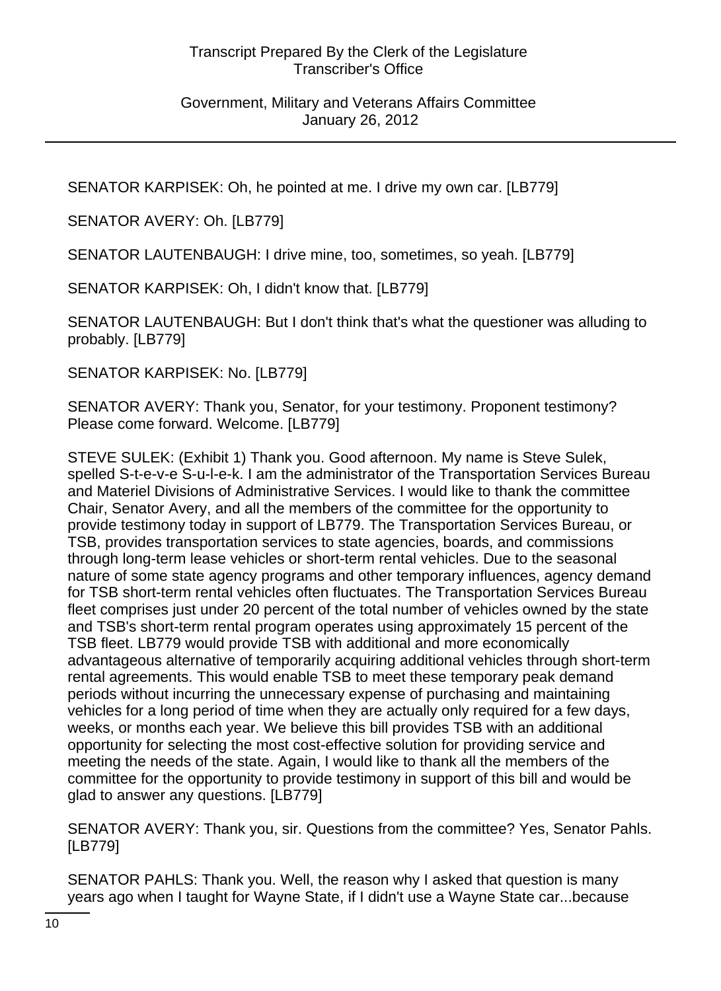SENATOR KARPISEK: Oh, he pointed at me. I drive my own car. [LB779]

SENATOR AVERY: Oh. [LB779]

SENATOR LAUTENBAUGH: I drive mine, too, sometimes, so yeah. [LB779]

SENATOR KARPISEK: Oh, I didn't know that. [LB779]

SENATOR LAUTENBAUGH: But I don't think that's what the questioner was alluding to probably. [LB779]

SENATOR KARPISEK: No. [LB779]

SENATOR AVERY: Thank you, Senator, for your testimony. Proponent testimony? Please come forward. Welcome. [LB779]

STEVE SULEK: (Exhibit 1) Thank you. Good afternoon. My name is Steve Sulek, spelled S-t-e-v-e S-u-l-e-k. I am the administrator of the Transportation Services Bureau and Materiel Divisions of Administrative Services. I would like to thank the committee Chair, Senator Avery, and all the members of the committee for the opportunity to provide testimony today in support of LB779. The Transportation Services Bureau, or TSB, provides transportation services to state agencies, boards, and commissions through long-term lease vehicles or short-term rental vehicles. Due to the seasonal nature of some state agency programs and other temporary influences, agency demand for TSB short-term rental vehicles often fluctuates. The Transportation Services Bureau fleet comprises just under 20 percent of the total number of vehicles owned by the state and TSB's short-term rental program operates using approximately 15 percent of the TSB fleet. LB779 would provide TSB with additional and more economically advantageous alternative of temporarily acquiring additional vehicles through short-term rental agreements. This would enable TSB to meet these temporary peak demand periods without incurring the unnecessary expense of purchasing and maintaining vehicles for a long period of time when they are actually only required for a few days, weeks, or months each year. We believe this bill provides TSB with an additional opportunity for selecting the most cost-effective solution for providing service and meeting the needs of the state. Again, I would like to thank all the members of the committee for the opportunity to provide testimony in support of this bill and would be glad to answer any questions. [LB779]

SENATOR AVERY: Thank you, sir. Questions from the committee? Yes, Senator Pahls. [LB779]

SENATOR PAHLS: Thank you. Well, the reason why I asked that question is many years ago when I taught for Wayne State, if I didn't use a Wayne State car...because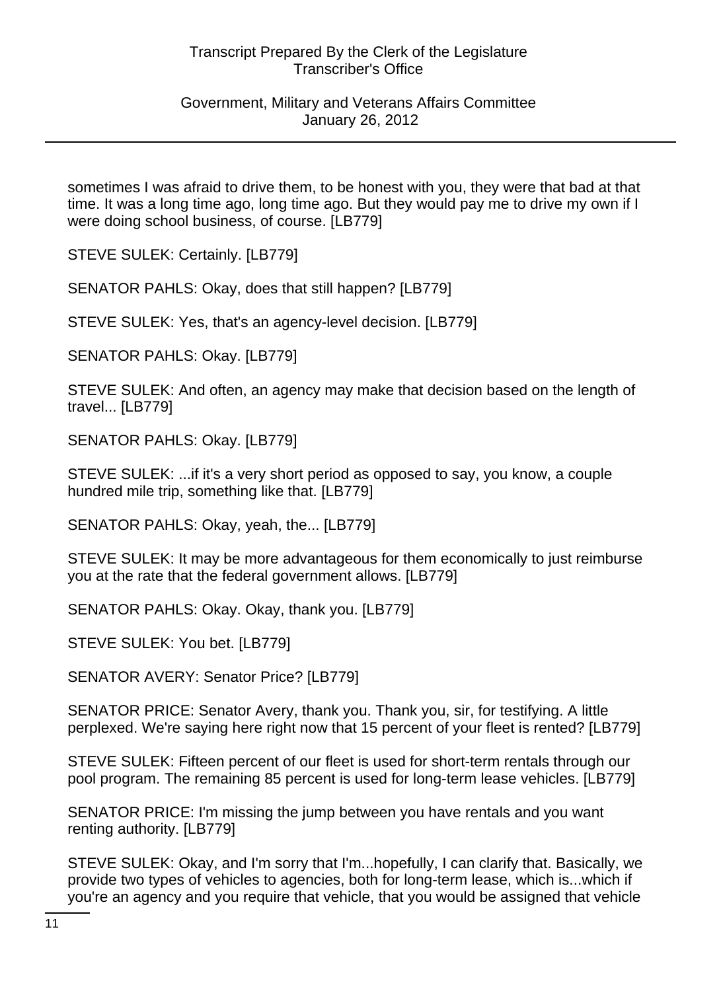# Government, Military and Veterans Affairs Committee January 26, 2012

sometimes I was afraid to drive them, to be honest with you, they were that bad at that time. It was a long time ago, long time ago. But they would pay me to drive my own if I were doing school business, of course. [LB779]

STEVE SULEK: Certainly. [LB779]

SENATOR PAHLS: Okay, does that still happen? [LB779]

STEVE SULEK: Yes, that's an agency-level decision. [LB779]

SENATOR PAHLS: Okay. [LB779]

STEVE SULEK: And often, an agency may make that decision based on the length of travel... [LB779]

SENATOR PAHLS: Okay. [LB779]

STEVE SULEK: ...if it's a very short period as opposed to say, you know, a couple hundred mile trip, something like that. [LB779]

SENATOR PAHLS: Okay, yeah, the... [LB779]

STEVE SULEK: It may be more advantageous for them economically to just reimburse you at the rate that the federal government allows. [LB779]

SENATOR PAHLS: Okay. Okay, thank you. [LB779]

STEVE SULEK: You bet. [LB779]

SENATOR AVERY: Senator Price? [LB779]

SENATOR PRICE: Senator Avery, thank you. Thank you, sir, for testifying. A little perplexed. We're saying here right now that 15 percent of your fleet is rented? [LB779]

STEVE SULEK: Fifteen percent of our fleet is used for short-term rentals through our pool program. The remaining 85 percent is used for long-term lease vehicles. [LB779]

SENATOR PRICE: I'm missing the jump between you have rentals and you want renting authority. [LB779]

STEVE SULEK: Okay, and I'm sorry that I'm...hopefully, I can clarify that. Basically, we provide two types of vehicles to agencies, both for long-term lease, which is...which if you're an agency and you require that vehicle, that you would be assigned that vehicle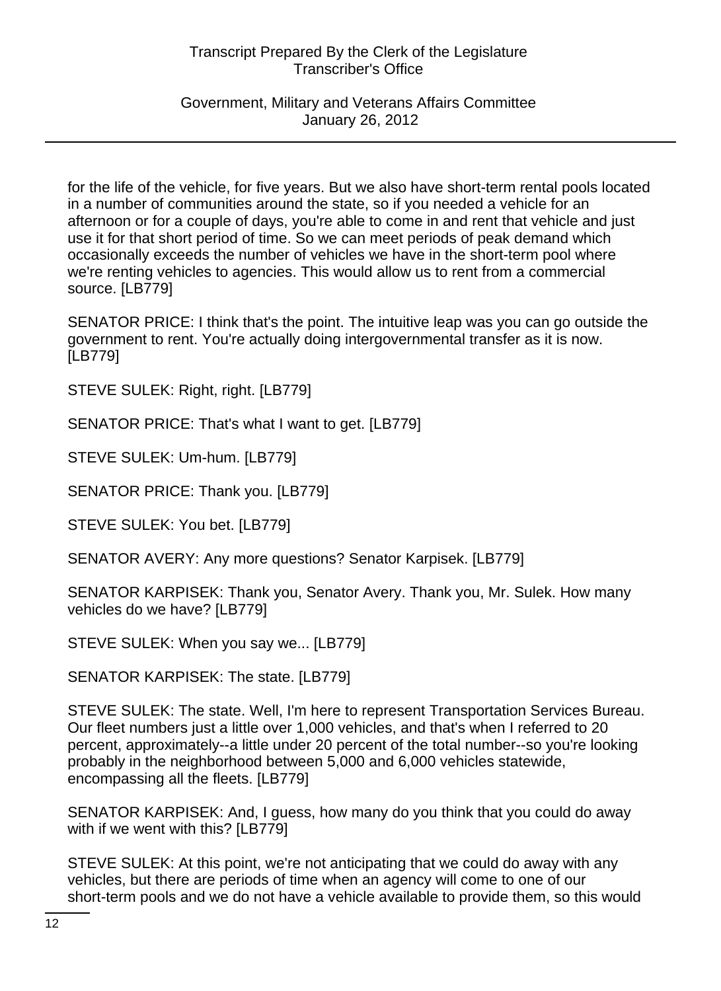Government, Military and Veterans Affairs Committee January 26, 2012

for the life of the vehicle, for five years. But we also have short-term rental pools located in a number of communities around the state, so if you needed a vehicle for an afternoon or for a couple of days, you're able to come in and rent that vehicle and just use it for that short period of time. So we can meet periods of peak demand which occasionally exceeds the number of vehicles we have in the short-term pool where we're renting vehicles to agencies. This would allow us to rent from a commercial source. [LB779]

SENATOR PRICE: I think that's the point. The intuitive leap was you can go outside the government to rent. You're actually doing intergovernmental transfer as it is now. [LB779]

STEVE SULEK: Right, right. [LB779]

SENATOR PRICE: That's what I want to get. [LB779]

STEVE SULEK: Um-hum. [LB779]

SENATOR PRICE: Thank you. [LB779]

STEVE SULEK: You bet. [LB779]

SENATOR AVERY: Any more questions? Senator Karpisek. [LB779]

SENATOR KARPISEK: Thank you, Senator Avery. Thank you, Mr. Sulek. How many vehicles do we have? [LB779]

STEVE SULEK: When you say we... [LB779]

SENATOR KARPISEK: The state. [LB779]

STEVE SULEK: The state. Well, I'm here to represent Transportation Services Bureau. Our fleet numbers just a little over 1,000 vehicles, and that's when I referred to 20 percent, approximately--a little under 20 percent of the total number--so you're looking probably in the neighborhood between 5,000 and 6,000 vehicles statewide, encompassing all the fleets. [LB779]

SENATOR KARPISEK: And, I guess, how many do you think that you could do away with if we went with this? [LB779]

STEVE SULEK: At this point, we're not anticipating that we could do away with any vehicles, but there are periods of time when an agency will come to one of our short-term pools and we do not have a vehicle available to provide them, so this would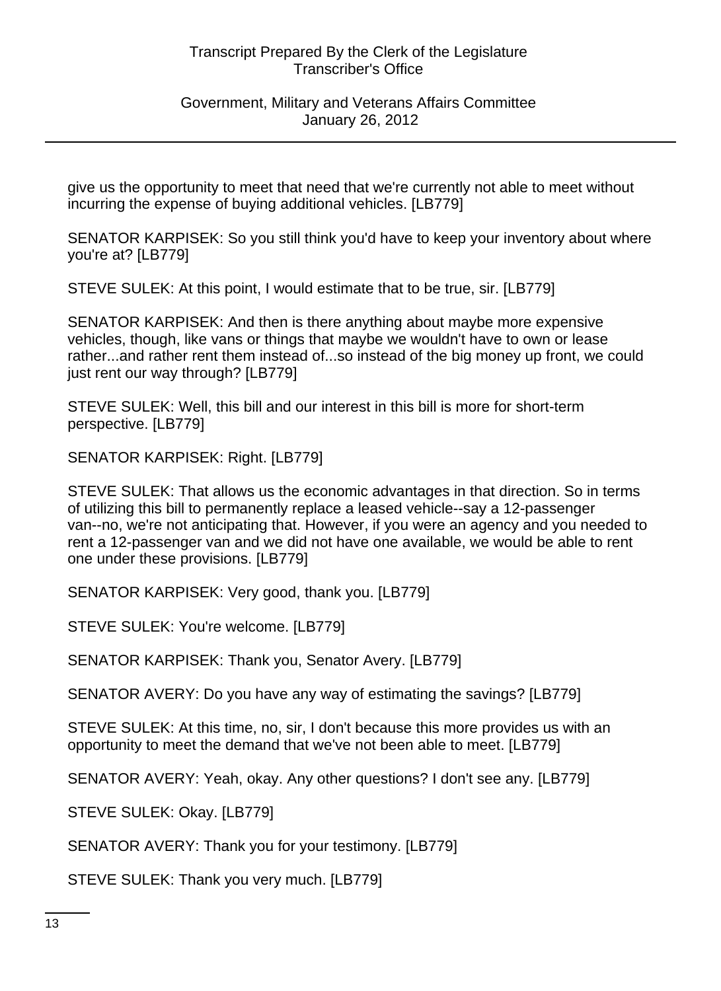Government, Military and Veterans Affairs Committee January 26, 2012

give us the opportunity to meet that need that we're currently not able to meet without incurring the expense of buying additional vehicles. [LB779]

SENATOR KARPISEK: So you still think you'd have to keep your inventory about where you're at? [LB779]

STEVE SULEK: At this point, I would estimate that to be true, sir. [LB779]

SENATOR KARPISEK: And then is there anything about maybe more expensive vehicles, though, like vans or things that maybe we wouldn't have to own or lease rather...and rather rent them instead of...so instead of the big money up front, we could just rent our way through? [LB779]

STEVE SULEK: Well, this bill and our interest in this bill is more for short-term perspective. [LB779]

SENATOR KARPISEK: Right. [LB779]

STEVE SULEK: That allows us the economic advantages in that direction. So in terms of utilizing this bill to permanently replace a leased vehicle--say a 12-passenger van--no, we're not anticipating that. However, if you were an agency and you needed to rent a 12-passenger van and we did not have one available, we would be able to rent one under these provisions. [LB779]

SENATOR KARPISEK: Very good, thank you. [LB779]

STEVE SULEK: You're welcome. [LB779]

SENATOR KARPISEK: Thank you, Senator Avery. [LB779]

SENATOR AVERY: Do you have any way of estimating the savings? [LB779]

STEVE SULEK: At this time, no, sir, I don't because this more provides us with an opportunity to meet the demand that we've not been able to meet. [LB779]

SENATOR AVERY: Yeah, okay. Any other questions? I don't see any. [LB779]

STEVE SULEK: Okay. [LB779]

SENATOR AVERY: Thank you for your testimony. [LB779]

STEVE SULEK: Thank you very much. [LB779]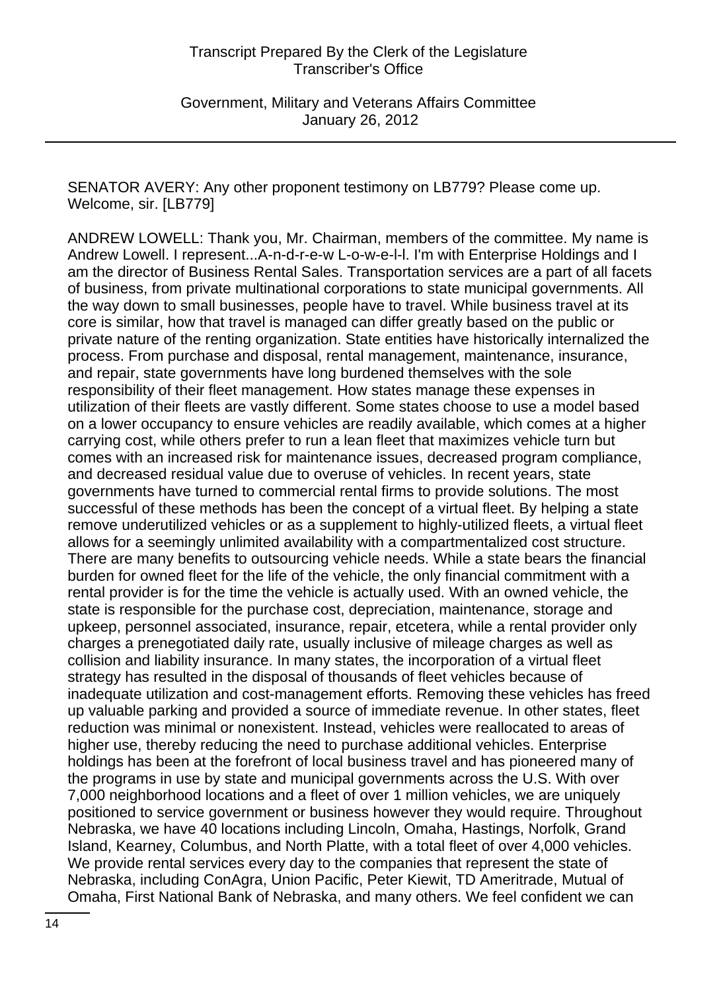SENATOR AVERY: Any other proponent testimony on LB779? Please come up. Welcome, sir. [LB779]

ANDREW LOWELL: Thank you, Mr. Chairman, members of the committee. My name is Andrew Lowell. I represent...A-n-d-r-e-w L-o-w-e-l-l. I'm with Enterprise Holdings and I am the director of Business Rental Sales. Transportation services are a part of all facets of business, from private multinational corporations to state municipal governments. All the way down to small businesses, people have to travel. While business travel at its core is similar, how that travel is managed can differ greatly based on the public or private nature of the renting organization. State entities have historically internalized the process. From purchase and disposal, rental management, maintenance, insurance, and repair, state governments have long burdened themselves with the sole responsibility of their fleet management. How states manage these expenses in utilization of their fleets are vastly different. Some states choose to use a model based on a lower occupancy to ensure vehicles are readily available, which comes at a higher carrying cost, while others prefer to run a lean fleet that maximizes vehicle turn but comes with an increased risk for maintenance issues, decreased program compliance, and decreased residual value due to overuse of vehicles. In recent years, state governments have turned to commercial rental firms to provide solutions. The most successful of these methods has been the concept of a virtual fleet. By helping a state remove underutilized vehicles or as a supplement to highly-utilized fleets, a virtual fleet allows for a seemingly unlimited availability with a compartmentalized cost structure. There are many benefits to outsourcing vehicle needs. While a state bears the financial burden for owned fleet for the life of the vehicle, the only financial commitment with a rental provider is for the time the vehicle is actually used. With an owned vehicle, the state is responsible for the purchase cost, depreciation, maintenance, storage and upkeep, personnel associated, insurance, repair, etcetera, while a rental provider only charges a prenegotiated daily rate, usually inclusive of mileage charges as well as collision and liability insurance. In many states, the incorporation of a virtual fleet strategy has resulted in the disposal of thousands of fleet vehicles because of inadequate utilization and cost-management efforts. Removing these vehicles has freed up valuable parking and provided a source of immediate revenue. In other states, fleet reduction was minimal or nonexistent. Instead, vehicles were reallocated to areas of higher use, thereby reducing the need to purchase additional vehicles. Enterprise holdings has been at the forefront of local business travel and has pioneered many of the programs in use by state and municipal governments across the U.S. With over 7,000 neighborhood locations and a fleet of over 1 million vehicles, we are uniquely positioned to service government or business however they would require. Throughout Nebraska, we have 40 locations including Lincoln, Omaha, Hastings, Norfolk, Grand Island, Kearney, Columbus, and North Platte, with a total fleet of over 4,000 vehicles. We provide rental services every day to the companies that represent the state of Nebraska, including ConAgra, Union Pacific, Peter Kiewit, TD Ameritrade, Mutual of Omaha, First National Bank of Nebraska, and many others. We feel confident we can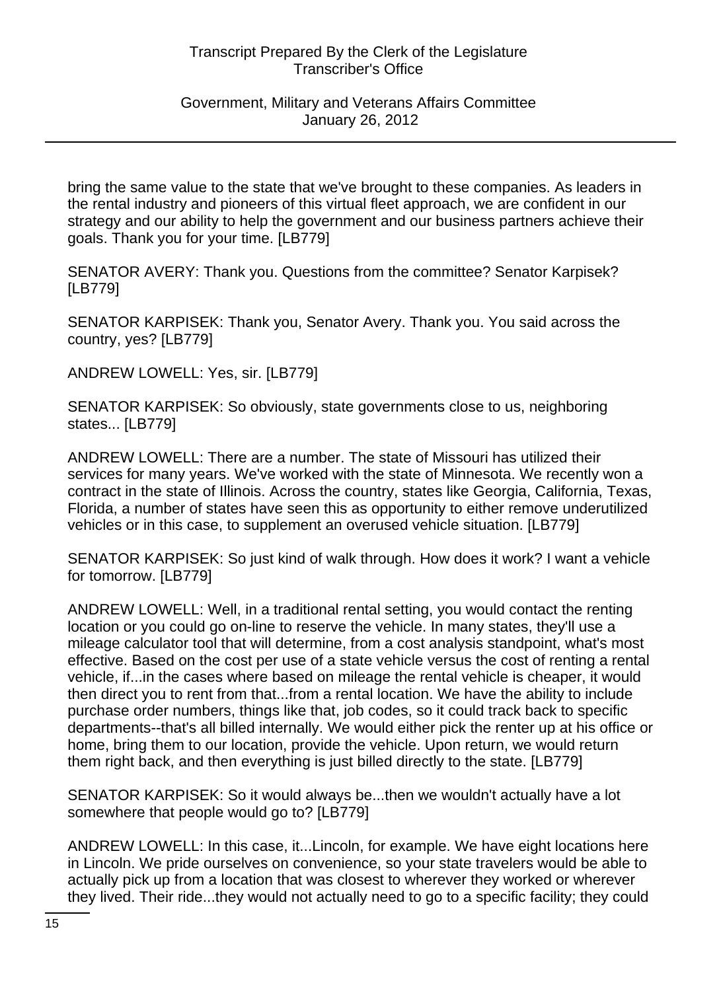#### Government, Military and Veterans Affairs Committee January 26, 2012

bring the same value to the state that we've brought to these companies. As leaders in the rental industry and pioneers of this virtual fleet approach, we are confident in our strategy and our ability to help the government and our business partners achieve their goals. Thank you for your time. [LB779]

SENATOR AVERY: Thank you. Questions from the committee? Senator Karpisek? [LB779]

SENATOR KARPISEK: Thank you, Senator Avery. Thank you. You said across the country, yes? [LB779]

ANDREW LOWELL: Yes, sir. [LB779]

SENATOR KARPISEK: So obviously, state governments close to us, neighboring states... [LB779]

ANDREW LOWELL: There are a number. The state of Missouri has utilized their services for many years. We've worked with the state of Minnesota. We recently won a contract in the state of Illinois. Across the country, states like Georgia, California, Texas, Florida, a number of states have seen this as opportunity to either remove underutilized vehicles or in this case, to supplement an overused vehicle situation. [LB779]

SENATOR KARPISEK: So just kind of walk through. How does it work? I want a vehicle for tomorrow. [LB779]

ANDREW LOWELL: Well, in a traditional rental setting, you would contact the renting location or you could go on-line to reserve the vehicle. In many states, they'll use a mileage calculator tool that will determine, from a cost analysis standpoint, what's most effective. Based on the cost per use of a state vehicle versus the cost of renting a rental vehicle, if...in the cases where based on mileage the rental vehicle is cheaper, it would then direct you to rent from that...from a rental location. We have the ability to include purchase order numbers, things like that, job codes, so it could track back to specific departments--that's all billed internally. We would either pick the renter up at his office or home, bring them to our location, provide the vehicle. Upon return, we would return them right back, and then everything is just billed directly to the state. [LB779]

SENATOR KARPISEK: So it would always be...then we wouldn't actually have a lot somewhere that people would go to? [LB779]

ANDREW LOWELL: In this case, it...Lincoln, for example. We have eight locations here in Lincoln. We pride ourselves on convenience, so your state travelers would be able to actually pick up from a location that was closest to wherever they worked or wherever they lived. Their ride...they would not actually need to go to a specific facility; they could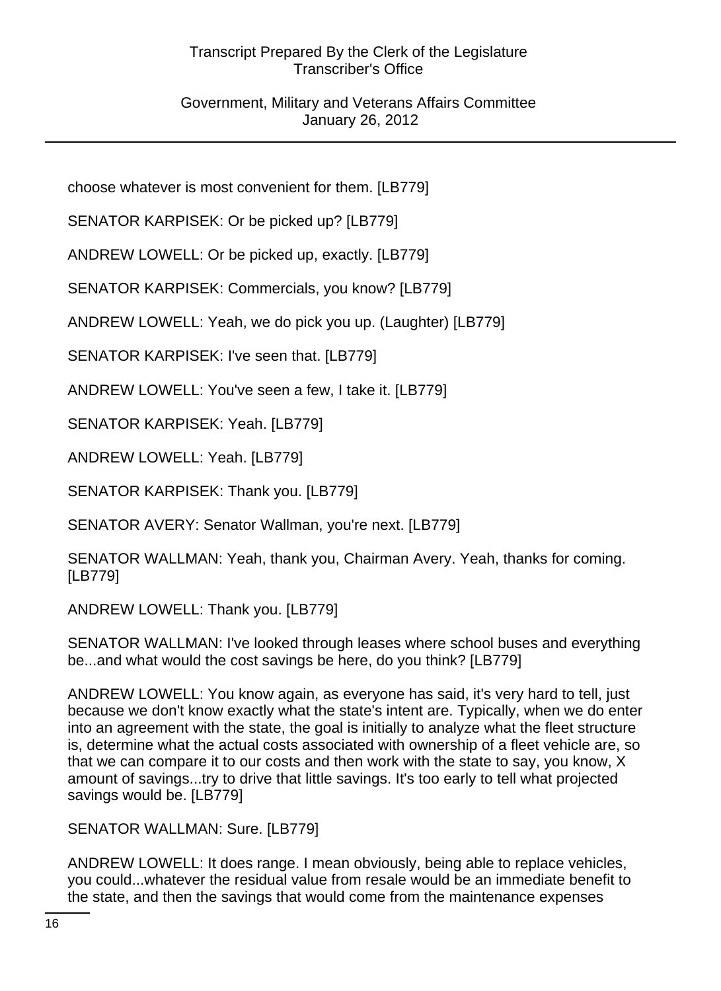choose whatever is most convenient for them. [LB779]

SENATOR KARPISEK: Or be picked up? [LB779]

ANDREW LOWELL: Or be picked up, exactly. [LB779]

SENATOR KARPISEK: Commercials, you know? [LB779]

ANDREW LOWELL: Yeah, we do pick you up. (Laughter) [LB779]

SENATOR KARPISEK: I've seen that. [LB779]

ANDREW LOWELL: You've seen a few, I take it. [LB779]

SENATOR KARPISEK: Yeah. [LB779]

ANDREW LOWELL: Yeah. [LB779]

SENATOR KARPISEK: Thank you. [LB779]

SENATOR AVERY: Senator Wallman, you're next. [LB779]

SENATOR WALLMAN: Yeah, thank you, Chairman Avery. Yeah, thanks for coming. [LB779]

ANDREW LOWELL: Thank you. [LB779]

SENATOR WALLMAN: I've looked through leases where school buses and everything be...and what would the cost savings be here, do you think? [LB779]

ANDREW LOWELL: You know again, as everyone has said, it's very hard to tell, just because we don't know exactly what the state's intent are. Typically, when we do enter into an agreement with the state, the goal is initially to analyze what the fleet structure is, determine what the actual costs associated with ownership of a fleet vehicle are, so that we can compare it to our costs and then work with the state to say, you know, X amount of savings...try to drive that little savings. It's too early to tell what projected savings would be. [LB779]

SENATOR WALLMAN: Sure. [LB779]

ANDREW LOWELL: It does range. I mean obviously, being able to replace vehicles, you could...whatever the residual value from resale would be an immediate benefit to the state, and then the savings that would come from the maintenance expenses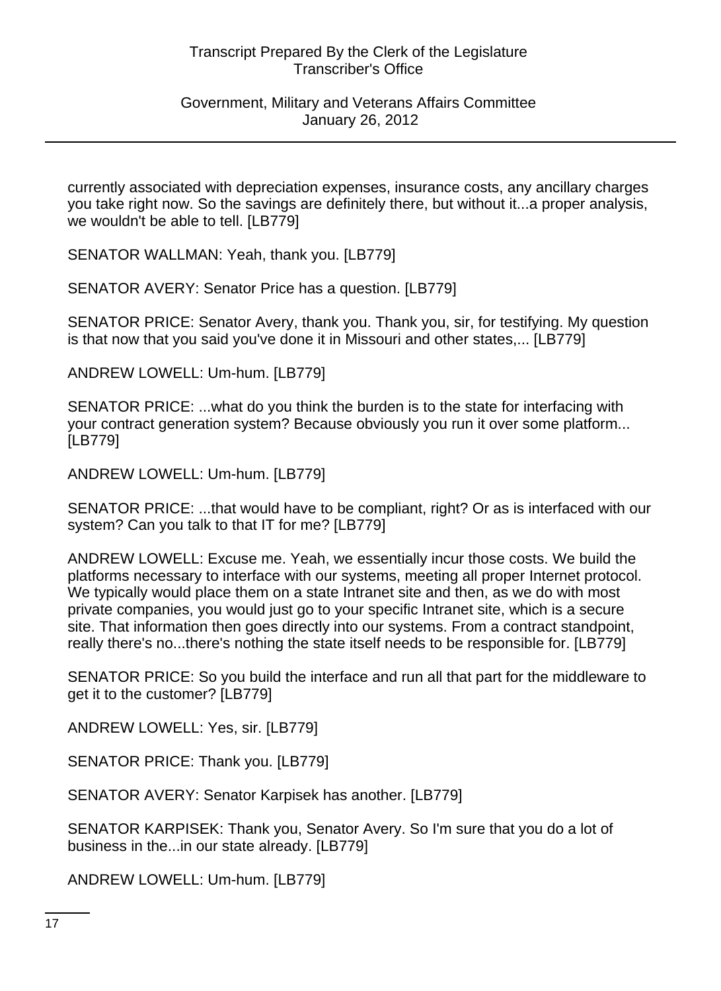#### Government, Military and Veterans Affairs Committee January 26, 2012

currently associated with depreciation expenses, insurance costs, any ancillary charges you take right now. So the savings are definitely there, but without it...a proper analysis, we wouldn't be able to tell. [LB779]

SENATOR WALLMAN: Yeah, thank you. [LB779]

SENATOR AVERY: Senator Price has a question. [LB779]

SENATOR PRICE: Senator Avery, thank you. Thank you, sir, for testifying. My question is that now that you said you've done it in Missouri and other states,... [LB779]

ANDREW LOWELL: Um-hum. [LB779]

SENATOR PRICE: ...what do you think the burden is to the state for interfacing with your contract generation system? Because obviously you run it over some platform... [LB779]

ANDREW LOWELL: Um-hum. [LB779]

SENATOR PRICE: ...that would have to be compliant, right? Or as is interfaced with our system? Can you talk to that IT for me? [LB779]

ANDREW LOWELL: Excuse me. Yeah, we essentially incur those costs. We build the platforms necessary to interface with our systems, meeting all proper Internet protocol. We typically would place them on a state Intranet site and then, as we do with most private companies, you would just go to your specific Intranet site, which is a secure site. That information then goes directly into our systems. From a contract standpoint, really there's no...there's nothing the state itself needs to be responsible for. [LB779]

SENATOR PRICE: So you build the interface and run all that part for the middleware to get it to the customer? [LB779]

ANDREW LOWELL: Yes, sir. [LB779]

SENATOR PRICE: Thank you. [LB779]

SENATOR AVERY: Senator Karpisek has another. [LB779]

SENATOR KARPISEK: Thank you, Senator Avery. So I'm sure that you do a lot of business in the...in our state already. [LB779]

ANDREW LOWELL: Um-hum. [LB779]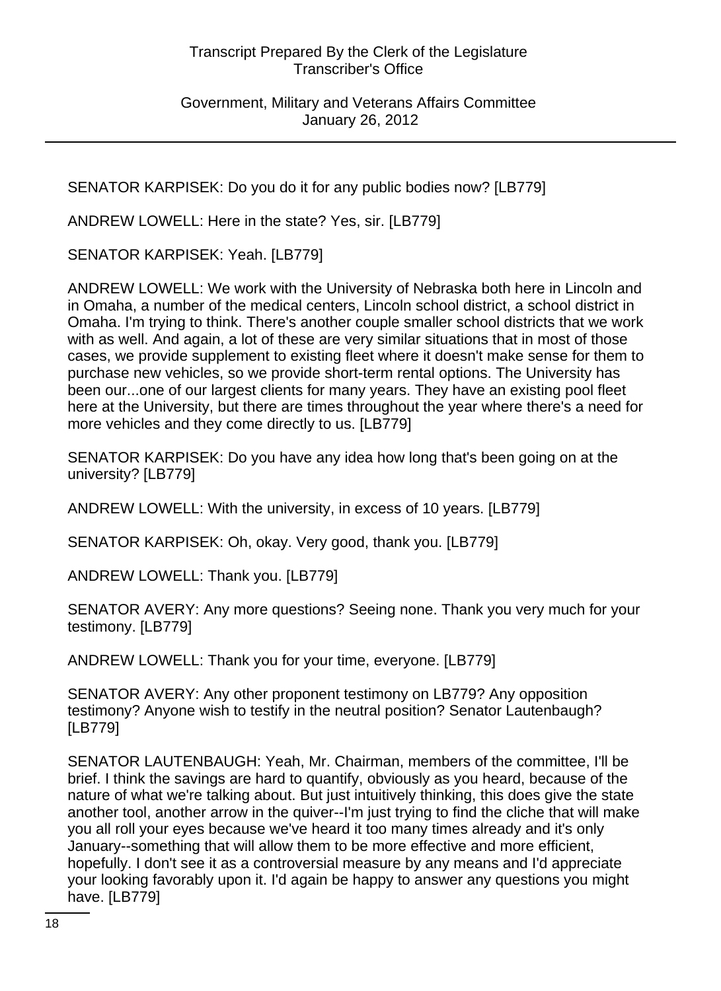Government, Military and Veterans Affairs Committee January 26, 2012

SENATOR KARPISEK: Do you do it for any public bodies now? [LB779]

ANDREW LOWELL: Here in the state? Yes, sir. [LB779]

SENATOR KARPISEK: Yeah. [LB779]

ANDREW LOWELL: We work with the University of Nebraska both here in Lincoln and in Omaha, a number of the medical centers, Lincoln school district, a school district in Omaha. I'm trying to think. There's another couple smaller school districts that we work with as well. And again, a lot of these are very similar situations that in most of those cases, we provide supplement to existing fleet where it doesn't make sense for them to purchase new vehicles, so we provide short-term rental options. The University has been our...one of our largest clients for many years. They have an existing pool fleet here at the University, but there are times throughout the year where there's a need for more vehicles and they come directly to us. [LB779]

SENATOR KARPISEK: Do you have any idea how long that's been going on at the university? [LB779]

ANDREW LOWELL: With the university, in excess of 10 years. [LB779]

SENATOR KARPISEK: Oh, okay. Very good, thank you. [LB779]

ANDREW LOWELL: Thank you. [LB779]

SENATOR AVERY: Any more questions? Seeing none. Thank you very much for your testimony. [LB779]

ANDREW LOWELL: Thank you for your time, everyone. [LB779]

SENATOR AVERY: Any other proponent testimony on LB779? Any opposition testimony? Anyone wish to testify in the neutral position? Senator Lautenbaugh? [LB779]

SENATOR LAUTENBAUGH: Yeah, Mr. Chairman, members of the committee, I'll be brief. I think the savings are hard to quantify, obviously as you heard, because of the nature of what we're talking about. But just intuitively thinking, this does give the state another tool, another arrow in the quiver--I'm just trying to find the cliche that will make you all roll your eyes because we've heard it too many times already and it's only January--something that will allow them to be more effective and more efficient, hopefully. I don't see it as a controversial measure by any means and I'd appreciate your looking favorably upon it. I'd again be happy to answer any questions you might have. [LB779]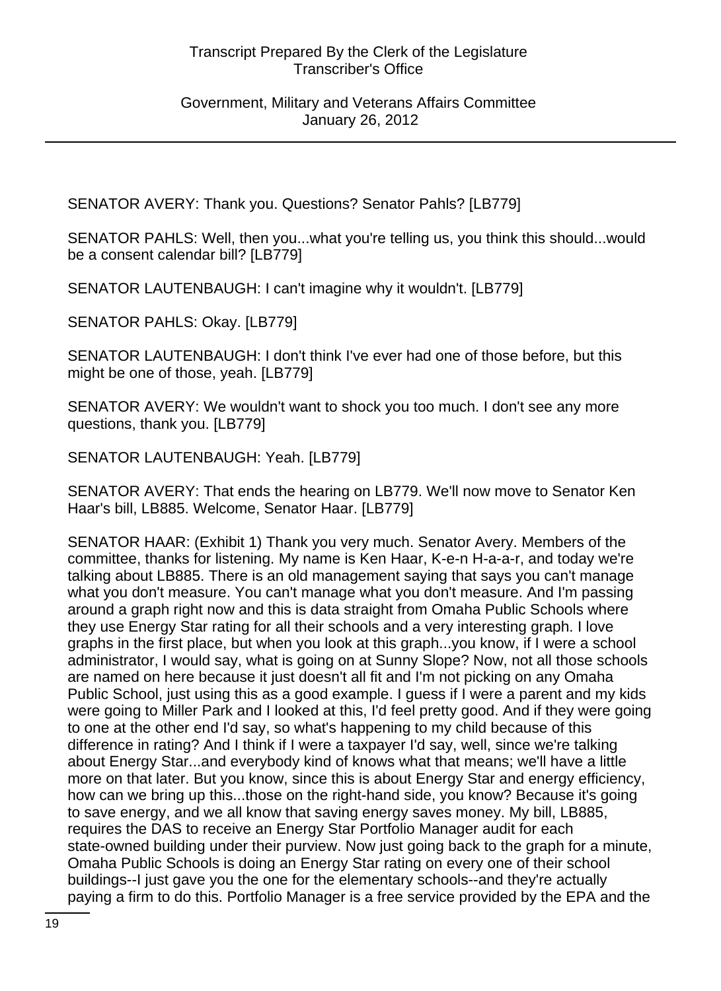SENATOR AVERY: Thank you. Questions? Senator Pahls? [LB779]

SENATOR PAHLS: Well, then you...what you're telling us, you think this should...would be a consent calendar bill? [LB779]

SENATOR LAUTENBAUGH: I can't imagine why it wouldn't. [LB779]

SENATOR PAHLS: Okay. [LB779]

SENATOR LAUTENBAUGH: I don't think I've ever had one of those before, but this might be one of those, yeah. [LB779]

SENATOR AVERY: We wouldn't want to shock you too much. I don't see any more questions, thank you. [LB779]

SENATOR LAUTENBAUGH: Yeah. [LB779]

SENATOR AVERY: That ends the hearing on LB779. We'll now move to Senator Ken Haar's bill, LB885. Welcome, Senator Haar. [LB779]

SENATOR HAAR: (Exhibit 1) Thank you very much. Senator Avery. Members of the committee, thanks for listening. My name is Ken Haar, K-e-n H-a-a-r, and today we're talking about LB885. There is an old management saying that says you can't manage what you don't measure. You can't manage what you don't measure. And I'm passing around a graph right now and this is data straight from Omaha Public Schools where they use Energy Star rating for all their schools and a very interesting graph. I love graphs in the first place, but when you look at this graph...you know, if I were a school administrator, I would say, what is going on at Sunny Slope? Now, not all those schools are named on here because it just doesn't all fit and I'm not picking on any Omaha Public School, just using this as a good example. I guess if I were a parent and my kids were going to Miller Park and I looked at this, I'd feel pretty good. And if they were going to one at the other end I'd say, so what's happening to my child because of this difference in rating? And I think if I were a taxpayer I'd say, well, since we're talking about Energy Star...and everybody kind of knows what that means; we'll have a little more on that later. But you know, since this is about Energy Star and energy efficiency, how can we bring up this...those on the right-hand side, you know? Because it's going to save energy, and we all know that saving energy saves money. My bill, LB885, requires the DAS to receive an Energy Star Portfolio Manager audit for each state-owned building under their purview. Now just going back to the graph for a minute, Omaha Public Schools is doing an Energy Star rating on every one of their school buildings--I just gave you the one for the elementary schools--and they're actually paying a firm to do this. Portfolio Manager is a free service provided by the EPA and the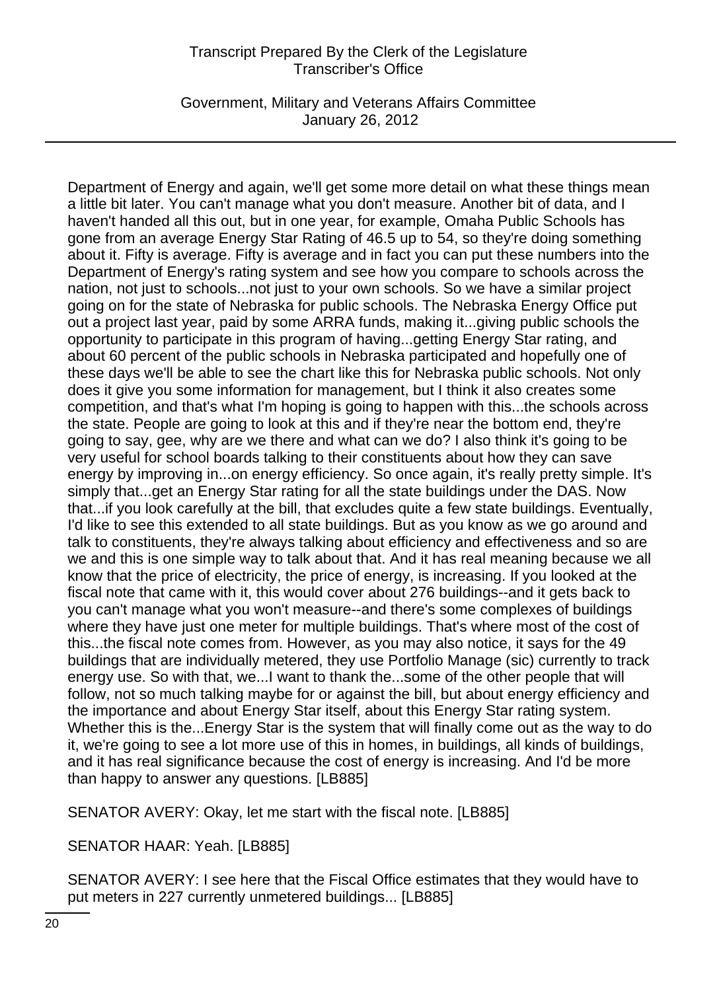Government, Military and Veterans Affairs Committee January 26, 2012

Department of Energy and again, we'll get some more detail on what these things mean a little bit later. You can't manage what you don't measure. Another bit of data, and I haven't handed all this out, but in one year, for example, Omaha Public Schools has gone from an average Energy Star Rating of 46.5 up to 54, so they're doing something about it. Fifty is average. Fifty is average and in fact you can put these numbers into the Department of Energy's rating system and see how you compare to schools across the nation, not just to schools...not just to your own schools. So we have a similar project going on for the state of Nebraska for public schools. The Nebraska Energy Office put out a project last year, paid by some ARRA funds, making it...giving public schools the opportunity to participate in this program of having...getting Energy Star rating, and about 60 percent of the public schools in Nebraska participated and hopefully one of these days we'll be able to see the chart like this for Nebraska public schools. Not only does it give you some information for management, but I think it also creates some competition, and that's what I'm hoping is going to happen with this...the schools across the state. People are going to look at this and if they're near the bottom end, they're going to say, gee, why are we there and what can we do? I also think it's going to be very useful for school boards talking to their constituents about how they can save energy by improving in...on energy efficiency. So once again, it's really pretty simple. It's simply that...get an Energy Star rating for all the state buildings under the DAS. Now that...if you look carefully at the bill, that excludes quite a few state buildings. Eventually, I'd like to see this extended to all state buildings. But as you know as we go around and talk to constituents, they're always talking about efficiency and effectiveness and so are we and this is one simple way to talk about that. And it has real meaning because we all know that the price of electricity, the price of energy, is increasing. If you looked at the fiscal note that came with it, this would cover about 276 buildings--and it gets back to you can't manage what you won't measure--and there's some complexes of buildings where they have just one meter for multiple buildings. That's where most of the cost of this...the fiscal note comes from. However, as you may also notice, it says for the 49 buildings that are individually metered, they use Portfolio Manage (sic) currently to track energy use. So with that, we...I want to thank the...some of the other people that will follow, not so much talking maybe for or against the bill, but about energy efficiency and the importance and about Energy Star itself, about this Energy Star rating system. Whether this is the...Energy Star is the system that will finally come out as the way to do it, we're going to see a lot more use of this in homes, in buildings, all kinds of buildings, and it has real significance because the cost of energy is increasing. And I'd be more than happy to answer any questions. [LB885]

SENATOR AVERY: Okay, let me start with the fiscal note. [LB885]

SENATOR HAAR: Yeah. [LB885]

SENATOR AVERY: I see here that the Fiscal Office estimates that they would have to put meters in 227 currently unmetered buildings... [LB885]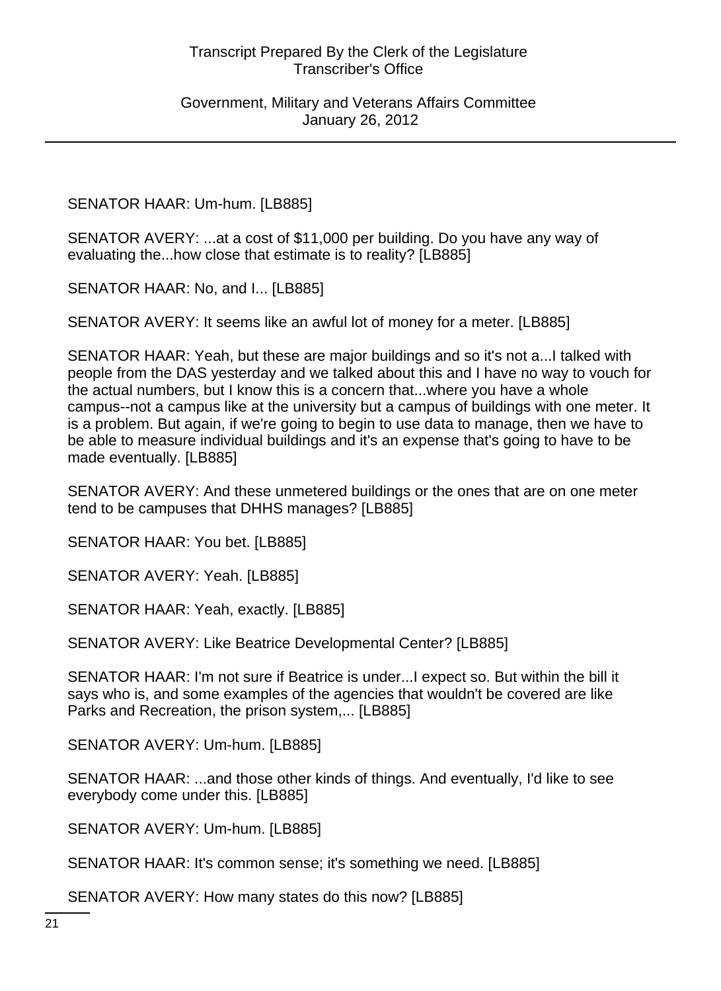SENATOR HAAR: Um-hum. [LB885]

SENATOR AVERY: ...at a cost of \$11,000 per building. Do you have any way of evaluating the...how close that estimate is to reality? [LB885]

SENATOR HAAR: No, and I... [LB885]

SENATOR AVERY: It seems like an awful lot of money for a meter. [LB885]

SENATOR HAAR: Yeah, but these are major buildings and so it's not a...I talked with people from the DAS yesterday and we talked about this and I have no way to vouch for the actual numbers, but I know this is a concern that...where you have a whole campus--not a campus like at the university but a campus of buildings with one meter. It is a problem. But again, if we're going to begin to use data to manage, then we have to be able to measure individual buildings and it's an expense that's going to have to be made eventually. [LB885]

SENATOR AVERY: And these unmetered buildings or the ones that are on one meter tend to be campuses that DHHS manages? [LB885]

SENATOR HAAR: You bet. [LB885]

SENATOR AVERY: Yeah. [LB885]

SENATOR HAAR: Yeah, exactly. [LB885]

SENATOR AVERY: Like Beatrice Developmental Center? [LB885]

SENATOR HAAR: I'm not sure if Beatrice is under...I expect so. But within the bill it says who is, and some examples of the agencies that wouldn't be covered are like Parks and Recreation, the prison system,... [LB885]

SENATOR AVERY: Um-hum. [LB885]

SENATOR HAAR: ...and those other kinds of things. And eventually, I'd like to see everybody come under this. [LB885]

SENATOR AVERY: Um-hum. [LB885]

SENATOR HAAR: It's common sense; it's something we need. [LB885]

SENATOR AVERY: How many states do this now? [LB885]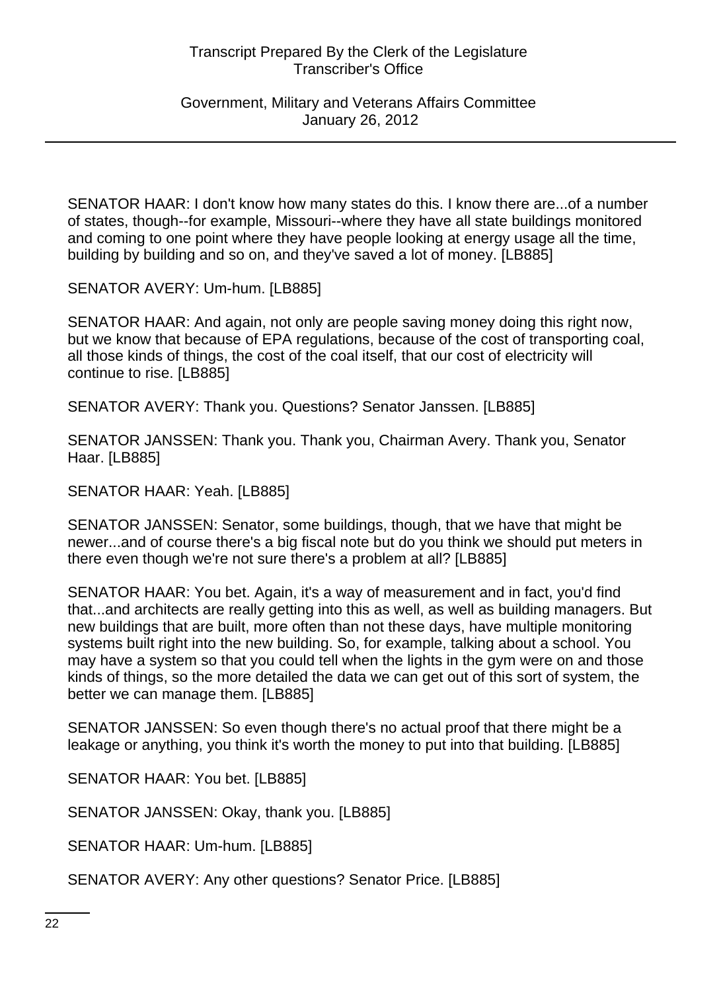Government, Military and Veterans Affairs Committee January 26, 2012

SENATOR HAAR: I don't know how many states do this. I know there are...of a number of states, though--for example, Missouri--where they have all state buildings monitored and coming to one point where they have people looking at energy usage all the time, building by building and so on, and they've saved a lot of money. [LB885]

SENATOR AVERY: Um-hum. [LB885]

SENATOR HAAR: And again, not only are people saving money doing this right now, but we know that because of EPA regulations, because of the cost of transporting coal, all those kinds of things, the cost of the coal itself, that our cost of electricity will continue to rise. [LB885]

SENATOR AVERY: Thank you. Questions? Senator Janssen. [LB885]

SENATOR JANSSEN: Thank you. Thank you, Chairman Avery. Thank you, Senator Haar. [LB885]

SENATOR HAAR: Yeah. [LB885]

SENATOR JANSSEN: Senator, some buildings, though, that we have that might be newer...and of course there's a big fiscal note but do you think we should put meters in there even though we're not sure there's a problem at all? [LB885]

SENATOR HAAR: You bet. Again, it's a way of measurement and in fact, you'd find that...and architects are really getting into this as well, as well as building managers. But new buildings that are built, more often than not these days, have multiple monitoring systems built right into the new building. So, for example, talking about a school. You may have a system so that you could tell when the lights in the gym were on and those kinds of things, so the more detailed the data we can get out of this sort of system, the better we can manage them. [LB885]

SENATOR JANSSEN: So even though there's no actual proof that there might be a leakage or anything, you think it's worth the money to put into that building. [LB885]

SENATOR HAAR: You bet. [LB885]

SENATOR JANSSEN: Okay, thank you. [LB885]

SENATOR HAAR: Um-hum. [LB885]

SENATOR AVERY: Any other questions? Senator Price. [LB885]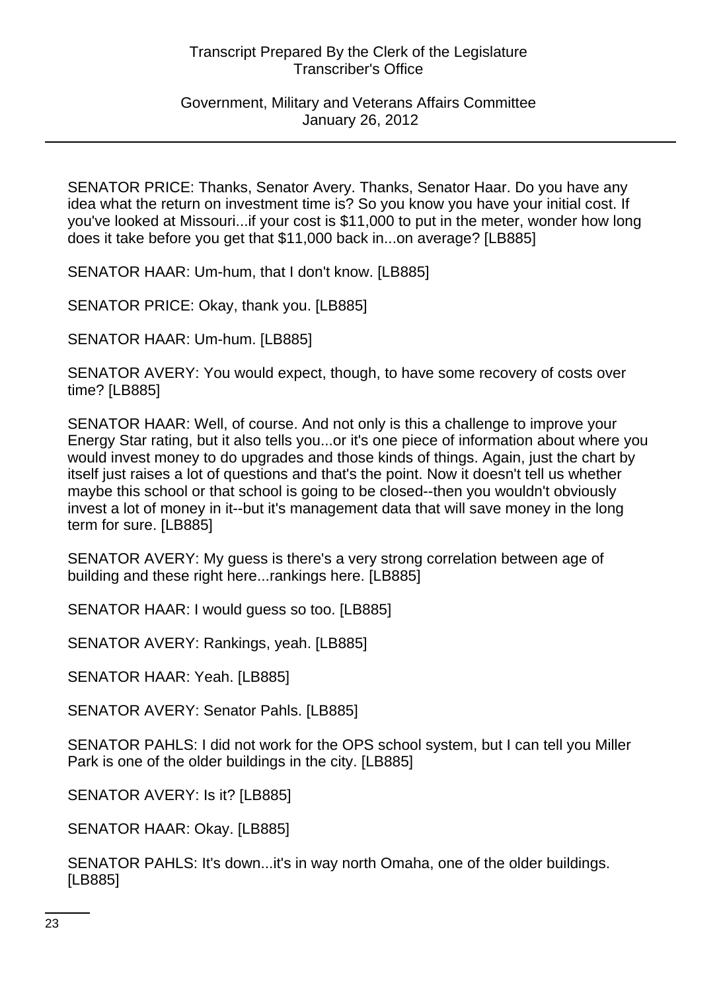#### Government, Military and Veterans Affairs Committee January 26, 2012

SENATOR PRICE: Thanks, Senator Avery. Thanks, Senator Haar. Do you have any idea what the return on investment time is? So you know you have your initial cost. If you've looked at Missouri...if your cost is \$11,000 to put in the meter, wonder how long does it take before you get that \$11,000 back in...on average? [LB885]

SENATOR HAAR: Um-hum, that I don't know. [LB885]

SENATOR PRICE: Okay, thank you. [LB885]

SENATOR HAAR: Um-hum. [LB885]

SENATOR AVERY: You would expect, though, to have some recovery of costs over time? [LB885]

SENATOR HAAR: Well, of course. And not only is this a challenge to improve your Energy Star rating, but it also tells you...or it's one piece of information about where you would invest money to do upgrades and those kinds of things. Again, just the chart by itself just raises a lot of questions and that's the point. Now it doesn't tell us whether maybe this school or that school is going to be closed--then you wouldn't obviously invest a lot of money in it--but it's management data that will save money in the long term for sure. [LB885]

SENATOR AVERY: My guess is there's a very strong correlation between age of building and these right here...rankings here. [LB885]

SENATOR HAAR: I would guess so too. [LB885]

SENATOR AVERY: Rankings, yeah. [LB885]

SENATOR HAAR: Yeah. [LB885]

SENATOR AVERY: Senator Pahls. [LB885]

SENATOR PAHLS: I did not work for the OPS school system, but I can tell you Miller Park is one of the older buildings in the city. [LB885]

SENATOR AVERY: Is it? [LB885]

SENATOR HAAR: Okay. [LB885]

SENATOR PAHLS: It's down...it's in way north Omaha, one of the older buildings. [LB885]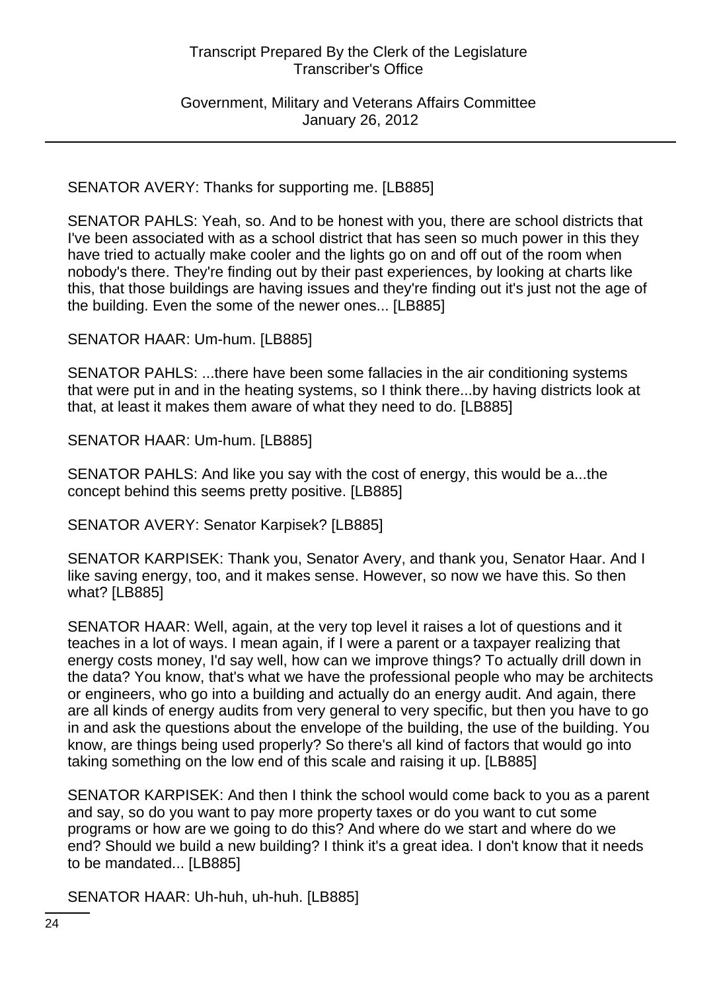Government, Military and Veterans Affairs Committee January 26, 2012

SENATOR AVERY: Thanks for supporting me. [LB885]

SENATOR PAHLS: Yeah, so. And to be honest with you, there are school districts that I've been associated with as a school district that has seen so much power in this they have tried to actually make cooler and the lights go on and off out of the room when nobody's there. They're finding out by their past experiences, by looking at charts like this, that those buildings are having issues and they're finding out it's just not the age of the building. Even the some of the newer ones... [LB885]

SENATOR HAAR: Um-hum. [LB885]

SENATOR PAHLS: ...there have been some fallacies in the air conditioning systems that were put in and in the heating systems, so I think there...by having districts look at that, at least it makes them aware of what they need to do. [LB885]

SENATOR HAAR: Um-hum. [LB885]

SENATOR PAHLS: And like you say with the cost of energy, this would be a...the concept behind this seems pretty positive. [LB885]

SENATOR AVERY: Senator Karpisek? [LB885]

SENATOR KARPISEK: Thank you, Senator Avery, and thank you, Senator Haar. And I like saving energy, too, and it makes sense. However, so now we have this. So then what? [LB885]

SENATOR HAAR: Well, again, at the very top level it raises a lot of questions and it teaches in a lot of ways. I mean again, if I were a parent or a taxpayer realizing that energy costs money, I'd say well, how can we improve things? To actually drill down in the data? You know, that's what we have the professional people who may be architects or engineers, who go into a building and actually do an energy audit. And again, there are all kinds of energy audits from very general to very specific, but then you have to go in and ask the questions about the envelope of the building, the use of the building. You know, are things being used properly? So there's all kind of factors that would go into taking something on the low end of this scale and raising it up. [LB885]

SENATOR KARPISEK: And then I think the school would come back to you as a parent and say, so do you want to pay more property taxes or do you want to cut some programs or how are we going to do this? And where do we start and where do we end? Should we build a new building? I think it's a great idea. I don't know that it needs to be mandated... [LB885]

SENATOR HAAR: Uh-huh, uh-huh. [LB885]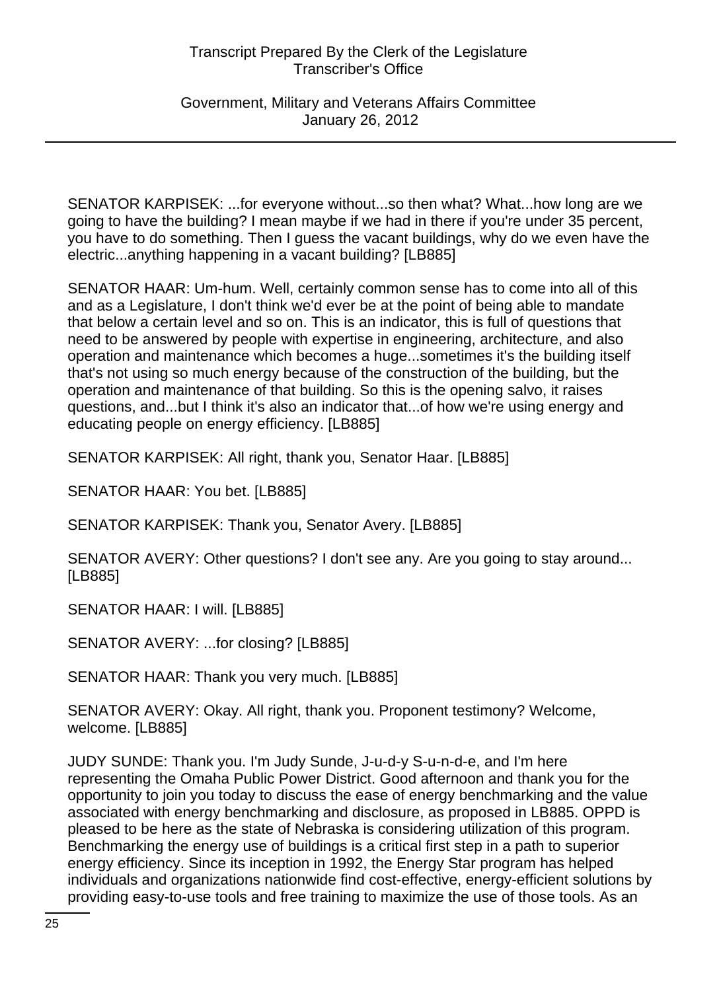Government, Military and Veterans Affairs Committee January 26, 2012

SENATOR KARPISEK: ...for everyone without...so then what? What...how long are we going to have the building? I mean maybe if we had in there if you're under 35 percent, you have to do something. Then I guess the vacant buildings, why do we even have the electric...anything happening in a vacant building? [LB885]

SENATOR HAAR: Um-hum. Well, certainly common sense has to come into all of this and as a Legislature, I don't think we'd ever be at the point of being able to mandate that below a certain level and so on. This is an indicator, this is full of questions that need to be answered by people with expertise in engineering, architecture, and also operation and maintenance which becomes a huge...sometimes it's the building itself that's not using so much energy because of the construction of the building, but the operation and maintenance of that building. So this is the opening salvo, it raises questions, and...but I think it's also an indicator that...of how we're using energy and educating people on energy efficiency. [LB885]

SENATOR KARPISEK: All right, thank you, Senator Haar. [LB885]

SENATOR HAAR: You bet. [LB885]

SENATOR KARPISEK: Thank you, Senator Avery. [LB885]

SENATOR AVERY: Other questions? I don't see any. Are you going to stay around... [LB885]

SENATOR HAAR: I will. [LB885]

SENATOR AVERY: ...for closing? [LB885]

SENATOR HAAR: Thank you very much. [LB885]

SENATOR AVERY: Okay. All right, thank you. Proponent testimony? Welcome, welcome. [LB885]

JUDY SUNDE: Thank you. I'm Judy Sunde, J-u-d-y S-u-n-d-e, and I'm here representing the Omaha Public Power District. Good afternoon and thank you for the opportunity to join you today to discuss the ease of energy benchmarking and the value associated with energy benchmarking and disclosure, as proposed in LB885. OPPD is pleased to be here as the state of Nebraska is considering utilization of this program. Benchmarking the energy use of buildings is a critical first step in a path to superior energy efficiency. Since its inception in 1992, the Energy Star program has helped individuals and organizations nationwide find cost-effective, energy-efficient solutions by providing easy-to-use tools and free training to maximize the use of those tools. As an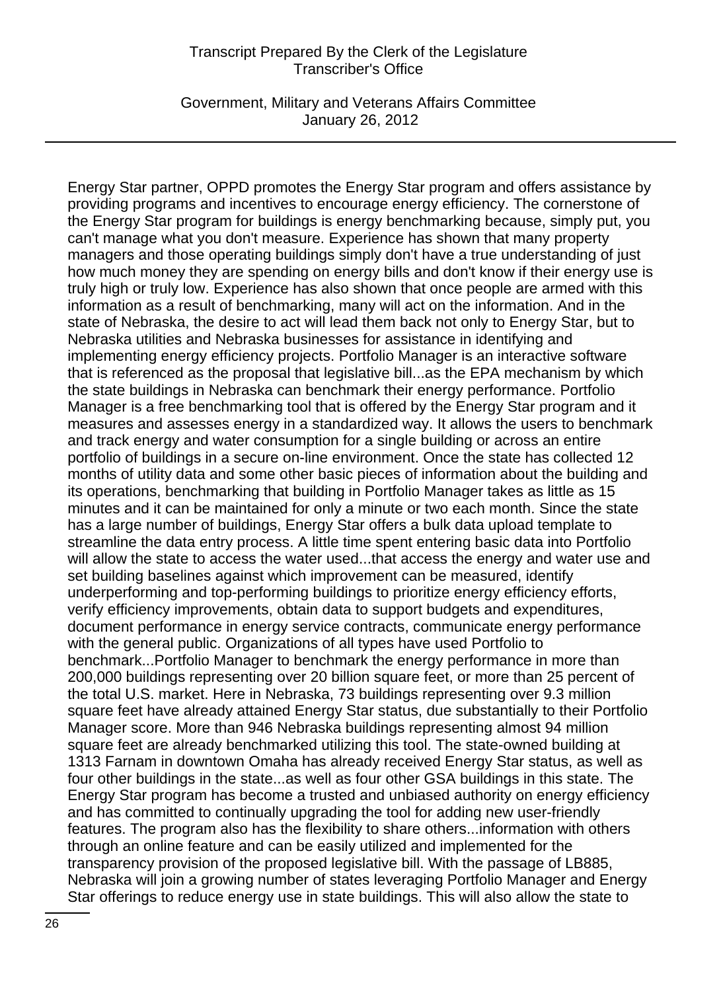Government, Military and Veterans Affairs Committee January 26, 2012

Energy Star partner, OPPD promotes the Energy Star program and offers assistance by providing programs and incentives to encourage energy efficiency. The cornerstone of the Energy Star program for buildings is energy benchmarking because, simply put, you can't manage what you don't measure. Experience has shown that many property managers and those operating buildings simply don't have a true understanding of just how much money they are spending on energy bills and don't know if their energy use is truly high or truly low. Experience has also shown that once people are armed with this information as a result of benchmarking, many will act on the information. And in the state of Nebraska, the desire to act will lead them back not only to Energy Star, but to Nebraska utilities and Nebraska businesses for assistance in identifying and implementing energy efficiency projects. Portfolio Manager is an interactive software that is referenced as the proposal that legislative bill...as the EPA mechanism by which the state buildings in Nebraska can benchmark their energy performance. Portfolio Manager is a free benchmarking tool that is offered by the Energy Star program and it measures and assesses energy in a standardized way. It allows the users to benchmark and track energy and water consumption for a single building or across an entire portfolio of buildings in a secure on-line environment. Once the state has collected 12 months of utility data and some other basic pieces of information about the building and its operations, benchmarking that building in Portfolio Manager takes as little as 15 minutes and it can be maintained for only a minute or two each month. Since the state has a large number of buildings, Energy Star offers a bulk data upload template to streamline the data entry process. A little time spent entering basic data into Portfolio will allow the state to access the water used...that access the energy and water use and set building baselines against which improvement can be measured, identify underperforming and top-performing buildings to prioritize energy efficiency efforts, verify efficiency improvements, obtain data to support budgets and expenditures, document performance in energy service contracts, communicate energy performance with the general public. Organizations of all types have used Portfolio to benchmark...Portfolio Manager to benchmark the energy performance in more than 200,000 buildings representing over 20 billion square feet, or more than 25 percent of the total U.S. market. Here in Nebraska, 73 buildings representing over 9.3 million square feet have already attained Energy Star status, due substantially to their Portfolio Manager score. More than 946 Nebraska buildings representing almost 94 million square feet are already benchmarked utilizing this tool. The state-owned building at 1313 Farnam in downtown Omaha has already received Energy Star status, as well as four other buildings in the state...as well as four other GSA buildings in this state. The Energy Star program has become a trusted and unbiased authority on energy efficiency and has committed to continually upgrading the tool for adding new user-friendly features. The program also has the flexibility to share others...information with others through an online feature and can be easily utilized and implemented for the transparency provision of the proposed legislative bill. With the passage of LB885, Nebraska will join a growing number of states leveraging Portfolio Manager and Energy Star offerings to reduce energy use in state buildings. This will also allow the state to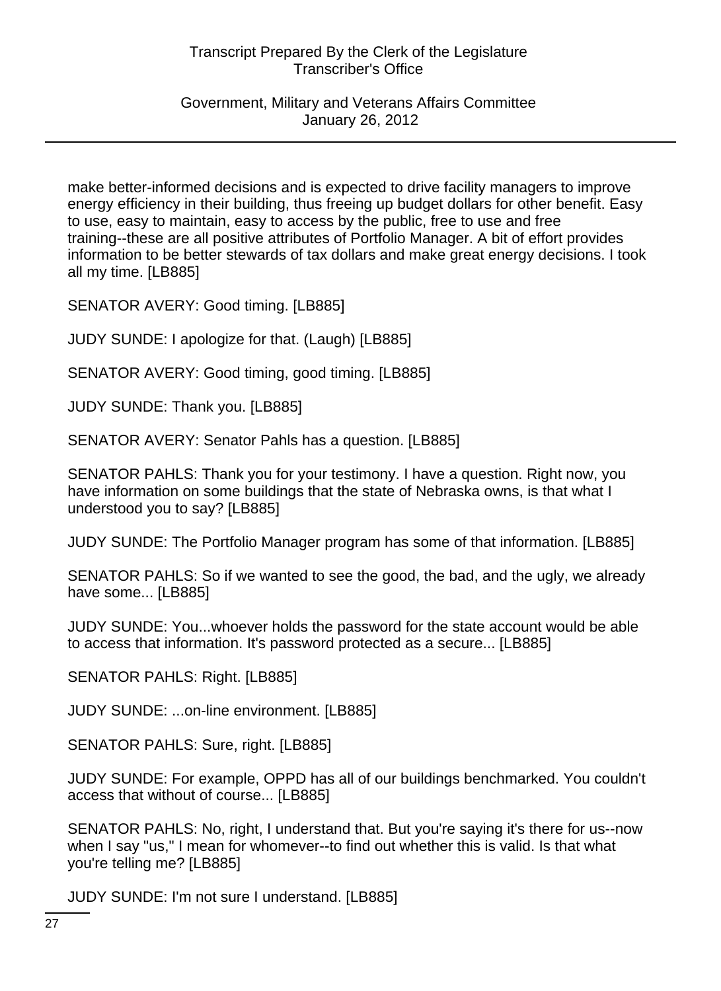Government, Military and Veterans Affairs Committee January 26, 2012

make better-informed decisions and is expected to drive facility managers to improve energy efficiency in their building, thus freeing up budget dollars for other benefit. Easy to use, easy to maintain, easy to access by the public, free to use and free training--these are all positive attributes of Portfolio Manager. A bit of effort provides information to be better stewards of tax dollars and make great energy decisions. I took all my time. [LB885]

SENATOR AVERY: Good timing. [LB885]

JUDY SUNDE: I apologize for that. (Laugh) [LB885]

SENATOR AVERY: Good timing, good timing. [LB885]

JUDY SUNDE: Thank you. [LB885]

SENATOR AVERY: Senator Pahls has a question. [LB885]

SENATOR PAHLS: Thank you for your testimony. I have a question. Right now, you have information on some buildings that the state of Nebraska owns, is that what I understood you to say? [LB885]

JUDY SUNDE: The Portfolio Manager program has some of that information. [LB885]

SENATOR PAHLS: So if we wanted to see the good, the bad, and the ugly, we already have some... [LB885]

JUDY SUNDE: You...whoever holds the password for the state account would be able to access that information. It's password protected as a secure... [LB885]

SENATOR PAHLS: Right. [LB885]

JUDY SUNDE: ...on-line environment. [LB885]

SENATOR PAHLS: Sure, right. [LB885]

JUDY SUNDE: For example, OPPD has all of our buildings benchmarked. You couldn't access that without of course... [LB885]

SENATOR PAHLS: No, right, I understand that. But you're saying it's there for us--now when I say "us," I mean for whomever--to find out whether this is valid. Is that what you're telling me? [LB885]

JUDY SUNDE: I'm not sure I understand. [LB885]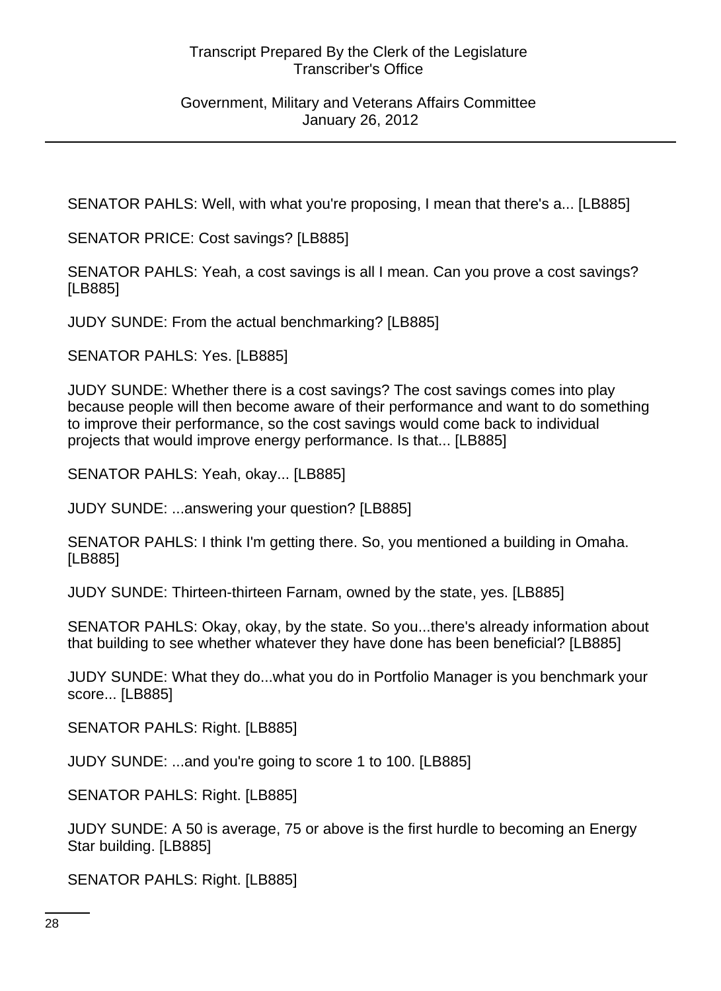#### Government, Military and Veterans Affairs Committee January 26, 2012

SENATOR PAHLS: Well, with what you're proposing, I mean that there's a... [LB885]

SENATOR PRICE: Cost savings? [LB885]

SENATOR PAHLS: Yeah, a cost savings is all I mean. Can you prove a cost savings? [LB885]

JUDY SUNDE: From the actual benchmarking? [LB885]

SENATOR PAHLS: Yes. [LB885]

JUDY SUNDE: Whether there is a cost savings? The cost savings comes into play because people will then become aware of their performance and want to do something to improve their performance, so the cost savings would come back to individual projects that would improve energy performance. Is that... [LB885]

SENATOR PAHLS: Yeah, okay... [LB885]

JUDY SUNDE: ...answering your question? [LB885]

SENATOR PAHLS: I think I'm getting there. So, you mentioned a building in Omaha. [LB885]

JUDY SUNDE: Thirteen-thirteen Farnam, owned by the state, yes. [LB885]

SENATOR PAHLS: Okay, okay, by the state. So you...there's already information about that building to see whether whatever they have done has been beneficial? [LB885]

JUDY SUNDE: What they do...what you do in Portfolio Manager is you benchmark your score... [LB885]

SENATOR PAHLS: Right. [LB885]

JUDY SUNDE: ...and you're going to score 1 to 100. [LB885]

SENATOR PAHLS: Right. [LB885]

JUDY SUNDE: A 50 is average, 75 or above is the first hurdle to becoming an Energy Star building. [LB885]

SENATOR PAHLS: Right. [LB885]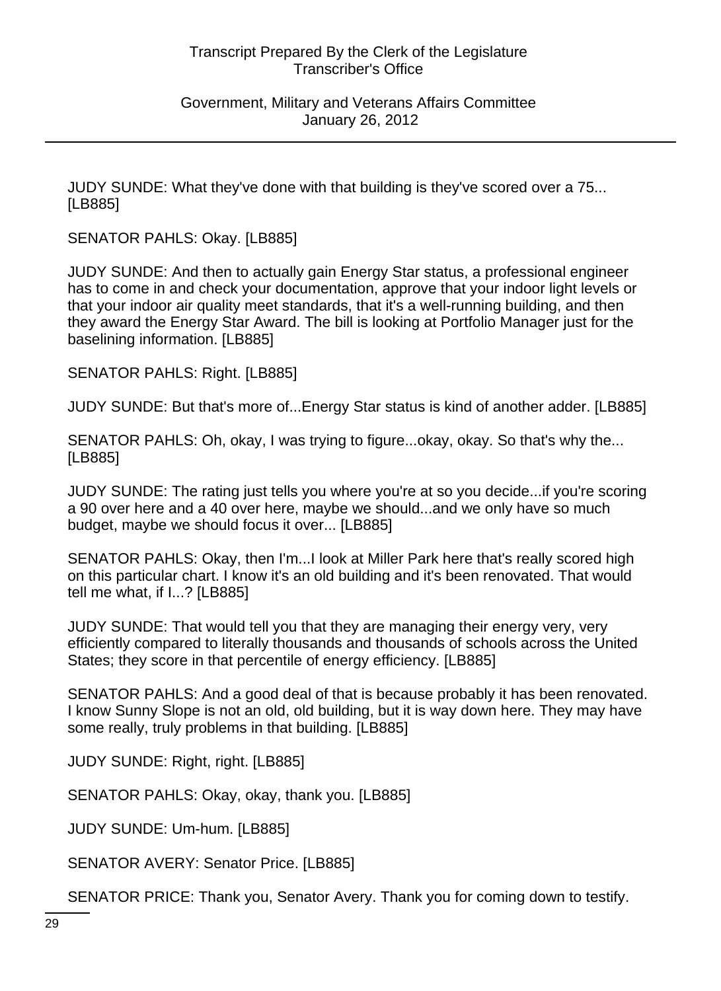#### Government, Military and Veterans Affairs Committee January 26, 2012

JUDY SUNDE: What they've done with that building is they've scored over a 75... [LB885]

SENATOR PAHLS: Okay. [LB885]

JUDY SUNDE: And then to actually gain Energy Star status, a professional engineer has to come in and check your documentation, approve that your indoor light levels or that your indoor air quality meet standards, that it's a well-running building, and then they award the Energy Star Award. The bill is looking at Portfolio Manager just for the baselining information. [LB885]

SENATOR PAHLS: Right. [LB885]

JUDY SUNDE: But that's more of...Energy Star status is kind of another adder. [LB885]

SENATOR PAHLS: Oh, okay, I was trying to figure...okay, okay. So that's why the... [LB885]

JUDY SUNDE: The rating just tells you where you're at so you decide...if you're scoring a 90 over here and a 40 over here, maybe we should...and we only have so much budget, maybe we should focus it over... [LB885]

SENATOR PAHLS: Okay, then I'm...I look at Miller Park here that's really scored high on this particular chart. I know it's an old building and it's been renovated. That would tell me what, if I...? [LB885]

JUDY SUNDE: That would tell you that they are managing their energy very, very efficiently compared to literally thousands and thousands of schools across the United States; they score in that percentile of energy efficiency. [LB885]

SENATOR PAHLS: And a good deal of that is because probably it has been renovated. I know Sunny Slope is not an old, old building, but it is way down here. They may have some really, truly problems in that building. [LB885]

JUDY SUNDE: Right, right. [LB885]

SENATOR PAHLS: Okay, okay, thank you. [LB885]

JUDY SUNDE: Um-hum. [LB885]

SENATOR AVERY: Senator Price. [LB885]

SENATOR PRICE: Thank you, Senator Avery. Thank you for coming down to testify.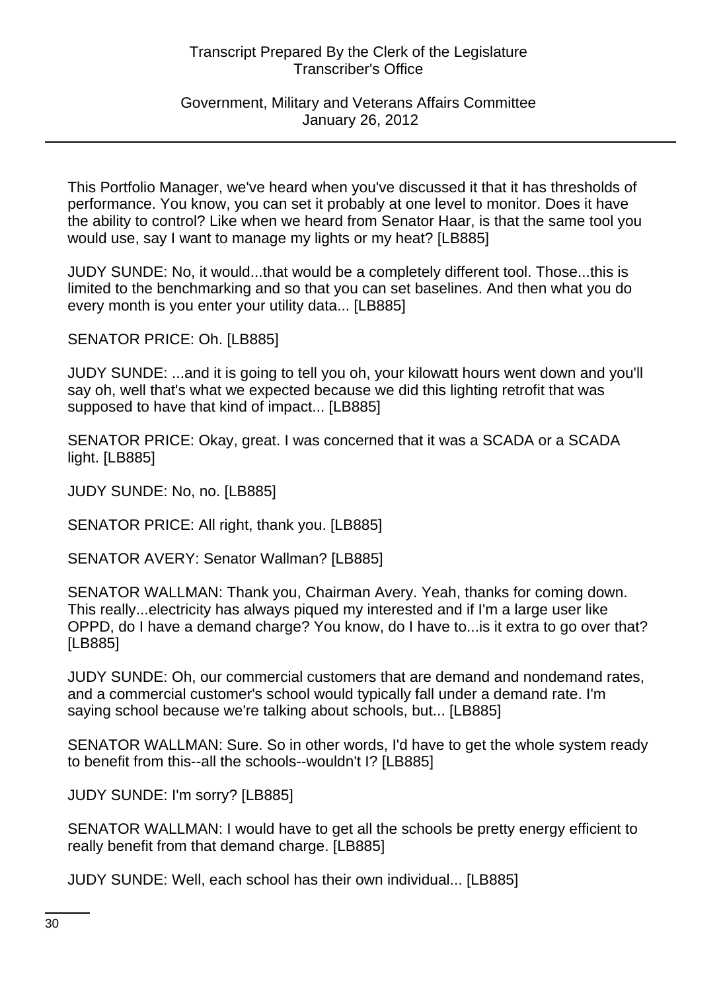#### Government, Military and Veterans Affairs Committee January 26, 2012

This Portfolio Manager, we've heard when you've discussed it that it has thresholds of performance. You know, you can set it probably at one level to monitor. Does it have the ability to control? Like when we heard from Senator Haar, is that the same tool you would use, say I want to manage my lights or my heat? [LB885]

JUDY SUNDE: No, it would...that would be a completely different tool. Those...this is limited to the benchmarking and so that you can set baselines. And then what you do every month is you enter your utility data... [LB885]

SENATOR PRICE: Oh. [LB885]

JUDY SUNDE: ...and it is going to tell you oh, your kilowatt hours went down and you'll say oh, well that's what we expected because we did this lighting retrofit that was supposed to have that kind of impact... [LB885]

SENATOR PRICE: Okay, great. I was concerned that it was a SCADA or a SCADA light. [LB885]

JUDY SUNDE: No, no. [LB885]

SENATOR PRICE: All right, thank you. [LB885]

SENATOR AVERY: Senator Wallman? [LB885]

SENATOR WALLMAN: Thank you, Chairman Avery. Yeah, thanks for coming down. This really...electricity has always piqued my interested and if I'm a large user like OPPD, do I have a demand charge? You know, do I have to...is it extra to go over that? [LB885]

JUDY SUNDE: Oh, our commercial customers that are demand and nondemand rates, and a commercial customer's school would typically fall under a demand rate. I'm saying school because we're talking about schools, but... [LB885]

SENATOR WALLMAN: Sure. So in other words, I'd have to get the whole system ready to benefit from this--all the schools--wouldn't I? [LB885]

JUDY SUNDE: I'm sorry? [LB885]

SENATOR WALLMAN: I would have to get all the schools be pretty energy efficient to really benefit from that demand charge. [LB885]

JUDY SUNDE: Well, each school has their own individual... [LB885]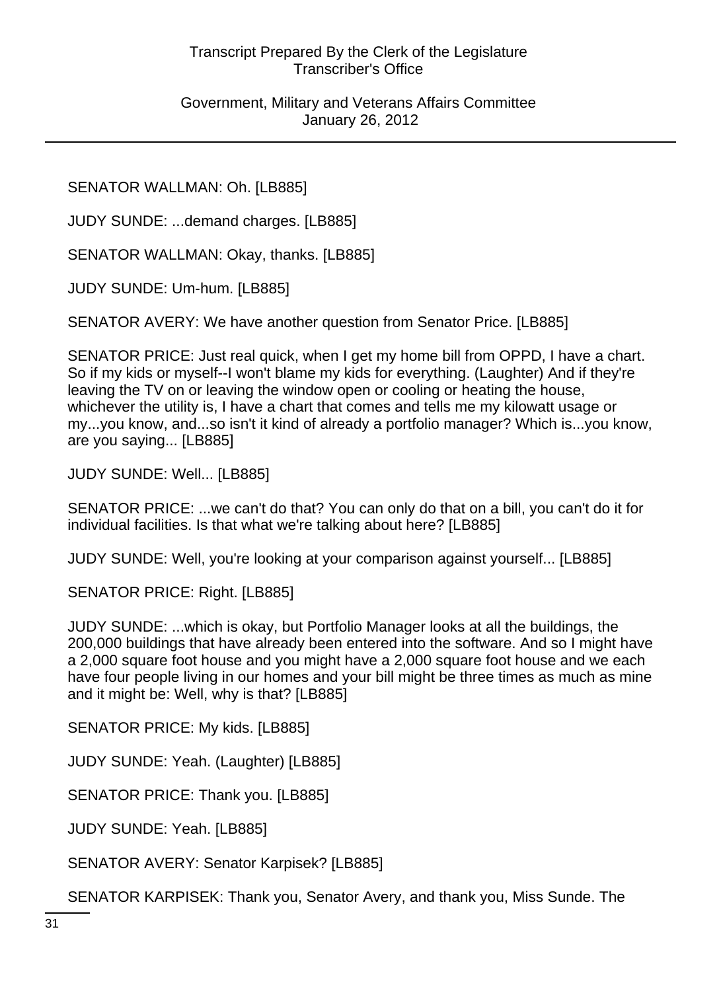Government, Military and Veterans Affairs Committee January 26, 2012

SENATOR WALLMAN: Oh. [LB885]

JUDY SUNDE: ...demand charges. [LB885]

SENATOR WALLMAN: Okay, thanks. [LB885]

JUDY SUNDE: Um-hum. [LB885]

SENATOR AVERY: We have another question from Senator Price. [LB885]

SENATOR PRICE: Just real quick, when I get my home bill from OPPD, I have a chart. So if my kids or myself--I won't blame my kids for everything. (Laughter) And if they're leaving the TV on or leaving the window open or cooling or heating the house, whichever the utility is, I have a chart that comes and tells me my kilowatt usage or my...you know, and...so isn't it kind of already a portfolio manager? Which is...you know, are you saying... [LB885]

JUDY SUNDE: Well... [LB885]

SENATOR PRICE: ...we can't do that? You can only do that on a bill, you can't do it for individual facilities. Is that what we're talking about here? [LB885]

JUDY SUNDE: Well, you're looking at your comparison against yourself... [LB885]

SENATOR PRICE: Right. [LB885]

JUDY SUNDE: ...which is okay, but Portfolio Manager looks at all the buildings, the 200,000 buildings that have already been entered into the software. And so I might have a 2,000 square foot house and you might have a 2,000 square foot house and we each have four people living in our homes and your bill might be three times as much as mine and it might be: Well, why is that? [LB885]

SENATOR PRICE: My kids. [LB885]

JUDY SUNDE: Yeah. (Laughter) [LB885]

SENATOR PRICE: Thank you. [LB885]

JUDY SUNDE: Yeah. [LB885]

SENATOR AVERY: Senator Karpisek? [LB885]

SENATOR KARPISEK: Thank you, Senator Avery, and thank you, Miss Sunde. The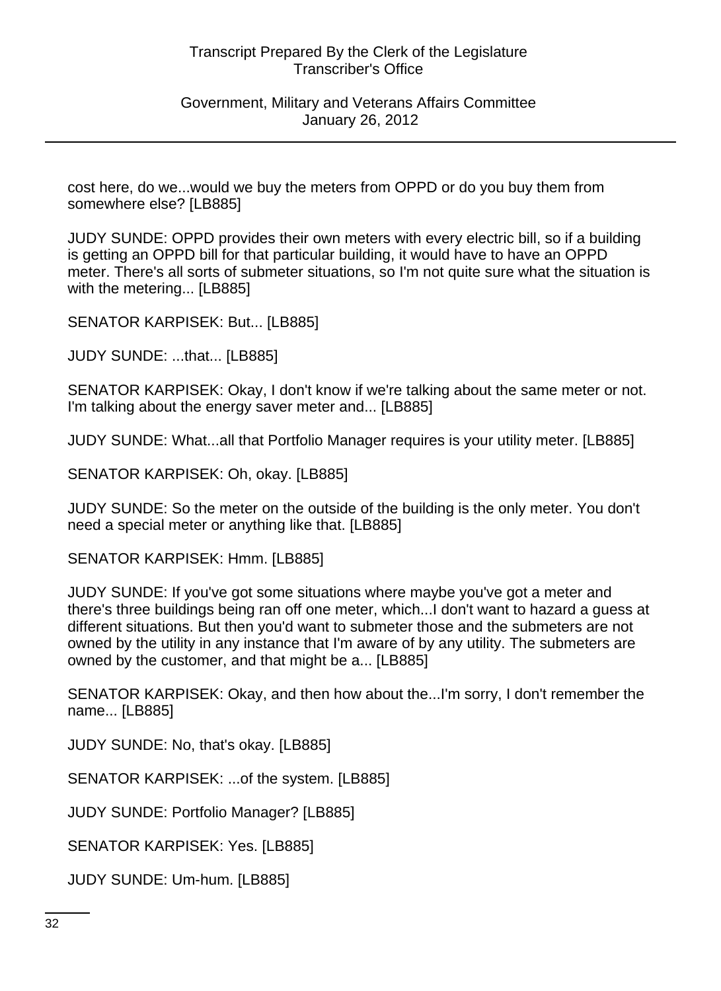Government, Military and Veterans Affairs Committee January 26, 2012

cost here, do we...would we buy the meters from OPPD or do you buy them from somewhere else? [LB885]

JUDY SUNDE: OPPD provides their own meters with every electric bill, so if a building is getting an OPPD bill for that particular building, it would have to have an OPPD meter. There's all sorts of submeter situations, so I'm not quite sure what the situation is with the metering... [LB885]

SENATOR KARPISEK: But... [LB885]

JUDY SUNDE: ...that... [LB885]

SENATOR KARPISEK: Okay, I don't know if we're talking about the same meter or not. I'm talking about the energy saver meter and... [LB885]

JUDY SUNDE: What...all that Portfolio Manager requires is your utility meter. [LB885]

SENATOR KARPISEK: Oh, okay. [LB885]

JUDY SUNDE: So the meter on the outside of the building is the only meter. You don't need a special meter or anything like that. [LB885]

SENATOR KARPISEK: Hmm. [LB885]

JUDY SUNDE: If you've got some situations where maybe you've got a meter and there's three buildings being ran off one meter, which...I don't want to hazard a guess at different situations. But then you'd want to submeter those and the submeters are not owned by the utility in any instance that I'm aware of by any utility. The submeters are owned by the customer, and that might be a... [LB885]

SENATOR KARPISEK: Okay, and then how about the...I'm sorry, I don't remember the name... [LB885]

JUDY SUNDE: No, that's okay. [LB885]

SENATOR KARPISEK: ...of the system. [LB885]

JUDY SUNDE: Portfolio Manager? [LB885]

SENATOR KARPISEK: Yes. [LB885]

JUDY SUNDE: Um-hum. [LB885]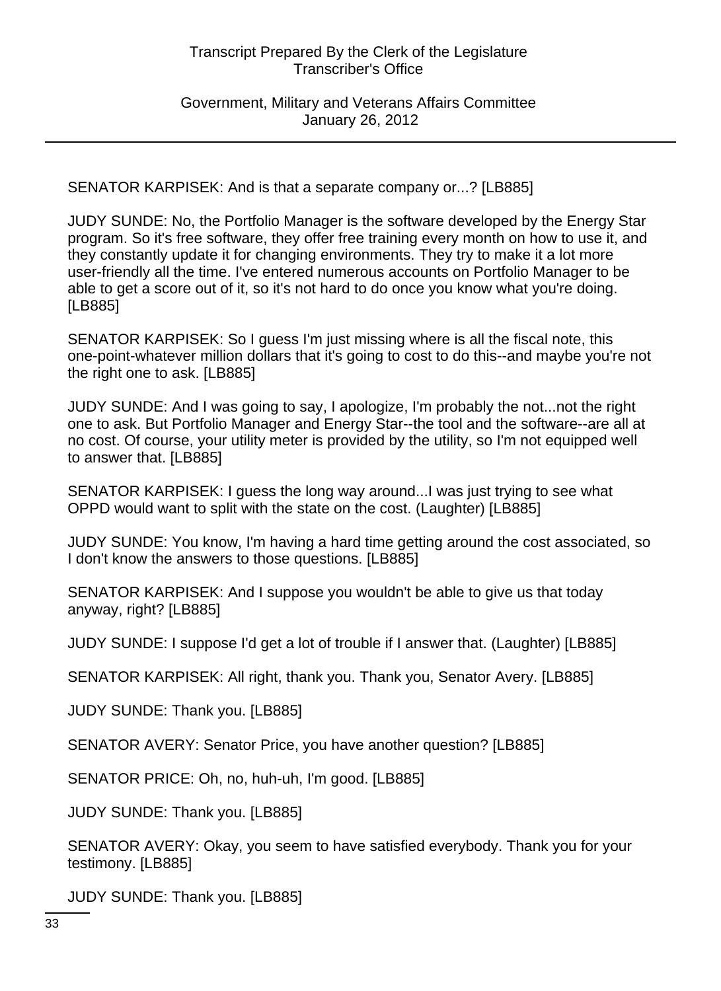Government, Military and Veterans Affairs Committee January 26, 2012

SENATOR KARPISEK: And is that a separate company or...? [LB885]

JUDY SUNDE: No, the Portfolio Manager is the software developed by the Energy Star program. So it's free software, they offer free training every month on how to use it, and they constantly update it for changing environments. They try to make it a lot more user-friendly all the time. I've entered numerous accounts on Portfolio Manager to be able to get a score out of it, so it's not hard to do once you know what you're doing. [LB885]

SENATOR KARPISEK: So I guess I'm just missing where is all the fiscal note, this one-point-whatever million dollars that it's going to cost to do this--and maybe you're not the right one to ask. [LB885]

JUDY SUNDE: And I was going to say, I apologize, I'm probably the not...not the right one to ask. But Portfolio Manager and Energy Star--the tool and the software--are all at no cost. Of course, your utility meter is provided by the utility, so I'm not equipped well to answer that. [LB885]

SENATOR KARPISEK: I guess the long way around...I was just trying to see what OPPD would want to split with the state on the cost. (Laughter) [LB885]

JUDY SUNDE: You know, I'm having a hard time getting around the cost associated, so I don't know the answers to those questions. [LB885]

SENATOR KARPISEK: And I suppose you wouldn't be able to give us that today anyway, right? [LB885]

JUDY SUNDE: I suppose I'd get a lot of trouble if I answer that. (Laughter) [LB885]

SENATOR KARPISEK: All right, thank you. Thank you, Senator Avery. [LB885]

JUDY SUNDE: Thank you. [LB885]

SENATOR AVERY: Senator Price, you have another question? [LB885]

SENATOR PRICE: Oh, no, huh-uh, I'm good. [LB885]

JUDY SUNDE: Thank you. [LB885]

SENATOR AVERY: Okay, you seem to have satisfied everybody. Thank you for your testimony. [LB885]

JUDY SUNDE: Thank you. [LB885]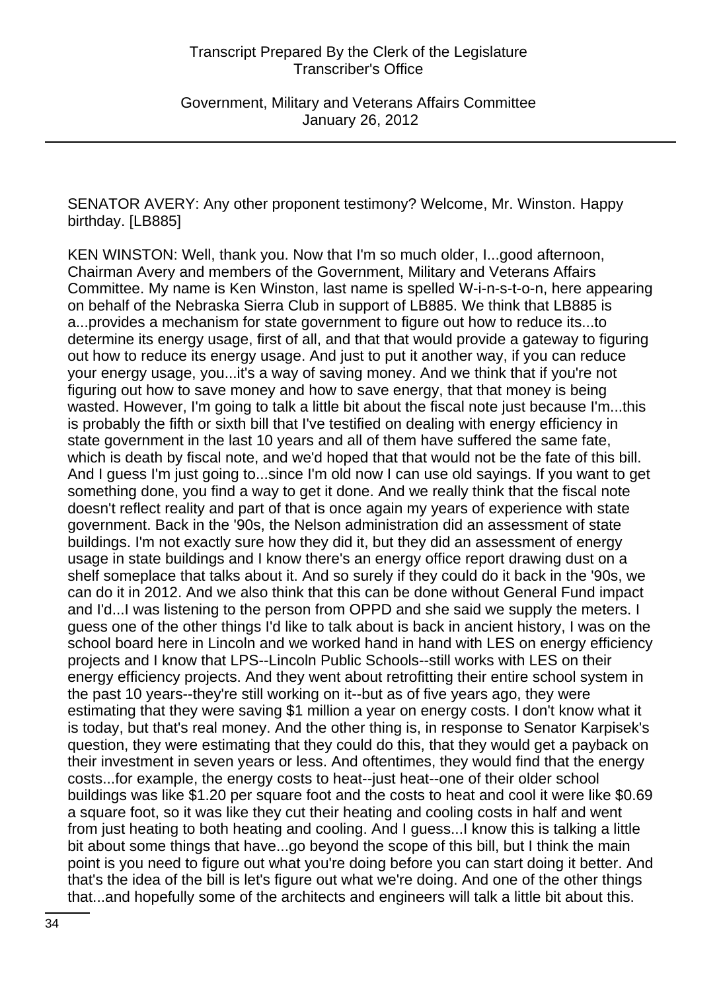SENATOR AVERY: Any other proponent testimony? Welcome, Mr. Winston. Happy birthday. [LB885]

KEN WINSTON: Well, thank you. Now that I'm so much older, I...good afternoon, Chairman Avery and members of the Government, Military and Veterans Affairs Committee. My name is Ken Winston, last name is spelled W-i-n-s-t-o-n, here appearing on behalf of the Nebraska Sierra Club in support of LB885. We think that LB885 is a...provides a mechanism for state government to figure out how to reduce its...to determine its energy usage, first of all, and that that would provide a gateway to figuring out how to reduce its energy usage. And just to put it another way, if you can reduce your energy usage, you...it's a way of saving money. And we think that if you're not figuring out how to save money and how to save energy, that that money is being wasted. However, I'm going to talk a little bit about the fiscal note just because I'm...this is probably the fifth or sixth bill that I've testified on dealing with energy efficiency in state government in the last 10 years and all of them have suffered the same fate, which is death by fiscal note, and we'd hoped that that would not be the fate of this bill. And I guess I'm just going to...since I'm old now I can use old sayings. If you want to get something done, you find a way to get it done. And we really think that the fiscal note doesn't reflect reality and part of that is once again my years of experience with state government. Back in the '90s, the Nelson administration did an assessment of state buildings. I'm not exactly sure how they did it, but they did an assessment of energy usage in state buildings and I know there's an energy office report drawing dust on a shelf someplace that talks about it. And so surely if they could do it back in the '90s, we can do it in 2012. And we also think that this can be done without General Fund impact and I'd...I was listening to the person from OPPD and she said we supply the meters. I guess one of the other things I'd like to talk about is back in ancient history, I was on the school board here in Lincoln and we worked hand in hand with LES on energy efficiency projects and I know that LPS--Lincoln Public Schools--still works with LES on their energy efficiency projects. And they went about retrofitting their entire school system in the past 10 years--they're still working on it--but as of five years ago, they were estimating that they were saving \$1 million a year on energy costs. I don't know what it is today, but that's real money. And the other thing is, in response to Senator Karpisek's question, they were estimating that they could do this, that they would get a payback on their investment in seven years or less. And oftentimes, they would find that the energy costs...for example, the energy costs to heat--just heat--one of their older school buildings was like \$1.20 per square foot and the costs to heat and cool it were like \$0.69 a square foot, so it was like they cut their heating and cooling costs in half and went from just heating to both heating and cooling. And I guess...I know this is talking a little bit about some things that have...go beyond the scope of this bill, but I think the main point is you need to figure out what you're doing before you can start doing it better. And that's the idea of the bill is let's figure out what we're doing. And one of the other things that...and hopefully some of the architects and engineers will talk a little bit about this.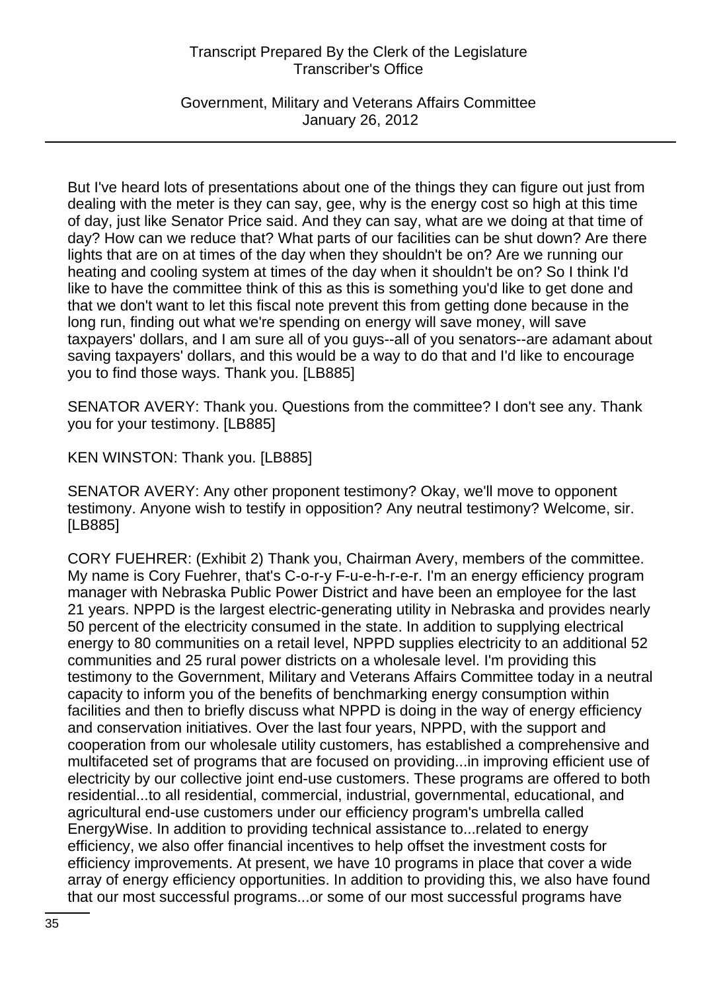Government, Military and Veterans Affairs Committee January 26, 2012

But I've heard lots of presentations about one of the things they can figure out just from dealing with the meter is they can say, gee, why is the energy cost so high at this time of day, just like Senator Price said. And they can say, what are we doing at that time of day? How can we reduce that? What parts of our facilities can be shut down? Are there lights that are on at times of the day when they shouldn't be on? Are we running our heating and cooling system at times of the day when it shouldn't be on? So I think I'd like to have the committee think of this as this is something you'd like to get done and that we don't want to let this fiscal note prevent this from getting done because in the long run, finding out what we're spending on energy will save money, will save taxpayers' dollars, and I am sure all of you guys--all of you senators--are adamant about saving taxpayers' dollars, and this would be a way to do that and I'd like to encourage you to find those ways. Thank you. [LB885]

SENATOR AVERY: Thank you. Questions from the committee? I don't see any. Thank you for your testimony. [LB885]

KEN WINSTON: Thank you. [LB885]

SENATOR AVERY: Any other proponent testimony? Okay, we'll move to opponent testimony. Anyone wish to testify in opposition? Any neutral testimony? Welcome, sir. [LB885]

CORY FUEHRER: (Exhibit 2) Thank you, Chairman Avery, members of the committee. My name is Cory Fuehrer, that's C-o-r-y F-u-e-h-r-e-r. I'm an energy efficiency program manager with Nebraska Public Power District and have been an employee for the last 21 years. NPPD is the largest electric-generating utility in Nebraska and provides nearly 50 percent of the electricity consumed in the state. In addition to supplying electrical energy to 80 communities on a retail level, NPPD supplies electricity to an additional 52 communities and 25 rural power districts on a wholesale level. I'm providing this testimony to the Government, Military and Veterans Affairs Committee today in a neutral capacity to inform you of the benefits of benchmarking energy consumption within facilities and then to briefly discuss what NPPD is doing in the way of energy efficiency and conservation initiatives. Over the last four years, NPPD, with the support and cooperation from our wholesale utility customers, has established a comprehensive and multifaceted set of programs that are focused on providing...in improving efficient use of electricity by our collective joint end-use customers. These programs are offered to both residential...to all residential, commercial, industrial, governmental, educational, and agricultural end-use customers under our efficiency program's umbrella called EnergyWise. In addition to providing technical assistance to...related to energy efficiency, we also offer financial incentives to help offset the investment costs for efficiency improvements. At present, we have 10 programs in place that cover a wide array of energy efficiency opportunities. In addition to providing this, we also have found that our most successful programs...or some of our most successful programs have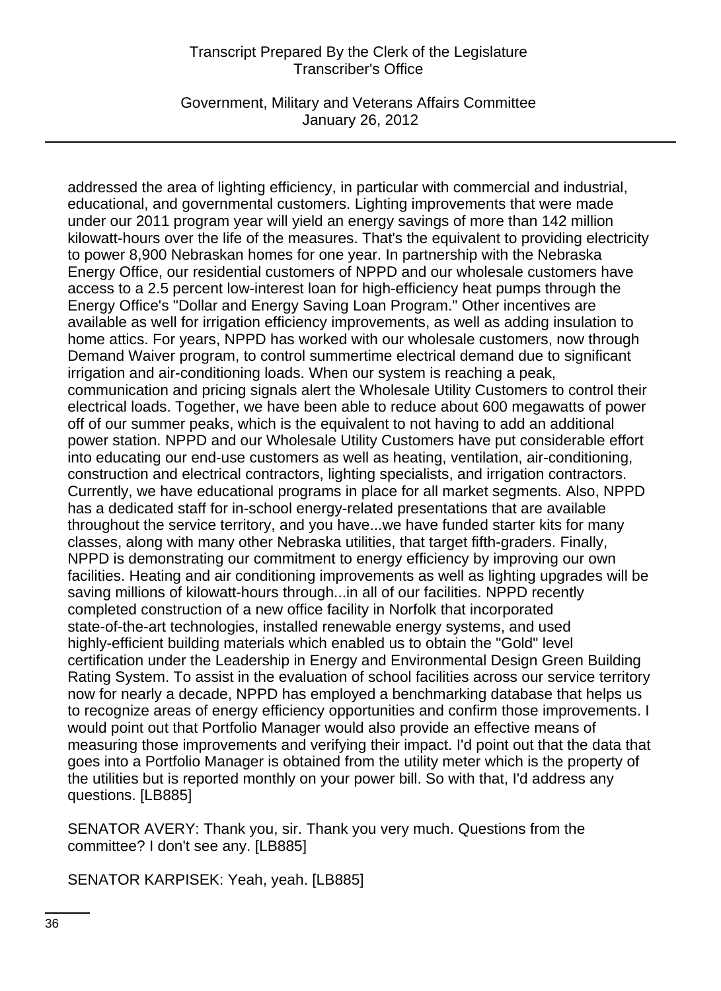Government, Military and Veterans Affairs Committee January 26, 2012

addressed the area of lighting efficiency, in particular with commercial and industrial, educational, and governmental customers. Lighting improvements that were made under our 2011 program year will yield an energy savings of more than 142 million kilowatt-hours over the life of the measures. That's the equivalent to providing electricity to power 8,900 Nebraskan homes for one year. In partnership with the Nebraska Energy Office, our residential customers of NPPD and our wholesale customers have access to a 2.5 percent low-interest loan for high-efficiency heat pumps through the Energy Office's "Dollar and Energy Saving Loan Program." Other incentives are available as well for irrigation efficiency improvements, as well as adding insulation to home attics. For years, NPPD has worked with our wholesale customers, now through Demand Waiver program, to control summertime electrical demand due to significant irrigation and air-conditioning loads. When our system is reaching a peak, communication and pricing signals alert the Wholesale Utility Customers to control their electrical loads. Together, we have been able to reduce about 600 megawatts of power off of our summer peaks, which is the equivalent to not having to add an additional power station. NPPD and our Wholesale Utility Customers have put considerable effort into educating our end-use customers as well as heating, ventilation, air-conditioning, construction and electrical contractors, lighting specialists, and irrigation contractors. Currently, we have educational programs in place for all market segments. Also, NPPD has a dedicated staff for in-school energy-related presentations that are available throughout the service territory, and you have...we have funded starter kits for many classes, along with many other Nebraska utilities, that target fifth-graders. Finally, NPPD is demonstrating our commitment to energy efficiency by improving our own facilities. Heating and air conditioning improvements as well as lighting upgrades will be saving millions of kilowatt-hours through...in all of our facilities. NPPD recently completed construction of a new office facility in Norfolk that incorporated state-of-the-art technologies, installed renewable energy systems, and used highly-efficient building materials which enabled us to obtain the "Gold" level certification under the Leadership in Energy and Environmental Design Green Building Rating System. To assist in the evaluation of school facilities across our service territory now for nearly a decade, NPPD has employed a benchmarking database that helps us to recognize areas of energy efficiency opportunities and confirm those improvements. I would point out that Portfolio Manager would also provide an effective means of measuring those improvements and verifying their impact. I'd point out that the data that goes into a Portfolio Manager is obtained from the utility meter which is the property of the utilities but is reported monthly on your power bill. So with that, I'd address any questions. [LB885]

SENATOR AVERY: Thank you, sir. Thank you very much. Questions from the committee? I don't see any. [LB885]

SENATOR KARPISEK: Yeah, yeah. [LB885]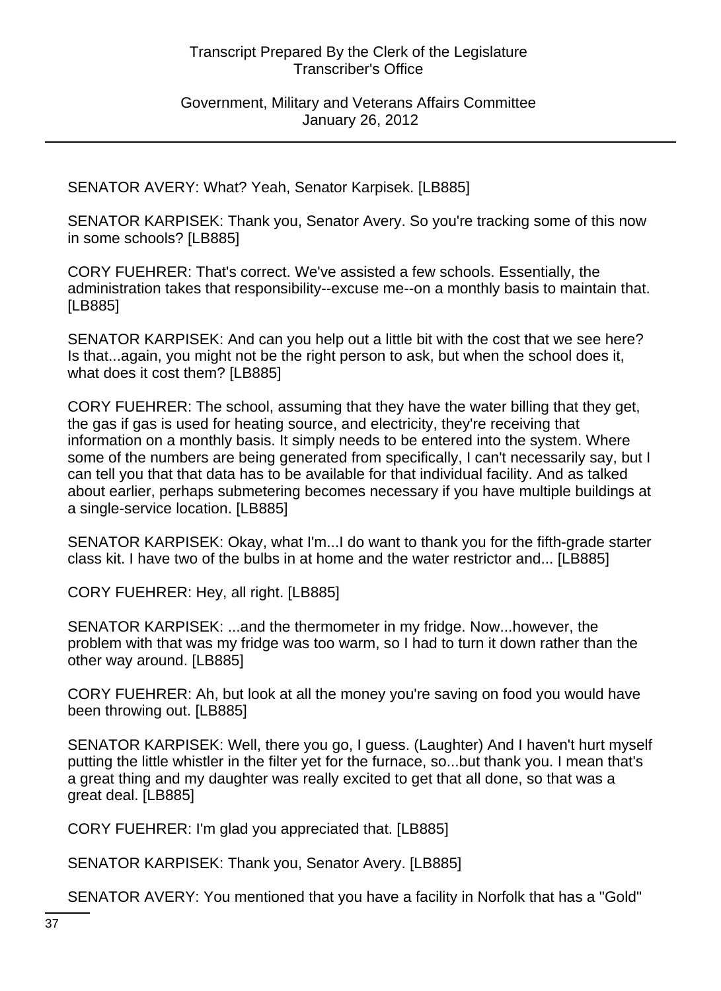SENATOR AVERY: What? Yeah, Senator Karpisek. [LB885]

SENATOR KARPISEK: Thank you, Senator Avery. So you're tracking some of this now in some schools? [LB885]

CORY FUEHRER: That's correct. We've assisted a few schools. Essentially, the administration takes that responsibility--excuse me--on a monthly basis to maintain that. [LB885]

SENATOR KARPISEK: And can you help out a little bit with the cost that we see here? Is that...again, you might not be the right person to ask, but when the school does it, what does it cost them? [LB885]

CORY FUEHRER: The school, assuming that they have the water billing that they get, the gas if gas is used for heating source, and electricity, they're receiving that information on a monthly basis. It simply needs to be entered into the system. Where some of the numbers are being generated from specifically, I can't necessarily say, but I can tell you that that data has to be available for that individual facility. And as talked about earlier, perhaps submetering becomes necessary if you have multiple buildings at a single-service location. [LB885]

SENATOR KARPISEK: Okay, what I'm...I do want to thank you for the fifth-grade starter class kit. I have two of the bulbs in at home and the water restrictor and... [LB885]

CORY FUEHRER: Hey, all right. [LB885]

SENATOR KARPISEK: ...and the thermometer in my fridge. Now...however, the problem with that was my fridge was too warm, so I had to turn it down rather than the other way around. [LB885]

CORY FUEHRER: Ah, but look at all the money you're saving on food you would have been throwing out. [LB885]

SENATOR KARPISEK: Well, there you go, I guess. (Laughter) And I haven't hurt myself putting the little whistler in the filter yet for the furnace, so...but thank you. I mean that's a great thing and my daughter was really excited to get that all done, so that was a great deal. [LB885]

CORY FUEHRER: I'm glad you appreciated that. [LB885]

SENATOR KARPISEK: Thank you, Senator Avery. [LB885]

SENATOR AVERY: You mentioned that you have a facility in Norfolk that has a "Gold"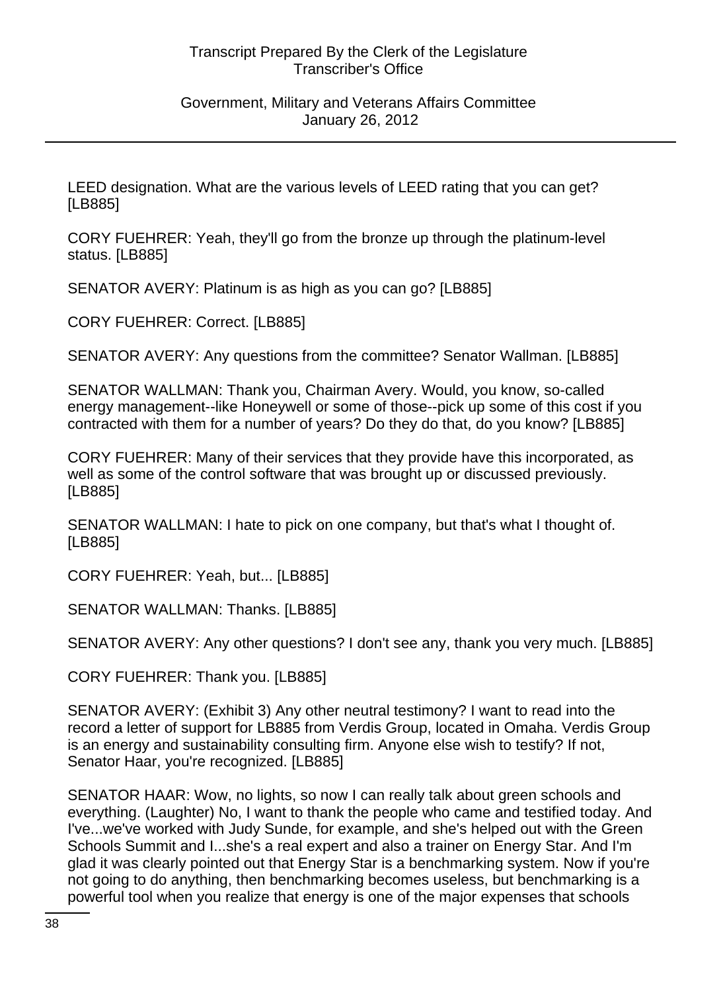#### Government, Military and Veterans Affairs Committee January 26, 2012

LEED designation. What are the various levels of LEED rating that you can get? [LB885]

CORY FUEHRER: Yeah, they'll go from the bronze up through the platinum-level status. [LB885]

SENATOR AVERY: Platinum is as high as you can go? [LB885]

CORY FUEHRER: Correct. [LB885]

SENATOR AVERY: Any questions from the committee? Senator Wallman. [LB885]

SENATOR WALLMAN: Thank you, Chairman Avery. Would, you know, so-called energy management--like Honeywell or some of those--pick up some of this cost if you contracted with them for a number of years? Do they do that, do you know? [LB885]

CORY FUEHRER: Many of their services that they provide have this incorporated, as well as some of the control software that was brought up or discussed previously. [LB885]

SENATOR WALLMAN: I hate to pick on one company, but that's what I thought of. [LB885]

CORY FUEHRER: Yeah, but... [LB885]

SENATOR WALLMAN: Thanks. [LB885]

SENATOR AVERY: Any other questions? I don't see any, thank you very much. [LB885]

CORY FUEHRER: Thank you. [LB885]

SENATOR AVERY: (Exhibit 3) Any other neutral testimony? I want to read into the record a letter of support for LB885 from Verdis Group, located in Omaha. Verdis Group is an energy and sustainability consulting firm. Anyone else wish to testify? If not, Senator Haar, you're recognized. [LB885]

SENATOR HAAR: Wow, no lights, so now I can really talk about green schools and everything. (Laughter) No, I want to thank the people who came and testified today. And I've...we've worked with Judy Sunde, for example, and she's helped out with the Green Schools Summit and I...she's a real expert and also a trainer on Energy Star. And I'm glad it was clearly pointed out that Energy Star is a benchmarking system. Now if you're not going to do anything, then benchmarking becomes useless, but benchmarking is a powerful tool when you realize that energy is one of the major expenses that schools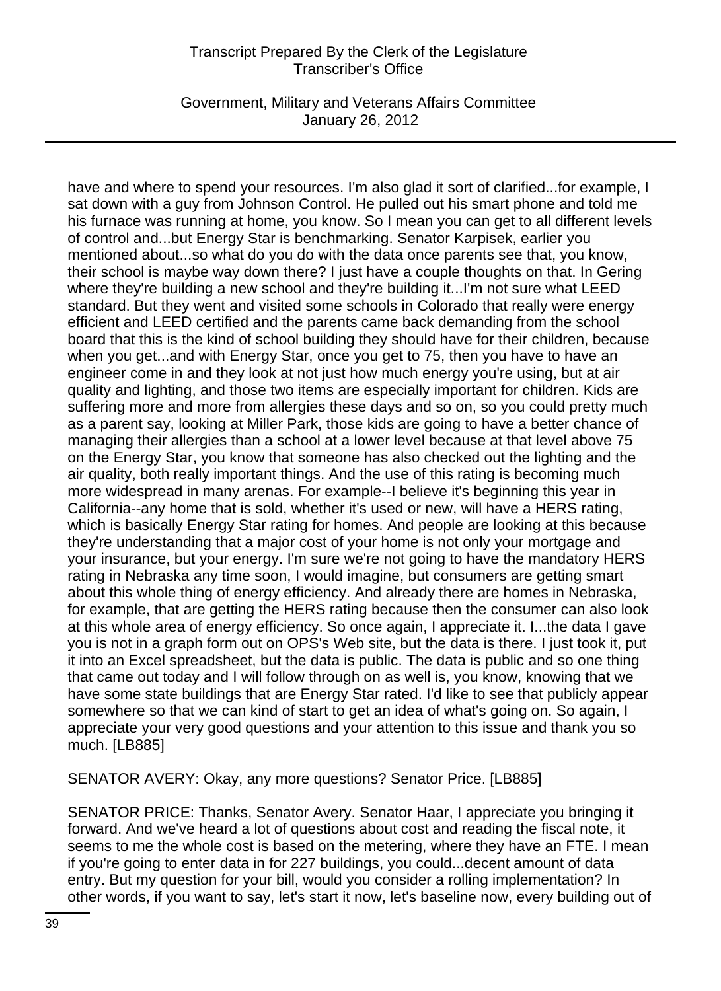Government, Military and Veterans Affairs Committee January 26, 2012

have and where to spend your resources. I'm also glad it sort of clarified...for example, I sat down with a guy from Johnson Control. He pulled out his smart phone and told me his furnace was running at home, you know. So I mean you can get to all different levels of control and...but Energy Star is benchmarking. Senator Karpisek, earlier you mentioned about...so what do you do with the data once parents see that, you know, their school is maybe way down there? I just have a couple thoughts on that. In Gering where they're building a new school and they're building it...I'm not sure what LEED standard. But they went and visited some schools in Colorado that really were energy efficient and LEED certified and the parents came back demanding from the school board that this is the kind of school building they should have for their children, because when you get...and with Energy Star, once you get to 75, then you have to have an engineer come in and they look at not just how much energy you're using, but at air quality and lighting, and those two items are especially important for children. Kids are suffering more and more from allergies these days and so on, so you could pretty much as a parent say, looking at Miller Park, those kids are going to have a better chance of managing their allergies than a school at a lower level because at that level above 75 on the Energy Star, you know that someone has also checked out the lighting and the air quality, both really important things. And the use of this rating is becoming much more widespread in many arenas. For example--I believe it's beginning this year in California--any home that is sold, whether it's used or new, will have a HERS rating, which is basically Energy Star rating for homes. And people are looking at this because they're understanding that a major cost of your home is not only your mortgage and your insurance, but your energy. I'm sure we're not going to have the mandatory HERS rating in Nebraska any time soon, I would imagine, but consumers are getting smart about this whole thing of energy efficiency. And already there are homes in Nebraska, for example, that are getting the HERS rating because then the consumer can also look at this whole area of energy efficiency. So once again, I appreciate it. I...the data I gave you is not in a graph form out on OPS's Web site, but the data is there. I just took it, put it into an Excel spreadsheet, but the data is public. The data is public and so one thing that came out today and I will follow through on as well is, you know, knowing that we have some state buildings that are Energy Star rated. I'd like to see that publicly appear somewhere so that we can kind of start to get an idea of what's going on. So again, I appreciate your very good questions and your attention to this issue and thank you so much. [LB885]

SENATOR AVERY: Okay, any more questions? Senator Price. [LB885]

SENATOR PRICE: Thanks, Senator Avery. Senator Haar, I appreciate you bringing it forward. And we've heard a lot of questions about cost and reading the fiscal note, it seems to me the whole cost is based on the metering, where they have an FTE. I mean if you're going to enter data in for 227 buildings, you could...decent amount of data entry. But my question for your bill, would you consider a rolling implementation? In other words, if you want to say, let's start it now, let's baseline now, every building out of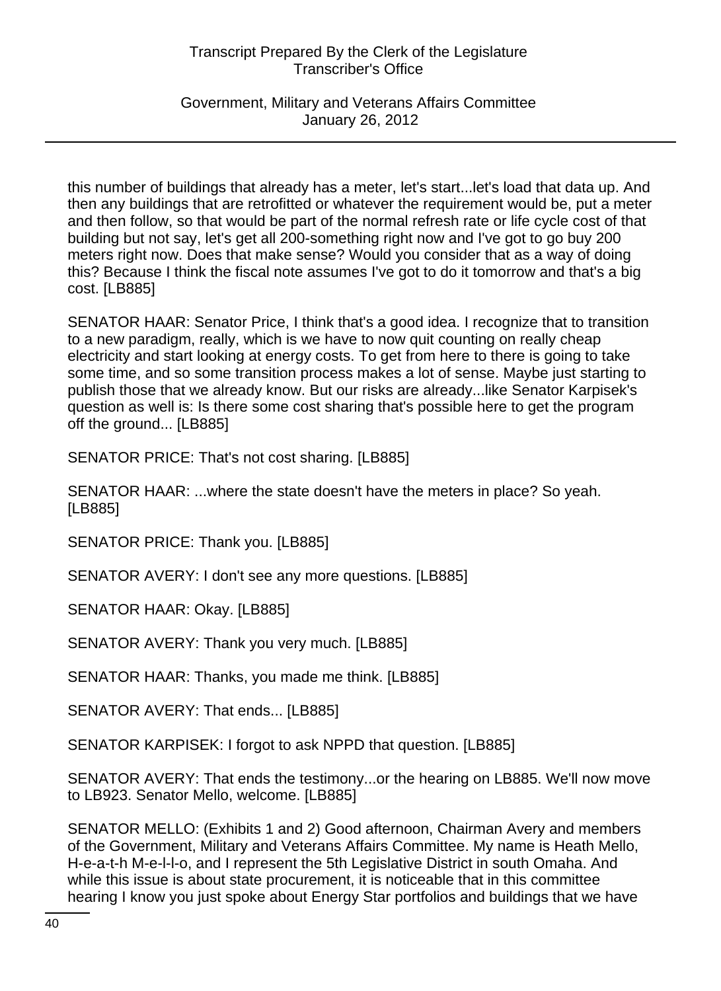Government, Military and Veterans Affairs Committee January 26, 2012

this number of buildings that already has a meter, let's start...let's load that data up. And then any buildings that are retrofitted or whatever the requirement would be, put a meter and then follow, so that would be part of the normal refresh rate or life cycle cost of that building but not say, let's get all 200-something right now and I've got to go buy 200 meters right now. Does that make sense? Would you consider that as a way of doing this? Because I think the fiscal note assumes I've got to do it tomorrow and that's a big cost. [LB885]

SENATOR HAAR: Senator Price, I think that's a good idea. I recognize that to transition to a new paradigm, really, which is we have to now quit counting on really cheap electricity and start looking at energy costs. To get from here to there is going to take some time, and so some transition process makes a lot of sense. Maybe just starting to publish those that we already know. But our risks are already...like Senator Karpisek's question as well is: Is there some cost sharing that's possible here to get the program off the ground... [LB885]

SENATOR PRICE: That's not cost sharing. [LB885]

SENATOR HAAR: ...where the state doesn't have the meters in place? So yeah. [LB885]

SENATOR PRICE: Thank you. [LB885]

SENATOR AVERY: I don't see any more questions. [LB885]

SENATOR HAAR: Okay. [LB885]

SENATOR AVERY: Thank you very much. [LB885]

SENATOR HAAR: Thanks, you made me think. [LB885]

SENATOR AVERY: That ends... [LB885]

SENATOR KARPISEK: I forgot to ask NPPD that question. [LB885]

SENATOR AVERY: That ends the testimony...or the hearing on LB885. We'll now move to LB923. Senator Mello, welcome. [LB885]

SENATOR MELLO: (Exhibits 1 and 2) Good afternoon, Chairman Avery and members of the Government, Military and Veterans Affairs Committee. My name is Heath Mello, H-e-a-t-h M-e-l-l-o, and I represent the 5th Legislative District in south Omaha. And while this issue is about state procurement, it is noticeable that in this committee hearing I know you just spoke about Energy Star portfolios and buildings that we have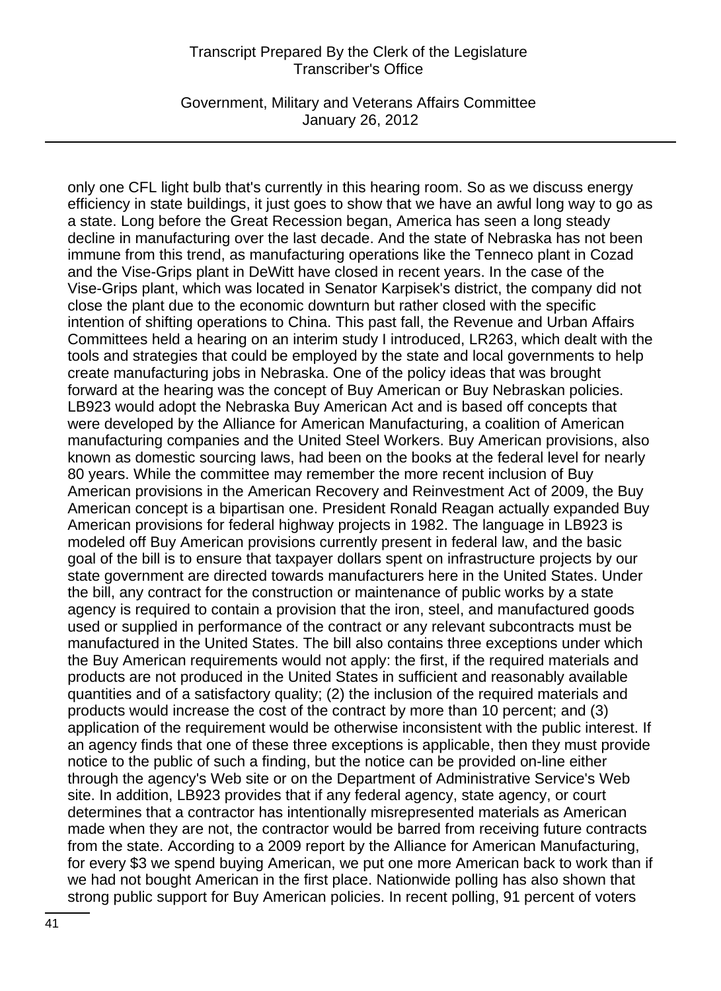Government, Military and Veterans Affairs Committee January 26, 2012

only one CFL light bulb that's currently in this hearing room. So as we discuss energy efficiency in state buildings, it just goes to show that we have an awful long way to go as a state. Long before the Great Recession began, America has seen a long steady decline in manufacturing over the last decade. And the state of Nebraska has not been immune from this trend, as manufacturing operations like the Tenneco plant in Cozad and the Vise-Grips plant in DeWitt have closed in recent years. In the case of the Vise-Grips plant, which was located in Senator Karpisek's district, the company did not close the plant due to the economic downturn but rather closed with the specific intention of shifting operations to China. This past fall, the Revenue and Urban Affairs Committees held a hearing on an interim study I introduced, LR263, which dealt with the tools and strategies that could be employed by the state and local governments to help create manufacturing jobs in Nebraska. One of the policy ideas that was brought forward at the hearing was the concept of Buy American or Buy Nebraskan policies. LB923 would adopt the Nebraska Buy American Act and is based off concepts that were developed by the Alliance for American Manufacturing, a coalition of American manufacturing companies and the United Steel Workers. Buy American provisions, also known as domestic sourcing laws, had been on the books at the federal level for nearly 80 years. While the committee may remember the more recent inclusion of Buy American provisions in the American Recovery and Reinvestment Act of 2009, the Buy American concept is a bipartisan one. President Ronald Reagan actually expanded Buy American provisions for federal highway projects in 1982. The language in LB923 is modeled off Buy American provisions currently present in federal law, and the basic goal of the bill is to ensure that taxpayer dollars spent on infrastructure projects by our state government are directed towards manufacturers here in the United States. Under the bill, any contract for the construction or maintenance of public works by a state agency is required to contain a provision that the iron, steel, and manufactured goods used or supplied in performance of the contract or any relevant subcontracts must be manufactured in the United States. The bill also contains three exceptions under which the Buy American requirements would not apply: the first, if the required materials and products are not produced in the United States in sufficient and reasonably available quantities and of a satisfactory quality; (2) the inclusion of the required materials and products would increase the cost of the contract by more than 10 percent; and (3) application of the requirement would be otherwise inconsistent with the public interest. If an agency finds that one of these three exceptions is applicable, then they must provide notice to the public of such a finding, but the notice can be provided on-line either through the agency's Web site or on the Department of Administrative Service's Web site. In addition, LB923 provides that if any federal agency, state agency, or court determines that a contractor has intentionally misrepresented materials as American made when they are not, the contractor would be barred from receiving future contracts from the state. According to a 2009 report by the Alliance for American Manufacturing, for every \$3 we spend buying American, we put one more American back to work than if we had not bought American in the first place. Nationwide polling has also shown that strong public support for Buy American policies. In recent polling, 91 percent of voters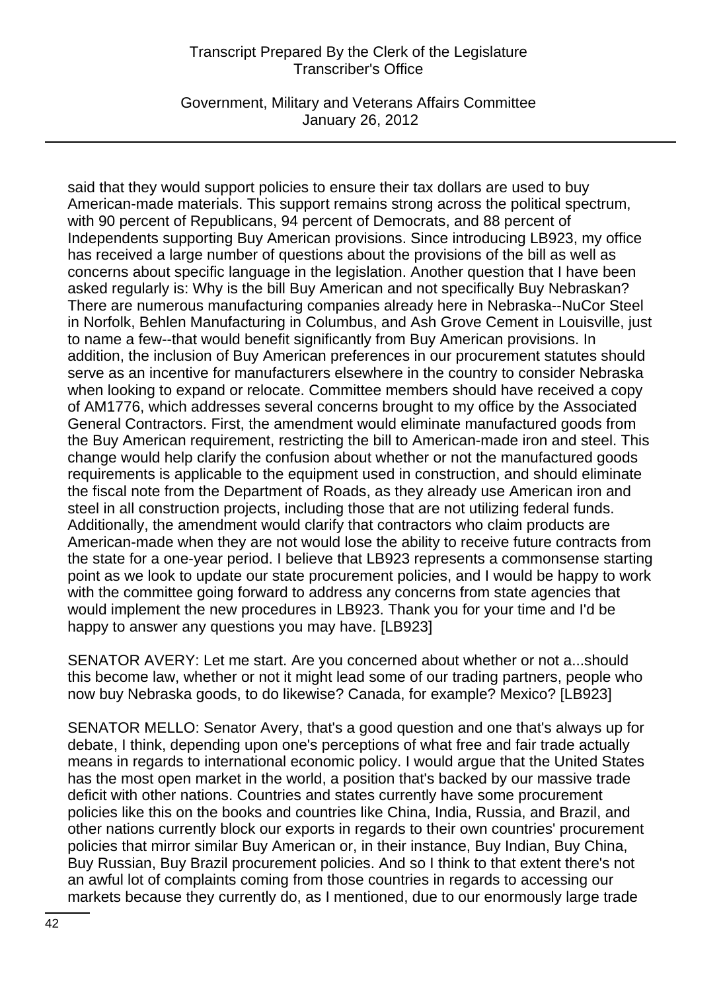Government, Military and Veterans Affairs Committee January 26, 2012

said that they would support policies to ensure their tax dollars are used to buy American-made materials. This support remains strong across the political spectrum, with 90 percent of Republicans, 94 percent of Democrats, and 88 percent of Independents supporting Buy American provisions. Since introducing LB923, my office has received a large number of questions about the provisions of the bill as well as concerns about specific language in the legislation. Another question that I have been asked regularly is: Why is the bill Buy American and not specifically Buy Nebraskan? There are numerous manufacturing companies already here in Nebraska--NuCor Steel in Norfolk, Behlen Manufacturing in Columbus, and Ash Grove Cement in Louisville, just to name a few--that would benefit significantly from Buy American provisions. In addition, the inclusion of Buy American preferences in our procurement statutes should serve as an incentive for manufacturers elsewhere in the country to consider Nebraska when looking to expand or relocate. Committee members should have received a copy of AM1776, which addresses several concerns brought to my office by the Associated General Contractors. First, the amendment would eliminate manufactured goods from the Buy American requirement, restricting the bill to American-made iron and steel. This change would help clarify the confusion about whether or not the manufactured goods requirements is applicable to the equipment used in construction, and should eliminate the fiscal note from the Department of Roads, as they already use American iron and steel in all construction projects, including those that are not utilizing federal funds. Additionally, the amendment would clarify that contractors who claim products are American-made when they are not would lose the ability to receive future contracts from the state for a one-year period. I believe that LB923 represents a commonsense starting point as we look to update our state procurement policies, and I would be happy to work with the committee going forward to address any concerns from state agencies that would implement the new procedures in LB923. Thank you for your time and I'd be happy to answer any questions you may have. [LB923]

SENATOR AVERY: Let me start. Are you concerned about whether or not a...should this become law, whether or not it might lead some of our trading partners, people who now buy Nebraska goods, to do likewise? Canada, for example? Mexico? [LB923]

SENATOR MELLO: Senator Avery, that's a good question and one that's always up for debate, I think, depending upon one's perceptions of what free and fair trade actually means in regards to international economic policy. I would argue that the United States has the most open market in the world, a position that's backed by our massive trade deficit with other nations. Countries and states currently have some procurement policies like this on the books and countries like China, India, Russia, and Brazil, and other nations currently block our exports in regards to their own countries' procurement policies that mirror similar Buy American or, in their instance, Buy Indian, Buy China, Buy Russian, Buy Brazil procurement policies. And so I think to that extent there's not an awful lot of complaints coming from those countries in regards to accessing our markets because they currently do, as I mentioned, due to our enormously large trade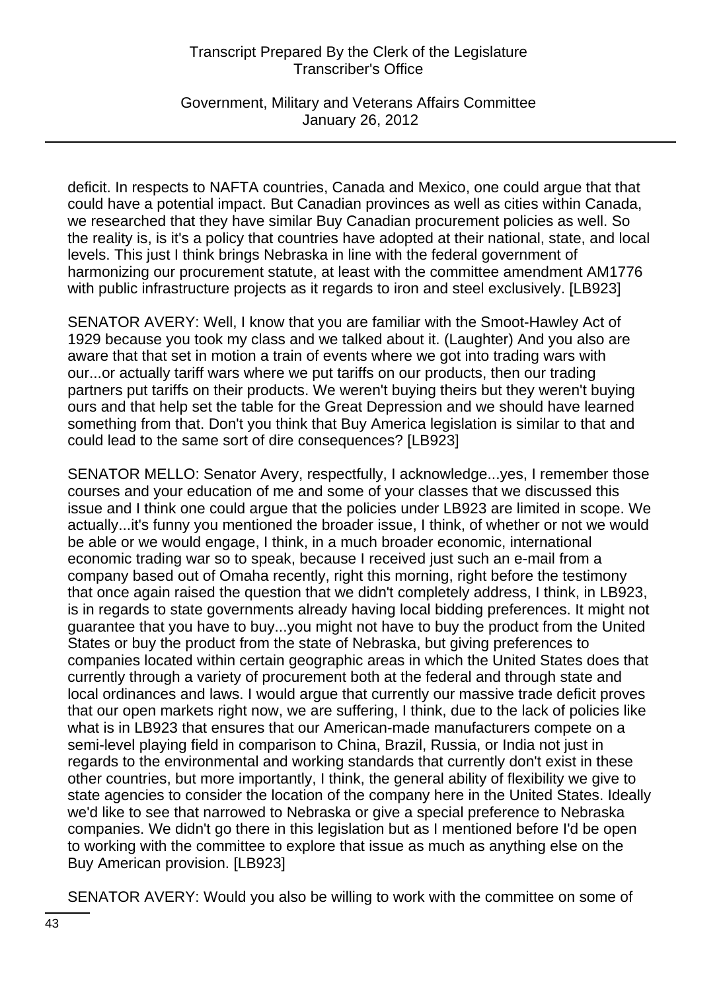Government, Military and Veterans Affairs Committee January 26, 2012

deficit. In respects to NAFTA countries, Canada and Mexico, one could argue that that could have a potential impact. But Canadian provinces as well as cities within Canada, we researched that they have similar Buy Canadian procurement policies as well. So the reality is, is it's a policy that countries have adopted at their national, state, and local levels. This just I think brings Nebraska in line with the federal government of harmonizing our procurement statute, at least with the committee amendment AM1776 with public infrastructure projects as it regards to iron and steel exclusively. [LB923]

SENATOR AVERY: Well, I know that you are familiar with the Smoot-Hawley Act of 1929 because you took my class and we talked about it. (Laughter) And you also are aware that that set in motion a train of events where we got into trading wars with our...or actually tariff wars where we put tariffs on our products, then our trading partners put tariffs on their products. We weren't buying theirs but they weren't buying ours and that help set the table for the Great Depression and we should have learned something from that. Don't you think that Buy America legislation is similar to that and could lead to the same sort of dire consequences? [LB923]

SENATOR MELLO: Senator Avery, respectfully, I acknowledge...yes, I remember those courses and your education of me and some of your classes that we discussed this issue and I think one could argue that the policies under LB923 are limited in scope. We actually...it's funny you mentioned the broader issue, I think, of whether or not we would be able or we would engage, I think, in a much broader economic, international economic trading war so to speak, because I received just such an e-mail from a company based out of Omaha recently, right this morning, right before the testimony that once again raised the question that we didn't completely address, I think, in LB923, is in regards to state governments already having local bidding preferences. It might not guarantee that you have to buy...you might not have to buy the product from the United States or buy the product from the state of Nebraska, but giving preferences to companies located within certain geographic areas in which the United States does that currently through a variety of procurement both at the federal and through state and local ordinances and laws. I would argue that currently our massive trade deficit proves that our open markets right now, we are suffering, I think, due to the lack of policies like what is in LB923 that ensures that our American-made manufacturers compete on a semi-level playing field in comparison to China, Brazil, Russia, or India not just in regards to the environmental and working standards that currently don't exist in these other countries, but more importantly, I think, the general ability of flexibility we give to state agencies to consider the location of the company here in the United States. Ideally we'd like to see that narrowed to Nebraska or give a special preference to Nebraska companies. We didn't go there in this legislation but as I mentioned before I'd be open to working with the committee to explore that issue as much as anything else on the Buy American provision. [LB923]

SENATOR AVERY: Would you also be willing to work with the committee on some of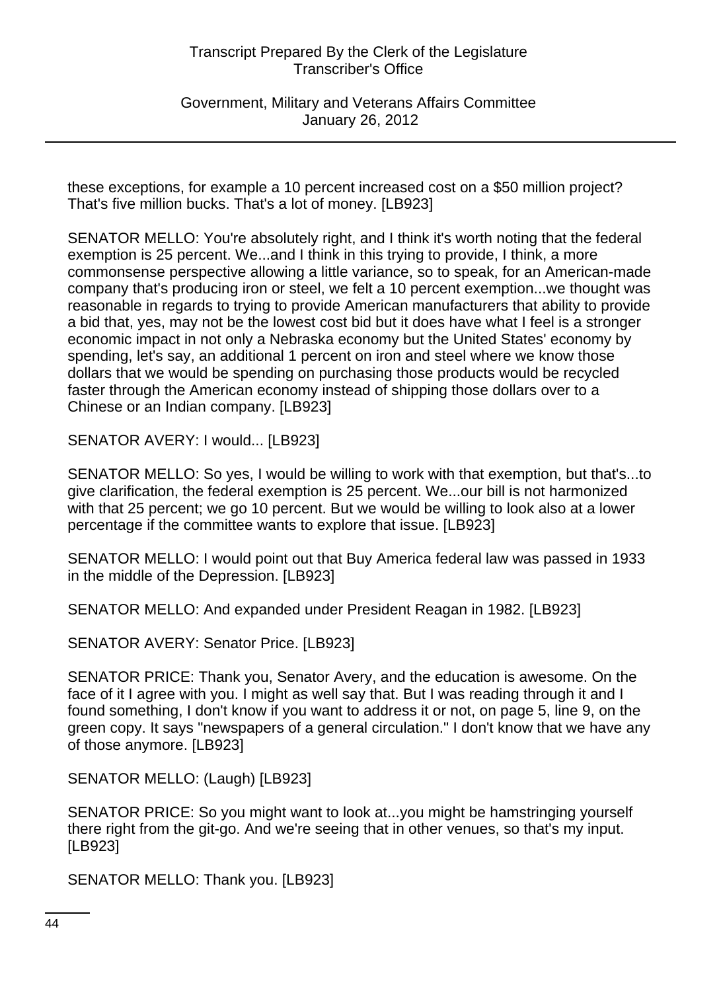Government, Military and Veterans Affairs Committee January 26, 2012

these exceptions, for example a 10 percent increased cost on a \$50 million project? That's five million bucks. That's a lot of money. [LB923]

SENATOR MELLO: You're absolutely right, and I think it's worth noting that the federal exemption is 25 percent. We...and I think in this trying to provide, I think, a more commonsense perspective allowing a little variance, so to speak, for an American-made company that's producing iron or steel, we felt a 10 percent exemption...we thought was reasonable in regards to trying to provide American manufacturers that ability to provide a bid that, yes, may not be the lowest cost bid but it does have what I feel is a stronger economic impact in not only a Nebraska economy but the United States' economy by spending, let's say, an additional 1 percent on iron and steel where we know those dollars that we would be spending on purchasing those products would be recycled faster through the American economy instead of shipping those dollars over to a Chinese or an Indian company. [LB923]

SENATOR AVERY: I would... [LB923]

SENATOR MELLO: So yes, I would be willing to work with that exemption, but that's...to give clarification, the federal exemption is 25 percent. We...our bill is not harmonized with that 25 percent; we go 10 percent. But we would be willing to look also at a lower percentage if the committee wants to explore that issue. [LB923]

SENATOR MELLO: I would point out that Buy America federal law was passed in 1933 in the middle of the Depression. [LB923]

SENATOR MELLO: And expanded under President Reagan in 1982. [LB923]

SENATOR AVERY: Senator Price. [LB923]

SENATOR PRICE: Thank you, Senator Avery, and the education is awesome. On the face of it I agree with you. I might as well say that. But I was reading through it and I found something, I don't know if you want to address it or not, on page 5, line 9, on the green copy. It says "newspapers of a general circulation." I don't know that we have any of those anymore. [LB923]

SENATOR MELLO: (Laugh) [LB923]

SENATOR PRICE: So you might want to look at...you might be hamstringing yourself there right from the git-go. And we're seeing that in other venues, so that's my input. [LB923]

SENATOR MELLO: Thank you. [LB923]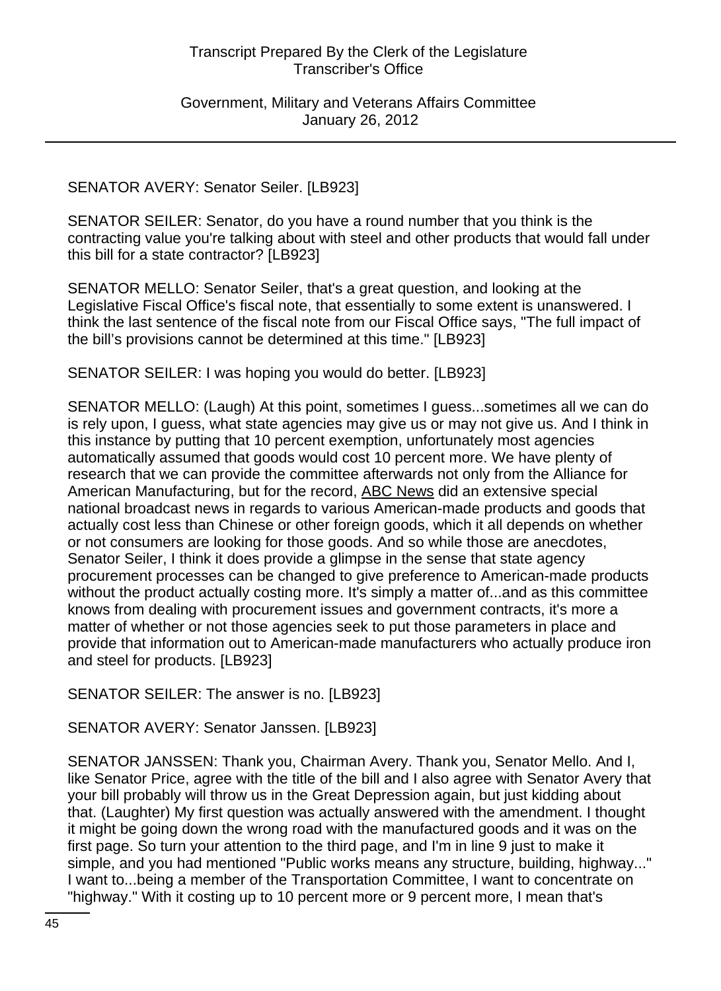Government, Military and Veterans Affairs Committee January 26, 2012

#### SENATOR AVERY: Senator Seiler. [LB923]

SENATOR SEILER: Senator, do you have a round number that you think is the contracting value you're talking about with steel and other products that would fall under this bill for a state contractor? [LB923]

SENATOR MELLO: Senator Seiler, that's a great question, and looking at the Legislative Fiscal Office's fiscal note, that essentially to some extent is unanswered. I think the last sentence of the fiscal note from our Fiscal Office says, "The full impact of the bill's provisions cannot be determined at this time." [LB923]

SENATOR SEILER: I was hoping you would do better. [LB923]

SENATOR MELLO: (Laugh) At this point, sometimes I guess...sometimes all we can do is rely upon, I guess, what state agencies may give us or may not give us. And I think in this instance by putting that 10 percent exemption, unfortunately most agencies automatically assumed that goods would cost 10 percent more. We have plenty of research that we can provide the committee afterwards not only from the Alliance for American Manufacturing, but for the record, ABC News did an extensive special national broadcast news in regards to various American-made products and goods that actually cost less than Chinese or other foreign goods, which it all depends on whether or not consumers are looking for those goods. And so while those are anecdotes, Senator Seiler, I think it does provide a glimpse in the sense that state agency procurement processes can be changed to give preference to American-made products without the product actually costing more. It's simply a matter of...and as this committee knows from dealing with procurement issues and government contracts, it's more a matter of whether or not those agencies seek to put those parameters in place and provide that information out to American-made manufacturers who actually produce iron and steel for products. [LB923]

SENATOR SEILER: The answer is no. [LB923]

SENATOR AVERY: Senator Janssen. [LB923]

SENATOR JANSSEN: Thank you, Chairman Avery. Thank you, Senator Mello. And I, like Senator Price, agree with the title of the bill and I also agree with Senator Avery that your bill probably will throw us in the Great Depression again, but just kidding about that. (Laughter) My first question was actually answered with the amendment. I thought it might be going down the wrong road with the manufactured goods and it was on the first page. So turn your attention to the third page, and I'm in line 9 just to make it simple, and you had mentioned "Public works means any structure, building, highway..." I want to...being a member of the Transportation Committee, I want to concentrate on "highway." With it costing up to 10 percent more or 9 percent more, I mean that's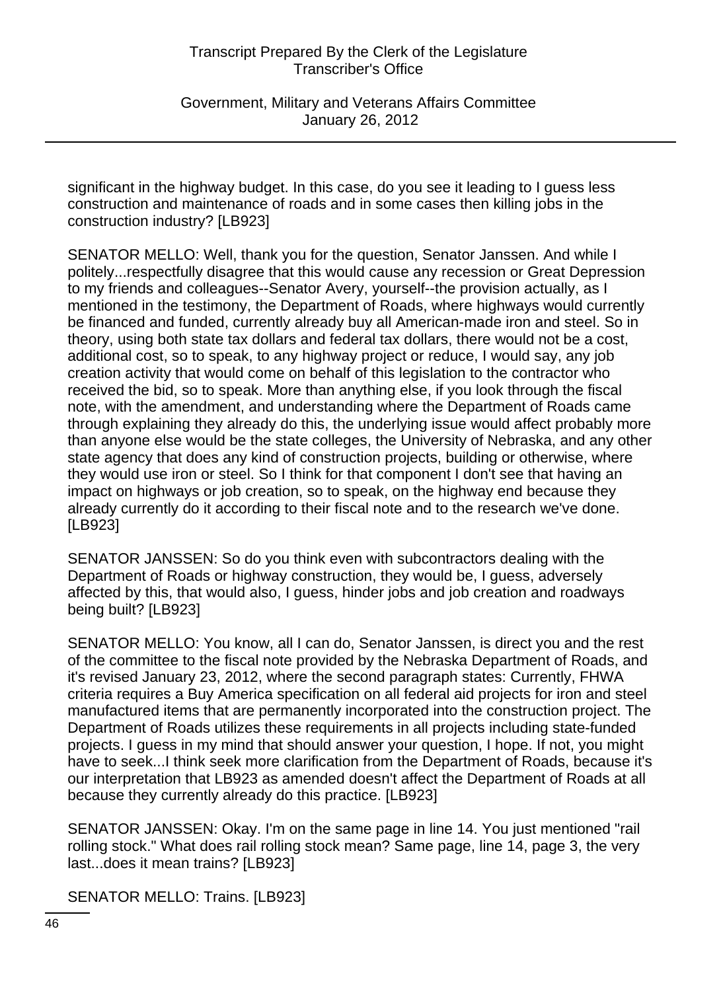Government, Military and Veterans Affairs Committee January 26, 2012

significant in the highway budget. In this case, do you see it leading to I guess less construction and maintenance of roads and in some cases then killing jobs in the construction industry? [LB923]

SENATOR MELLO: Well, thank you for the question, Senator Janssen. And while I politely...respectfully disagree that this would cause any recession or Great Depression to my friends and colleagues--Senator Avery, yourself--the provision actually, as I mentioned in the testimony, the Department of Roads, where highways would currently be financed and funded, currently already buy all American-made iron and steel. So in theory, using both state tax dollars and federal tax dollars, there would not be a cost, additional cost, so to speak, to any highway project or reduce, I would say, any job creation activity that would come on behalf of this legislation to the contractor who received the bid, so to speak. More than anything else, if you look through the fiscal note, with the amendment, and understanding where the Department of Roads came through explaining they already do this, the underlying issue would affect probably more than anyone else would be the state colleges, the University of Nebraska, and any other state agency that does any kind of construction projects, building or otherwise, where they would use iron or steel. So I think for that component I don't see that having an impact on highways or job creation, so to speak, on the highway end because they already currently do it according to their fiscal note and to the research we've done. [LB923]

SENATOR JANSSEN: So do you think even with subcontractors dealing with the Department of Roads or highway construction, they would be, I guess, adversely affected by this, that would also, I guess, hinder jobs and job creation and roadways being built? [LB923]

SENATOR MELLO: You know, all I can do, Senator Janssen, is direct you and the rest of the committee to the fiscal note provided by the Nebraska Department of Roads, and it's revised January 23, 2012, where the second paragraph states: Currently, FHWA criteria requires a Buy America specification on all federal aid projects for iron and steel manufactured items that are permanently incorporated into the construction project. The Department of Roads utilizes these requirements in all projects including state-funded projects. I guess in my mind that should answer your question, I hope. If not, you might have to seek...I think seek more clarification from the Department of Roads, because it's our interpretation that LB923 as amended doesn't affect the Department of Roads at all because they currently already do this practice. [LB923]

SENATOR JANSSEN: Okay. I'm on the same page in line 14. You just mentioned "rail rolling stock." What does rail rolling stock mean? Same page, line 14, page 3, the very last...does it mean trains? [LB923]

SENATOR MELLO: Trains. [LB923]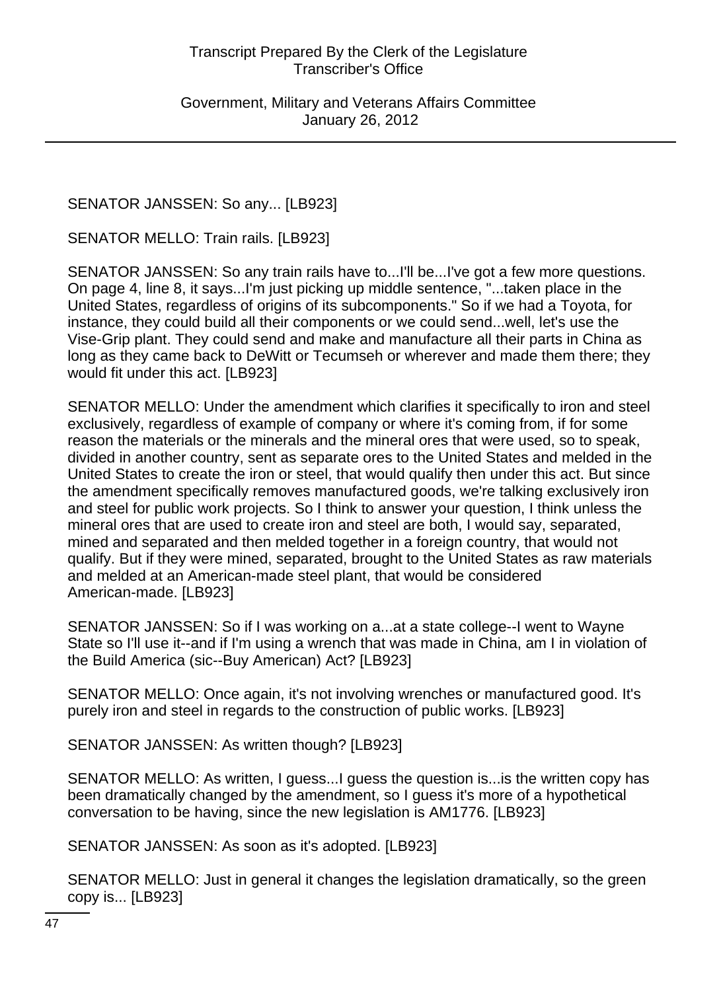SENATOR JANSSEN: So any... [LB923]

SENATOR MELLO: Train rails. [LB923]

SENATOR JANSSEN: So any train rails have to...I'll be...I've got a few more questions. On page 4, line 8, it says...I'm just picking up middle sentence, "...taken place in the United States, regardless of origins of its subcomponents." So if we had a Toyota, for instance, they could build all their components or we could send...well, let's use the Vise-Grip plant. They could send and make and manufacture all their parts in China as long as they came back to DeWitt or Tecumseh or wherever and made them there; they would fit under this act. [LB923]

SENATOR MELLO: Under the amendment which clarifies it specifically to iron and steel exclusively, regardless of example of company or where it's coming from, if for some reason the materials or the minerals and the mineral ores that were used, so to speak, divided in another country, sent as separate ores to the United States and melded in the United States to create the iron or steel, that would qualify then under this act. But since the amendment specifically removes manufactured goods, we're talking exclusively iron and steel for public work projects. So I think to answer your question, I think unless the mineral ores that are used to create iron and steel are both, I would say, separated, mined and separated and then melded together in a foreign country, that would not qualify. But if they were mined, separated, brought to the United States as raw materials and melded at an American-made steel plant, that would be considered American-made. [LB923]

SENATOR JANSSEN: So if I was working on a...at a state college--I went to Wayne State so I'll use it--and if I'm using a wrench that was made in China, am I in violation of the Build America (sic--Buy American) Act? [LB923]

SENATOR MELLO: Once again, it's not involving wrenches or manufactured good. It's purely iron and steel in regards to the construction of public works. [LB923]

SENATOR JANSSEN: As written though? [LB923]

SENATOR MELLO: As written, I guess...I guess the question is...is the written copy has been dramatically changed by the amendment, so I guess it's more of a hypothetical conversation to be having, since the new legislation is AM1776. [LB923]

SENATOR JANSSEN: As soon as it's adopted. [LB923]

SENATOR MELLO: Just in general it changes the legislation dramatically, so the green copy is... [LB923]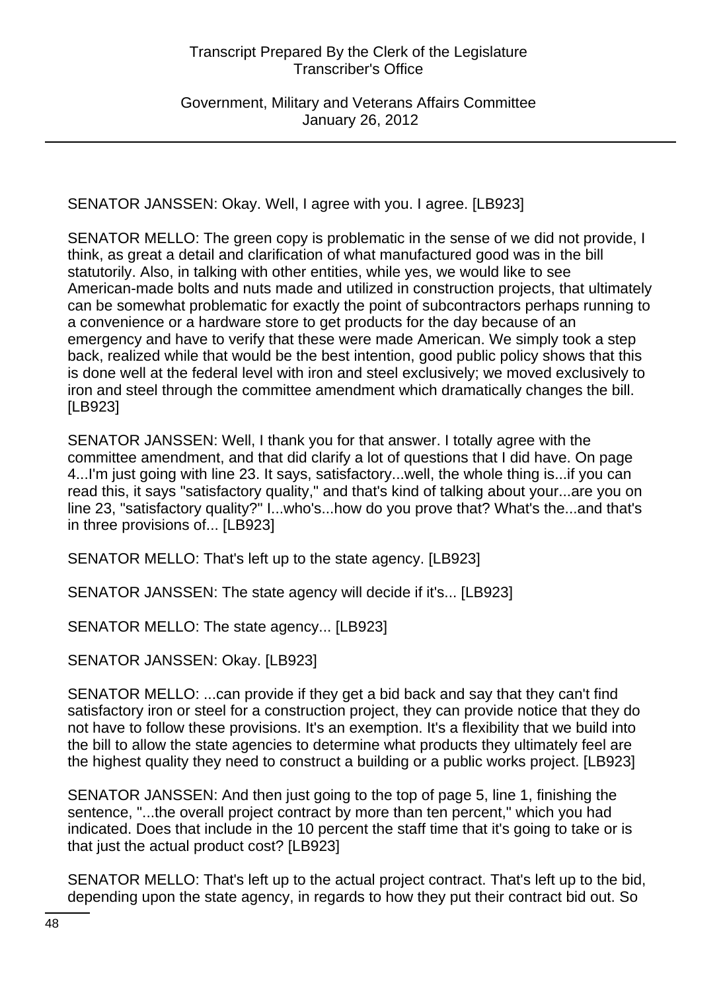Government, Military and Veterans Affairs Committee January 26, 2012

SENATOR JANSSEN: Okay. Well, I agree with you. I agree. [LB923]

SENATOR MELLO: The green copy is problematic in the sense of we did not provide, I think, as great a detail and clarification of what manufactured good was in the bill statutorily. Also, in talking with other entities, while yes, we would like to see American-made bolts and nuts made and utilized in construction projects, that ultimately can be somewhat problematic for exactly the point of subcontractors perhaps running to a convenience or a hardware store to get products for the day because of an emergency and have to verify that these were made American. We simply took a step back, realized while that would be the best intention, good public policy shows that this is done well at the federal level with iron and steel exclusively; we moved exclusively to iron and steel through the committee amendment which dramatically changes the bill. [LB923]

SENATOR JANSSEN: Well, I thank you for that answer. I totally agree with the committee amendment, and that did clarify a lot of questions that I did have. On page 4...I'm just going with line 23. It says, satisfactory...well, the whole thing is...if you can read this, it says "satisfactory quality," and that's kind of talking about your...are you on line 23, "satisfactory quality?" I...who's...how do you prove that? What's the...and that's in three provisions of... [LB923]

SENATOR MELLO: That's left up to the state agency. [LB923]

SENATOR JANSSEN: The state agency will decide if it's... [LB923]

SENATOR MELLO: The state agency... [LB923]

SENATOR JANSSEN: Okay. [LB923]

SENATOR MELLO: ...can provide if they get a bid back and say that they can't find satisfactory iron or steel for a construction project, they can provide notice that they do not have to follow these provisions. It's an exemption. It's a flexibility that we build into the bill to allow the state agencies to determine what products they ultimately feel are the highest quality they need to construct a building or a public works project. [LB923]

SENATOR JANSSEN: And then just going to the top of page 5, line 1, finishing the sentence, "...the overall project contract by more than ten percent," which you had indicated. Does that include in the 10 percent the staff time that it's going to take or is that just the actual product cost? [LB923]

SENATOR MELLO: That's left up to the actual project contract. That's left up to the bid, depending upon the state agency, in regards to how they put their contract bid out. So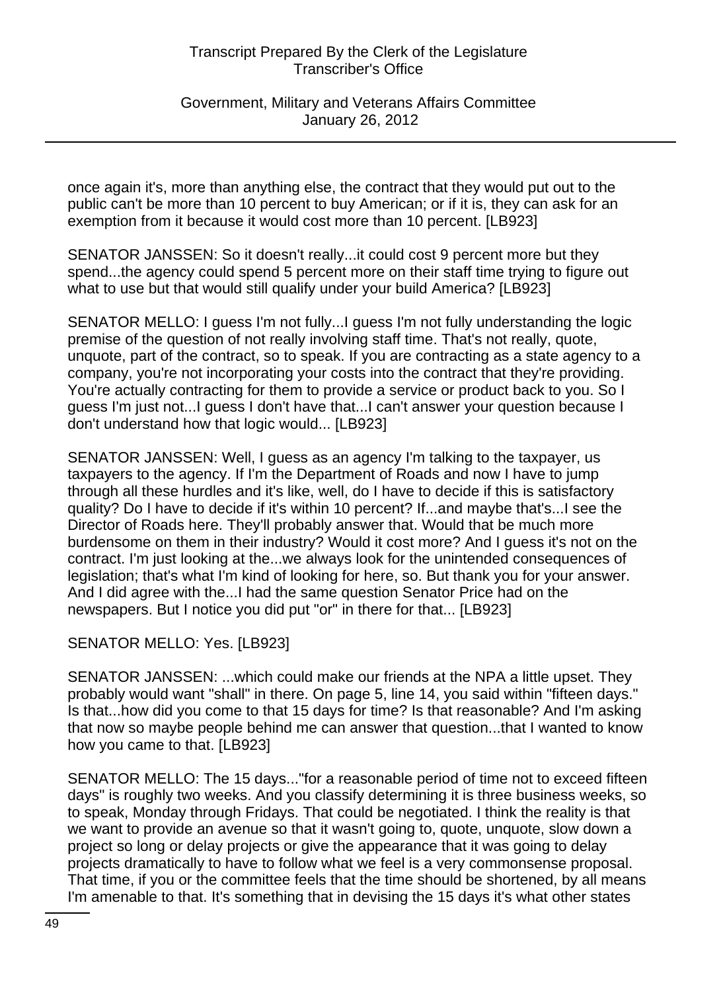Government, Military and Veterans Affairs Committee January 26, 2012

once again it's, more than anything else, the contract that they would put out to the public can't be more than 10 percent to buy American; or if it is, they can ask for an exemption from it because it would cost more than 10 percent. [LB923]

SENATOR JANSSEN: So it doesn't really...it could cost 9 percent more but they spend...the agency could spend 5 percent more on their staff time trying to figure out what to use but that would still qualify under your build America? [LB923]

SENATOR MELLO: I guess I'm not fully...I guess I'm not fully understanding the logic premise of the question of not really involving staff time. That's not really, quote, unquote, part of the contract, so to speak. If you are contracting as a state agency to a company, you're not incorporating your costs into the contract that they're providing. You're actually contracting for them to provide a service or product back to you. So I guess I'm just not...I guess I don't have that...I can't answer your question because I don't understand how that logic would... [LB923]

SENATOR JANSSEN: Well, I guess as an agency I'm talking to the taxpayer, us taxpayers to the agency. If I'm the Department of Roads and now I have to jump through all these hurdles and it's like, well, do I have to decide if this is satisfactory quality? Do I have to decide if it's within 10 percent? If...and maybe that's...I see the Director of Roads here. They'll probably answer that. Would that be much more burdensome on them in their industry? Would it cost more? And I guess it's not on the contract. I'm just looking at the...we always look for the unintended consequences of legislation; that's what I'm kind of looking for here, so. But thank you for your answer. And I did agree with the...I had the same question Senator Price had on the newspapers. But I notice you did put "or" in there for that... [LB923]

# SENATOR MELLO: Yes. [LB923]

SENATOR JANSSEN: ...which could make our friends at the NPA a little upset. They probably would want "shall" in there. On page 5, line 14, you said within "fifteen days." Is that...how did you come to that 15 days for time? Is that reasonable? And I'm asking that now so maybe people behind me can answer that question...that I wanted to know how you came to that. [LB923]

SENATOR MELLO: The 15 days..."for a reasonable period of time not to exceed fifteen days" is roughly two weeks. And you classify determining it is three business weeks, so to speak, Monday through Fridays. That could be negotiated. I think the reality is that we want to provide an avenue so that it wasn't going to, quote, unquote, slow down a project so long or delay projects or give the appearance that it was going to delay projects dramatically to have to follow what we feel is a very commonsense proposal. That time, if you or the committee feels that the time should be shortened, by all means I'm amenable to that. It's something that in devising the 15 days it's what other states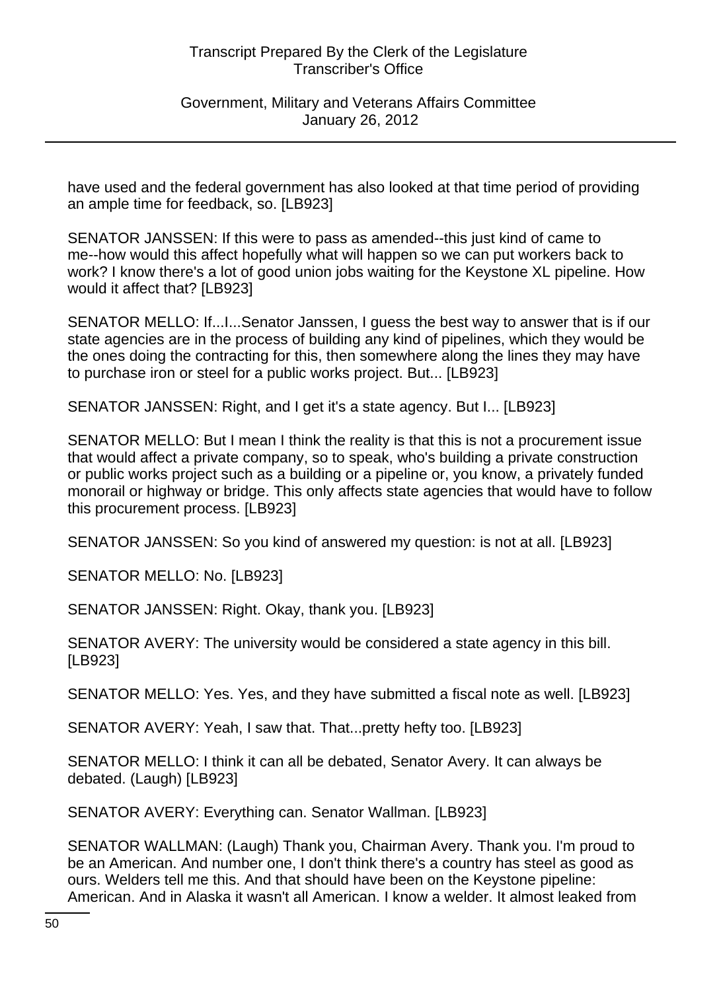Government, Military and Veterans Affairs Committee January 26, 2012

have used and the federal government has also looked at that time period of providing an ample time for feedback, so. [LB923]

SENATOR JANSSEN: If this were to pass as amended--this just kind of came to me--how would this affect hopefully what will happen so we can put workers back to work? I know there's a lot of good union jobs waiting for the Keystone XL pipeline. How would it affect that? [LB923]

SENATOR MELLO: If...I...Senator Janssen, I guess the best way to answer that is if our state agencies are in the process of building any kind of pipelines, which they would be the ones doing the contracting for this, then somewhere along the lines they may have to purchase iron or steel for a public works project. But... [LB923]

SENATOR JANSSEN: Right, and I get it's a state agency. But I... [LB923]

SENATOR MELLO: But I mean I think the reality is that this is not a procurement issue that would affect a private company, so to speak, who's building a private construction or public works project such as a building or a pipeline or, you know, a privately funded monorail or highway or bridge. This only affects state agencies that would have to follow this procurement process. [LB923]

SENATOR JANSSEN: So you kind of answered my question: is not at all. [LB923]

SENATOR MELLO: No. [LB923]

SENATOR JANSSEN: Right. Okay, thank you. [LB923]

SENATOR AVERY: The university would be considered a state agency in this bill. [LB923]

SENATOR MELLO: Yes. Yes, and they have submitted a fiscal note as well. [LB923]

SENATOR AVERY: Yeah, I saw that. That...pretty hefty too. [LB923]

SENATOR MELLO: I think it can all be debated, Senator Avery. It can always be debated. (Laugh) [LB923]

SENATOR AVERY: Everything can. Senator Wallman. [LB923]

SENATOR WALLMAN: (Laugh) Thank you, Chairman Avery. Thank you. I'm proud to be an American. And number one, I don't think there's a country has steel as good as ours. Welders tell me this. And that should have been on the Keystone pipeline: American. And in Alaska it wasn't all American. I know a welder. It almost leaked from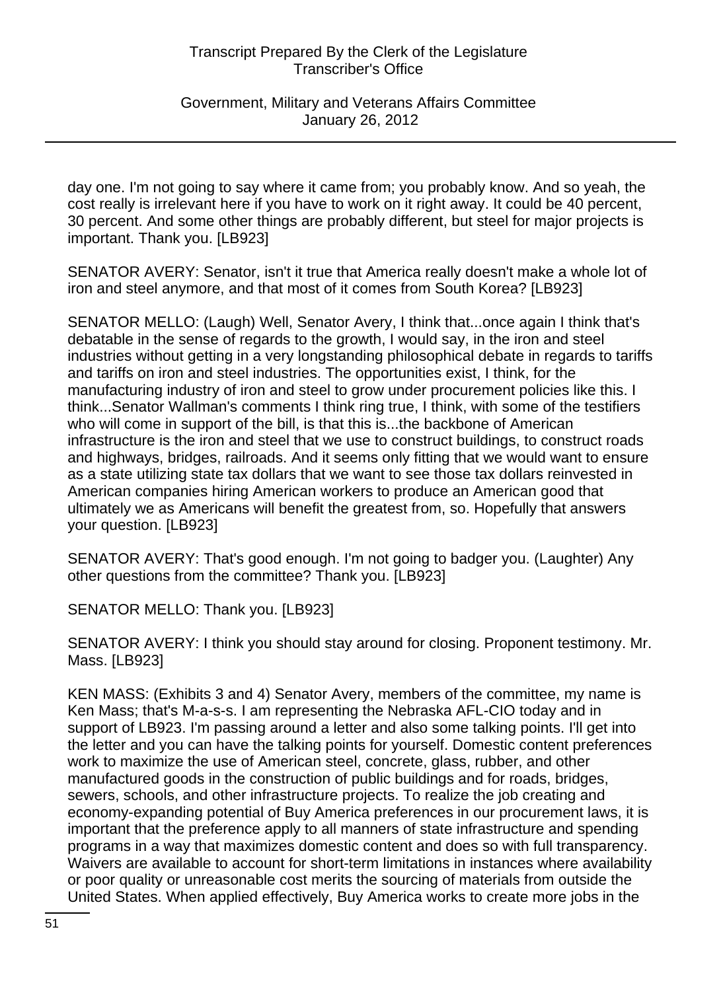Government, Military and Veterans Affairs Committee January 26, 2012

day one. I'm not going to say where it came from; you probably know. And so yeah, the cost really is irrelevant here if you have to work on it right away. It could be 40 percent, 30 percent. And some other things are probably different, but steel for major projects is important. Thank you. [LB923]

SENATOR AVERY: Senator, isn't it true that America really doesn't make a whole lot of iron and steel anymore, and that most of it comes from South Korea? [LB923]

SENATOR MELLO: (Laugh) Well, Senator Avery, I think that...once again I think that's debatable in the sense of regards to the growth, I would say, in the iron and steel industries without getting in a very longstanding philosophical debate in regards to tariffs and tariffs on iron and steel industries. The opportunities exist, I think, for the manufacturing industry of iron and steel to grow under procurement policies like this. I think...Senator Wallman's comments I think ring true, I think, with some of the testifiers who will come in support of the bill, is that this is...the backbone of American infrastructure is the iron and steel that we use to construct buildings, to construct roads and highways, bridges, railroads. And it seems only fitting that we would want to ensure as a state utilizing state tax dollars that we want to see those tax dollars reinvested in American companies hiring American workers to produce an American good that ultimately we as Americans will benefit the greatest from, so. Hopefully that answers your question. [LB923]

SENATOR AVERY: That's good enough. I'm not going to badger you. (Laughter) Any other questions from the committee? Thank you. [LB923]

SENATOR MELLO: Thank you. [LB923]

SENATOR AVERY: I think you should stay around for closing. Proponent testimony. Mr. Mass. [LB923]

KEN MASS: (Exhibits 3 and 4) Senator Avery, members of the committee, my name is Ken Mass; that's M-a-s-s. I am representing the Nebraska AFL-CIO today and in support of LB923. I'm passing around a letter and also some talking points. I'll get into the letter and you can have the talking points for yourself. Domestic content preferences work to maximize the use of American steel, concrete, glass, rubber, and other manufactured goods in the construction of public buildings and for roads, bridges, sewers, schools, and other infrastructure projects. To realize the job creating and economy-expanding potential of Buy America preferences in our procurement laws, it is important that the preference apply to all manners of state infrastructure and spending programs in a way that maximizes domestic content and does so with full transparency. Waivers are available to account for short-term limitations in instances where availability or poor quality or unreasonable cost merits the sourcing of materials from outside the United States. When applied effectively, Buy America works to create more jobs in the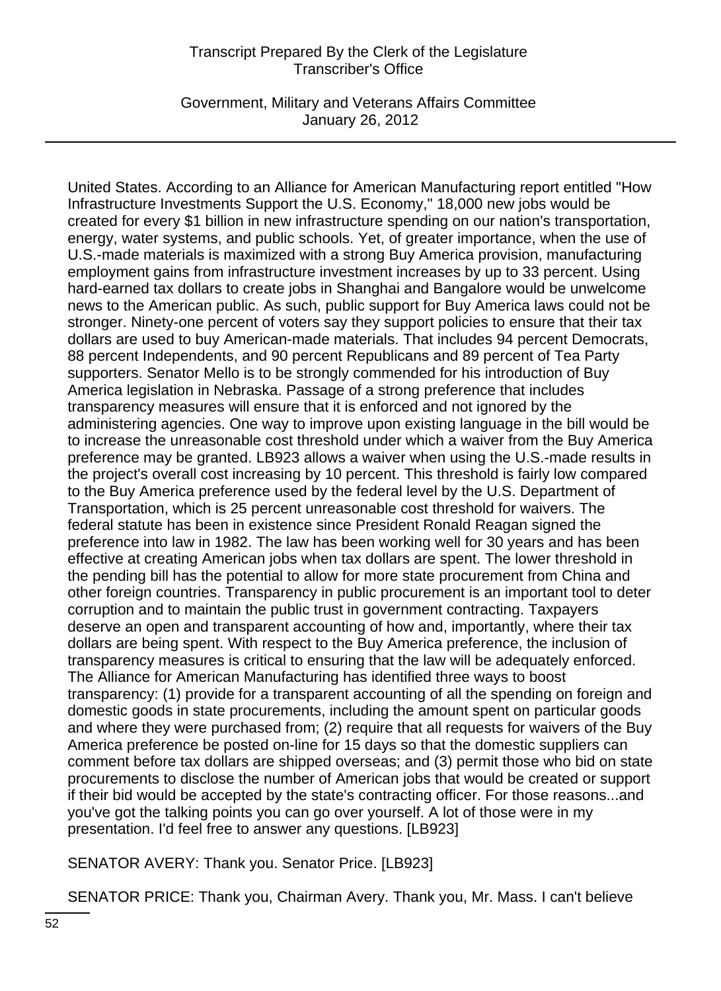Government, Military and Veterans Affairs Committee January 26, 2012

United States. According to an Alliance for American Manufacturing report entitled "How Infrastructure Investments Support the U.S. Economy," 18,000 new jobs would be created for every \$1 billion in new infrastructure spending on our nation's transportation, energy, water systems, and public schools. Yet, of greater importance, when the use of U.S.-made materials is maximized with a strong Buy America provision, manufacturing employment gains from infrastructure investment increases by up to 33 percent. Using hard-earned tax dollars to create jobs in Shanghai and Bangalore would be unwelcome news to the American public. As such, public support for Buy America laws could not be stronger. Ninety-one percent of voters say they support policies to ensure that their tax dollars are used to buy American-made materials. That includes 94 percent Democrats, 88 percent Independents, and 90 percent Republicans and 89 percent of Tea Party supporters. Senator Mello is to be strongly commended for his introduction of Buy America legislation in Nebraska. Passage of a strong preference that includes transparency measures will ensure that it is enforced and not ignored by the administering agencies. One way to improve upon existing language in the bill would be to increase the unreasonable cost threshold under which a waiver from the Buy America preference may be granted. LB923 allows a waiver when using the U.S.-made results in the project's overall cost increasing by 10 percent. This threshold is fairly low compared to the Buy America preference used by the federal level by the U.S. Department of Transportation, which is 25 percent unreasonable cost threshold for waivers. The federal statute has been in existence since President Ronald Reagan signed the preference into law in 1982. The law has been working well for 30 years and has been effective at creating American jobs when tax dollars are spent. The lower threshold in the pending bill has the potential to allow for more state procurement from China and other foreign countries. Transparency in public procurement is an important tool to deter corruption and to maintain the public trust in government contracting. Taxpayers deserve an open and transparent accounting of how and, importantly, where their tax dollars are being spent. With respect to the Buy America preference, the inclusion of transparency measures is critical to ensuring that the law will be adequately enforced. The Alliance for American Manufacturing has identified three ways to boost transparency: (1) provide for a transparent accounting of all the spending on foreign and domestic goods in state procurements, including the amount spent on particular goods and where they were purchased from; (2) require that all requests for waivers of the Buy America preference be posted on-line for 15 days so that the domestic suppliers can comment before tax dollars are shipped overseas; and (3) permit those who bid on state procurements to disclose the number of American jobs that would be created or support if their bid would be accepted by the state's contracting officer. For those reasons...and you've got the talking points you can go over yourself. A lot of those were in my presentation. I'd feel free to answer any questions. [LB923]

SENATOR AVERY: Thank you. Senator Price. [LB923]

SENATOR PRICE: Thank you, Chairman Avery. Thank you, Mr. Mass. I can't believe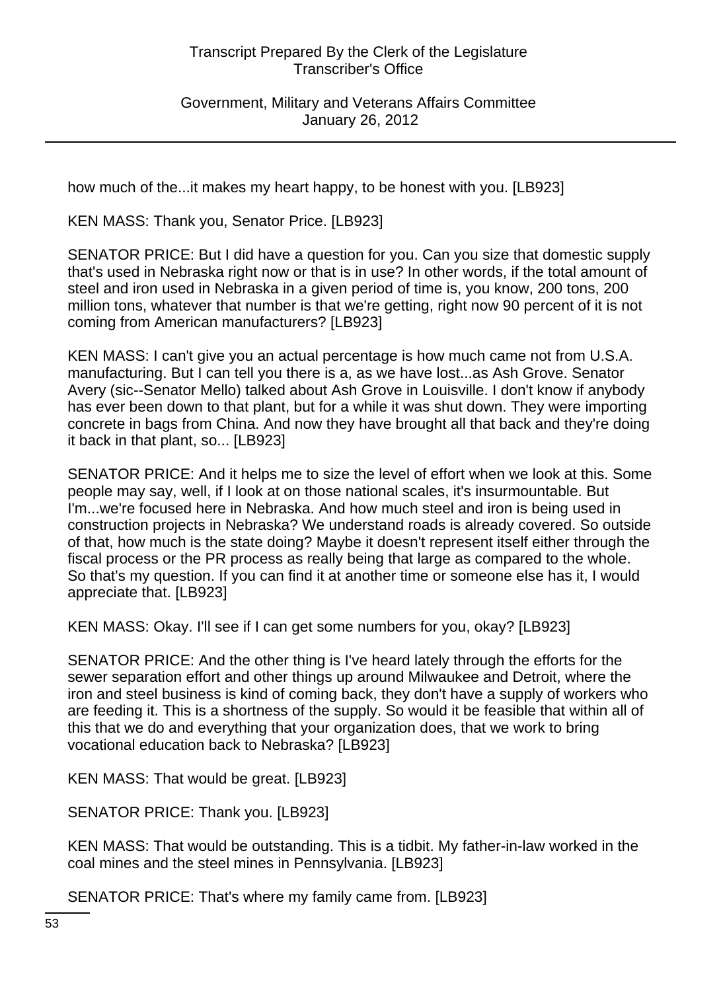Government, Military and Veterans Affairs Committee January 26, 2012

how much of the...it makes my heart happy, to be honest with you. [LB923]

KEN MASS: Thank you, Senator Price. [LB923]

SENATOR PRICE: But I did have a question for you. Can you size that domestic supply that's used in Nebraska right now or that is in use? In other words, if the total amount of steel and iron used in Nebraska in a given period of time is, you know, 200 tons, 200 million tons, whatever that number is that we're getting, right now 90 percent of it is not coming from American manufacturers? [LB923]

KEN MASS: I can't give you an actual percentage is how much came not from U.S.A. manufacturing. But I can tell you there is a, as we have lost...as Ash Grove. Senator Avery (sic--Senator Mello) talked about Ash Grove in Louisville. I don't know if anybody has ever been down to that plant, but for a while it was shut down. They were importing concrete in bags from China. And now they have brought all that back and they're doing it back in that plant, so... [LB923]

SENATOR PRICE: And it helps me to size the level of effort when we look at this. Some people may say, well, if I look at on those national scales, it's insurmountable. But I'm...we're focused here in Nebraska. And how much steel and iron is being used in construction projects in Nebraska? We understand roads is already covered. So outside of that, how much is the state doing? Maybe it doesn't represent itself either through the fiscal process or the PR process as really being that large as compared to the whole. So that's my question. If you can find it at another time or someone else has it, I would appreciate that. [LB923]

KEN MASS: Okay. I'll see if I can get some numbers for you, okay? [LB923]

SENATOR PRICE: And the other thing is I've heard lately through the efforts for the sewer separation effort and other things up around Milwaukee and Detroit, where the iron and steel business is kind of coming back, they don't have a supply of workers who are feeding it. This is a shortness of the supply. So would it be feasible that within all of this that we do and everything that your organization does, that we work to bring vocational education back to Nebraska? [LB923]

KEN MASS: That would be great. [LB923]

SENATOR PRICE: Thank you. [LB923]

KEN MASS: That would be outstanding. This is a tidbit. My father-in-law worked in the coal mines and the steel mines in Pennsylvania. [LB923]

SENATOR PRICE: That's where my family came from. [LB923]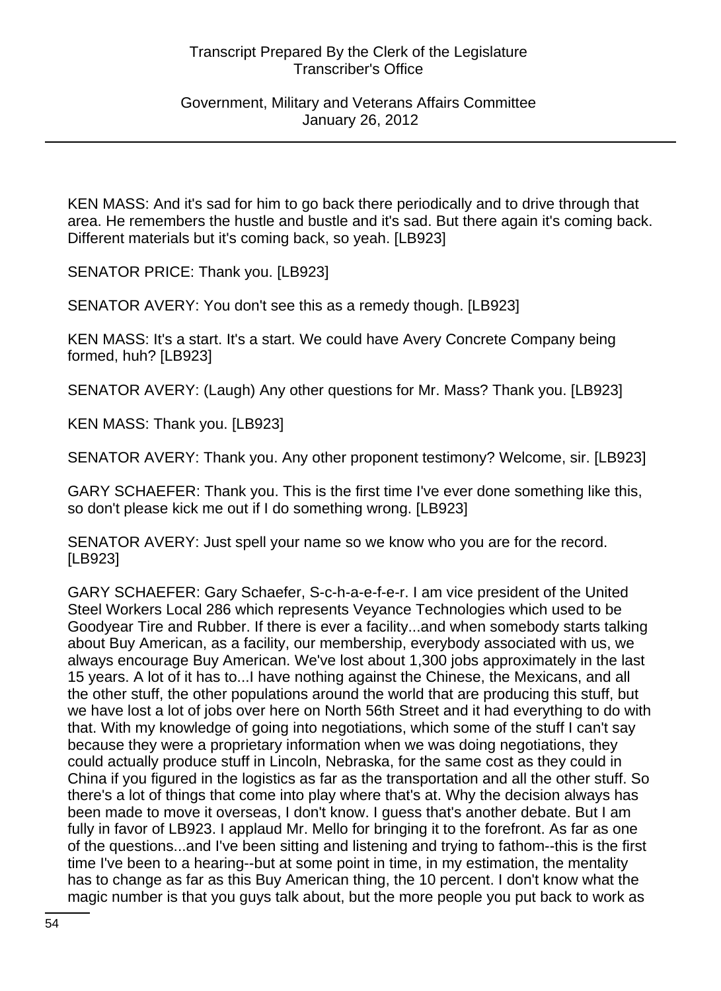KEN MASS: And it's sad for him to go back there periodically and to drive through that area. He remembers the hustle and bustle and it's sad. But there again it's coming back. Different materials but it's coming back, so yeah. [LB923]

SENATOR PRICE: Thank you. [LB923]

SENATOR AVERY: You don't see this as a remedy though. [LB923]

KEN MASS: It's a start. It's a start. We could have Avery Concrete Company being formed, huh? [LB923]

SENATOR AVERY: (Laugh) Any other questions for Mr. Mass? Thank you. [LB923]

KEN MASS: Thank you. [LB923]

SENATOR AVERY: Thank you. Any other proponent testimony? Welcome, sir. [LB923]

GARY SCHAEFER: Thank you. This is the first time I've ever done something like this, so don't please kick me out if I do something wrong. [LB923]

SENATOR AVERY: Just spell your name so we know who you are for the record. [LB923]

GARY SCHAEFER: Gary Schaefer, S-c-h-a-e-f-e-r. I am vice president of the United Steel Workers Local 286 which represents Veyance Technologies which used to be Goodyear Tire and Rubber. If there is ever a facility...and when somebody starts talking about Buy American, as a facility, our membership, everybody associated with us, we always encourage Buy American. We've lost about 1,300 jobs approximately in the last 15 years. A lot of it has to...I have nothing against the Chinese, the Mexicans, and all the other stuff, the other populations around the world that are producing this stuff, but we have lost a lot of jobs over here on North 56th Street and it had everything to do with that. With my knowledge of going into negotiations, which some of the stuff I can't say because they were a proprietary information when we was doing negotiations, they could actually produce stuff in Lincoln, Nebraska, for the same cost as they could in China if you figured in the logistics as far as the transportation and all the other stuff. So there's a lot of things that come into play where that's at. Why the decision always has been made to move it overseas, I don't know. I guess that's another debate. But I am fully in favor of LB923. I applaud Mr. Mello for bringing it to the forefront. As far as one of the questions...and I've been sitting and listening and trying to fathom--this is the first time I've been to a hearing--but at some point in time, in my estimation, the mentality has to change as far as this Buy American thing, the 10 percent. I don't know what the magic number is that you guys talk about, but the more people you put back to work as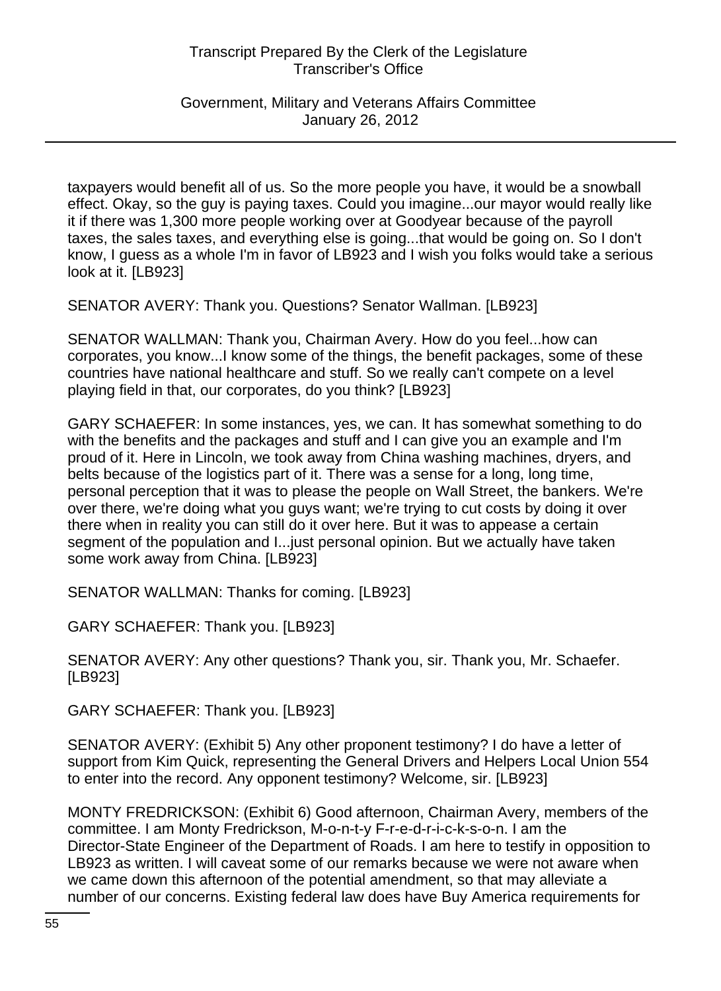Government, Military and Veterans Affairs Committee January 26, 2012

taxpayers would benefit all of us. So the more people you have, it would be a snowball effect. Okay, so the guy is paying taxes. Could you imagine...our mayor would really like it if there was 1,300 more people working over at Goodyear because of the payroll taxes, the sales taxes, and everything else is going...that would be going on. So I don't know, I guess as a whole I'm in favor of LB923 and I wish you folks would take a serious look at it. [LB923]

SENATOR AVERY: Thank you. Questions? Senator Wallman. [LB923]

SENATOR WALLMAN: Thank you, Chairman Avery. How do you feel...how can corporates, you know...I know some of the things, the benefit packages, some of these countries have national healthcare and stuff. So we really can't compete on a level playing field in that, our corporates, do you think? [LB923]

GARY SCHAEFER: In some instances, yes, we can. It has somewhat something to do with the benefits and the packages and stuff and I can give you an example and I'm proud of it. Here in Lincoln, we took away from China washing machines, dryers, and belts because of the logistics part of it. There was a sense for a long, long time, personal perception that it was to please the people on Wall Street, the bankers. We're over there, we're doing what you guys want; we're trying to cut costs by doing it over there when in reality you can still do it over here. But it was to appease a certain segment of the population and I...just personal opinion. But we actually have taken some work away from China. [LB923]

SENATOR WALLMAN: Thanks for coming. [LB923]

GARY SCHAEFER: Thank you. [LB923]

SENATOR AVERY: Any other questions? Thank you, sir. Thank you, Mr. Schaefer. [LB923]

GARY SCHAEFER: Thank you. [LB923]

SENATOR AVERY: (Exhibit 5) Any other proponent testimony? I do have a letter of support from Kim Quick, representing the General Drivers and Helpers Local Union 554 to enter into the record. Any opponent testimony? Welcome, sir. [LB923]

MONTY FREDRICKSON: (Exhibit 6) Good afternoon, Chairman Avery, members of the committee. I am Monty Fredrickson, M-o-n-t-y F-r-e-d-r-i-c-k-s-o-n. I am the Director-State Engineer of the Department of Roads. I am here to testify in opposition to LB923 as written. I will caveat some of our remarks because we were not aware when we came down this afternoon of the potential amendment, so that may alleviate a number of our concerns. Existing federal law does have Buy America requirements for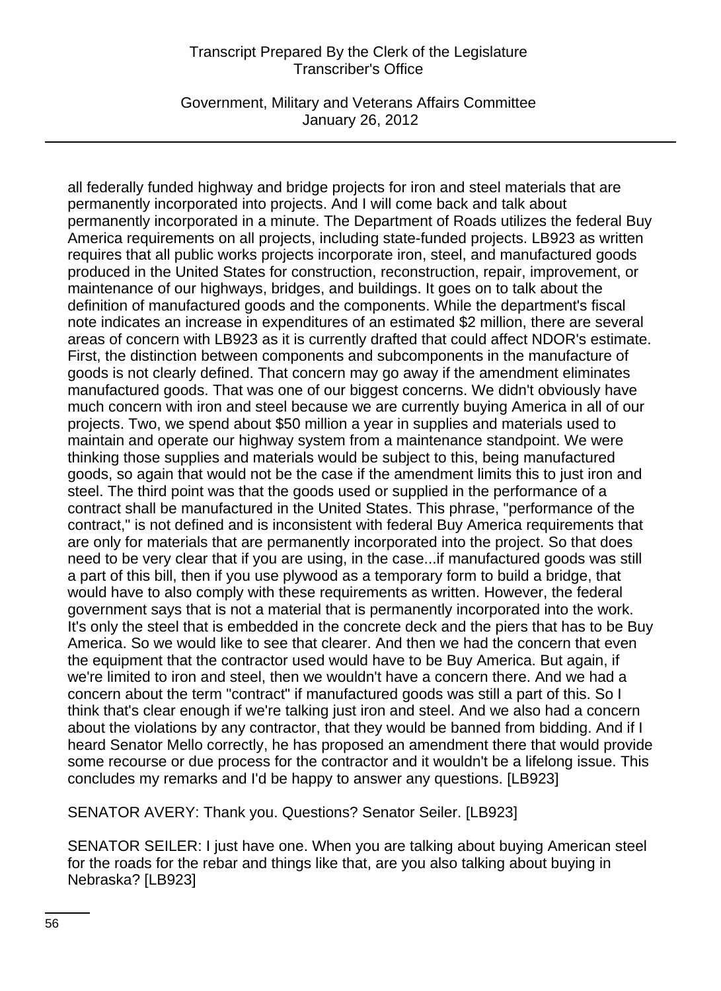Government, Military and Veterans Affairs Committee January 26, 2012

all federally funded highway and bridge projects for iron and steel materials that are permanently incorporated into projects. And I will come back and talk about permanently incorporated in a minute. The Department of Roads utilizes the federal Buy America requirements on all projects, including state-funded projects. LB923 as written requires that all public works projects incorporate iron, steel, and manufactured goods produced in the United States for construction, reconstruction, repair, improvement, or maintenance of our highways, bridges, and buildings. It goes on to talk about the definition of manufactured goods and the components. While the department's fiscal note indicates an increase in expenditures of an estimated \$2 million, there are several areas of concern with LB923 as it is currently drafted that could affect NDOR's estimate. First, the distinction between components and subcomponents in the manufacture of goods is not clearly defined. That concern may go away if the amendment eliminates manufactured goods. That was one of our biggest concerns. We didn't obviously have much concern with iron and steel because we are currently buying America in all of our projects. Two, we spend about \$50 million a year in supplies and materials used to maintain and operate our highway system from a maintenance standpoint. We were thinking those supplies and materials would be subject to this, being manufactured goods, so again that would not be the case if the amendment limits this to just iron and steel. The third point was that the goods used or supplied in the performance of a contract shall be manufactured in the United States. This phrase, "performance of the contract," is not defined and is inconsistent with federal Buy America requirements that are only for materials that are permanently incorporated into the project. So that does need to be very clear that if you are using, in the case...if manufactured goods was still a part of this bill, then if you use plywood as a temporary form to build a bridge, that would have to also comply with these requirements as written. However, the federal government says that is not a material that is permanently incorporated into the work. It's only the steel that is embedded in the concrete deck and the piers that has to be Buy America. So we would like to see that clearer. And then we had the concern that even the equipment that the contractor used would have to be Buy America. But again, if we're limited to iron and steel, then we wouldn't have a concern there. And we had a concern about the term "contract" if manufactured goods was still a part of this. So I think that's clear enough if we're talking just iron and steel. And we also had a concern about the violations by any contractor, that they would be banned from bidding. And if I heard Senator Mello correctly, he has proposed an amendment there that would provide some recourse or due process for the contractor and it wouldn't be a lifelong issue. This concludes my remarks and I'd be happy to answer any questions. [LB923]

SENATOR AVERY: Thank you. Questions? Senator Seiler. [LB923]

SENATOR SEILER: I just have one. When you are talking about buying American steel for the roads for the rebar and things like that, are you also talking about buying in Nebraska? [LB923]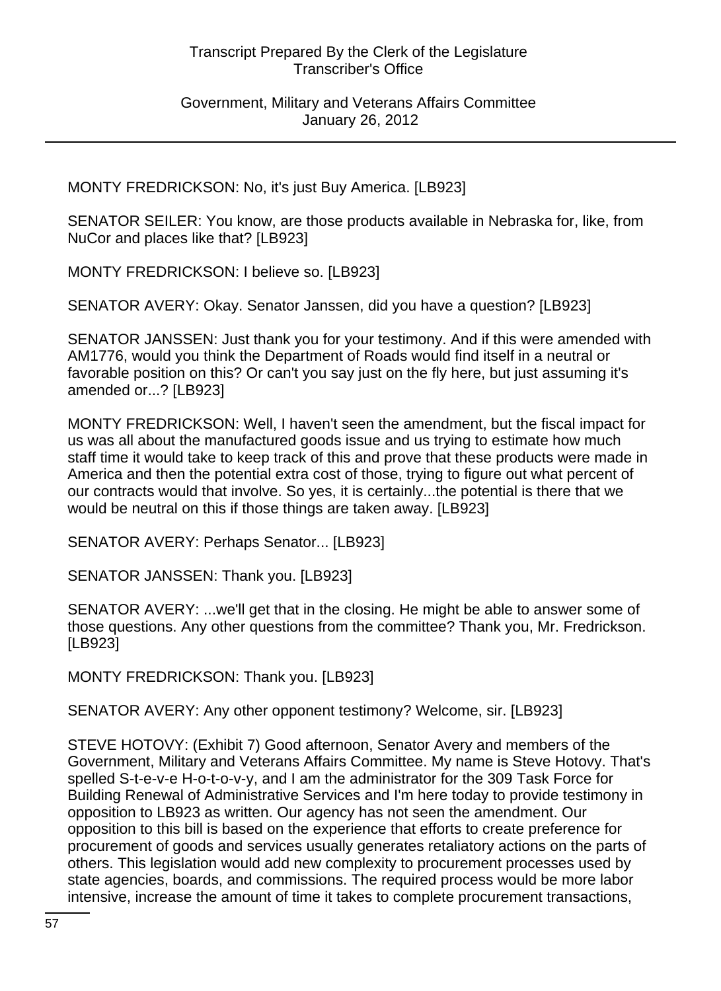MONTY FREDRICKSON: No, it's just Buy America. [LB923]

SENATOR SEILER: You know, are those products available in Nebraska for, like, from NuCor and places like that? [LB923]

MONTY FREDRICKSON: I believe so. [LB923]

SENATOR AVERY: Okay. Senator Janssen, did you have a question? [LB923]

SENATOR JANSSEN: Just thank you for your testimony. And if this were amended with AM1776, would you think the Department of Roads would find itself in a neutral or favorable position on this? Or can't you say just on the fly here, but just assuming it's amended or...? [LB923]

MONTY FREDRICKSON: Well, I haven't seen the amendment, but the fiscal impact for us was all about the manufactured goods issue and us trying to estimate how much staff time it would take to keep track of this and prove that these products were made in America and then the potential extra cost of those, trying to figure out what percent of our contracts would that involve. So yes, it is certainly...the potential is there that we would be neutral on this if those things are taken away. [LB923]

SENATOR AVERY: Perhaps Senator... [LB923]

SENATOR JANSSEN: Thank you. [LB923]

SENATOR AVERY: ...we'll get that in the closing. He might be able to answer some of those questions. Any other questions from the committee? Thank you, Mr. Fredrickson. [LB923]

MONTY FREDRICKSON: Thank you. [LB923]

SENATOR AVERY: Any other opponent testimony? Welcome, sir. [LB923]

STEVE HOTOVY: (Exhibit 7) Good afternoon, Senator Avery and members of the Government, Military and Veterans Affairs Committee. My name is Steve Hotovy. That's spelled S-t-e-v-e H-o-t-o-v-y, and I am the administrator for the 309 Task Force for Building Renewal of Administrative Services and I'm here today to provide testimony in opposition to LB923 as written. Our agency has not seen the amendment. Our opposition to this bill is based on the experience that efforts to create preference for procurement of goods and services usually generates retaliatory actions on the parts of others. This legislation would add new complexity to procurement processes used by state agencies, boards, and commissions. The required process would be more labor intensive, increase the amount of time it takes to complete procurement transactions,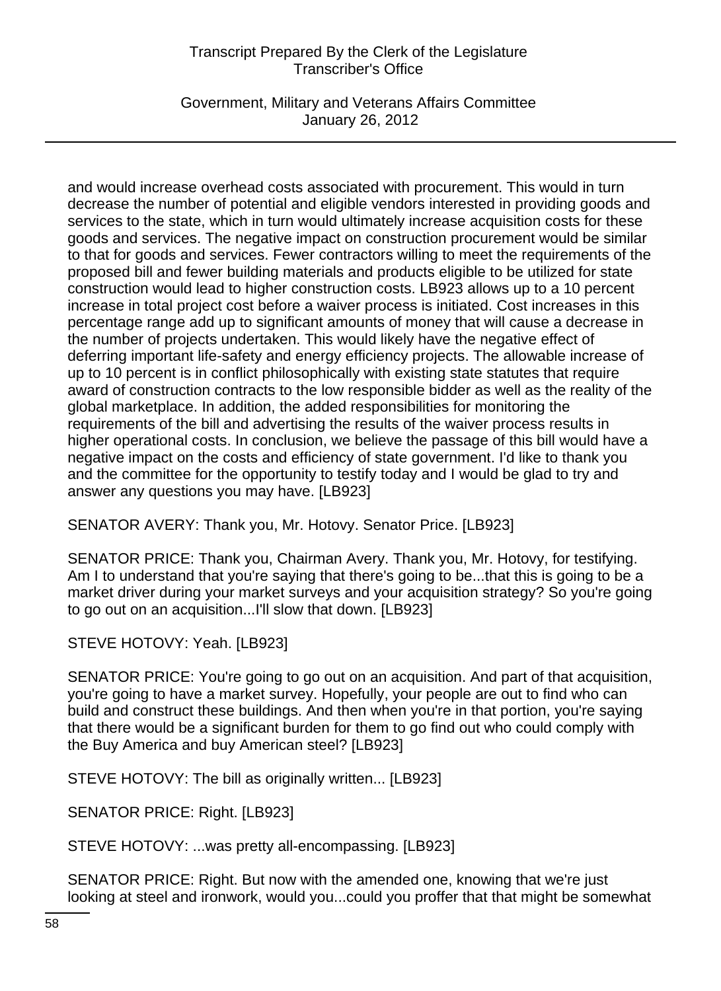Government, Military and Veterans Affairs Committee January 26, 2012

and would increase overhead costs associated with procurement. This would in turn decrease the number of potential and eligible vendors interested in providing goods and services to the state, which in turn would ultimately increase acquisition costs for these goods and services. The negative impact on construction procurement would be similar to that for goods and services. Fewer contractors willing to meet the requirements of the proposed bill and fewer building materials and products eligible to be utilized for state construction would lead to higher construction costs. LB923 allows up to a 10 percent increase in total project cost before a waiver process is initiated. Cost increases in this percentage range add up to significant amounts of money that will cause a decrease in the number of projects undertaken. This would likely have the negative effect of deferring important life-safety and energy efficiency projects. The allowable increase of up to 10 percent is in conflict philosophically with existing state statutes that require award of construction contracts to the low responsible bidder as well as the reality of the global marketplace. In addition, the added responsibilities for monitoring the requirements of the bill and advertising the results of the waiver process results in higher operational costs. In conclusion, we believe the passage of this bill would have a negative impact on the costs and efficiency of state government. I'd like to thank you and the committee for the opportunity to testify today and I would be glad to try and answer any questions you may have. [LB923]

SENATOR AVERY: Thank you, Mr. Hotovy. Senator Price. [LB923]

SENATOR PRICE: Thank you, Chairman Avery. Thank you, Mr. Hotovy, for testifying. Am I to understand that you're saying that there's going to be...that this is going to be a market driver during your market surveys and your acquisition strategy? So you're going to go out on an acquisition...I'll slow that down. [LB923]

STEVE HOTOVY: Yeah. [LB923]

SENATOR PRICE: You're going to go out on an acquisition. And part of that acquisition, you're going to have a market survey. Hopefully, your people are out to find who can build and construct these buildings. And then when you're in that portion, you're saying that there would be a significant burden for them to go find out who could comply with the Buy America and buy American steel? [LB923]

STEVE HOTOVY: The bill as originally written... [LB923]

SENATOR PRICE: Right. [LB923]

STEVE HOTOVY: ...was pretty all-encompassing. [LB923]

SENATOR PRICE: Right. But now with the amended one, knowing that we're just looking at steel and ironwork, would you...could you proffer that that might be somewhat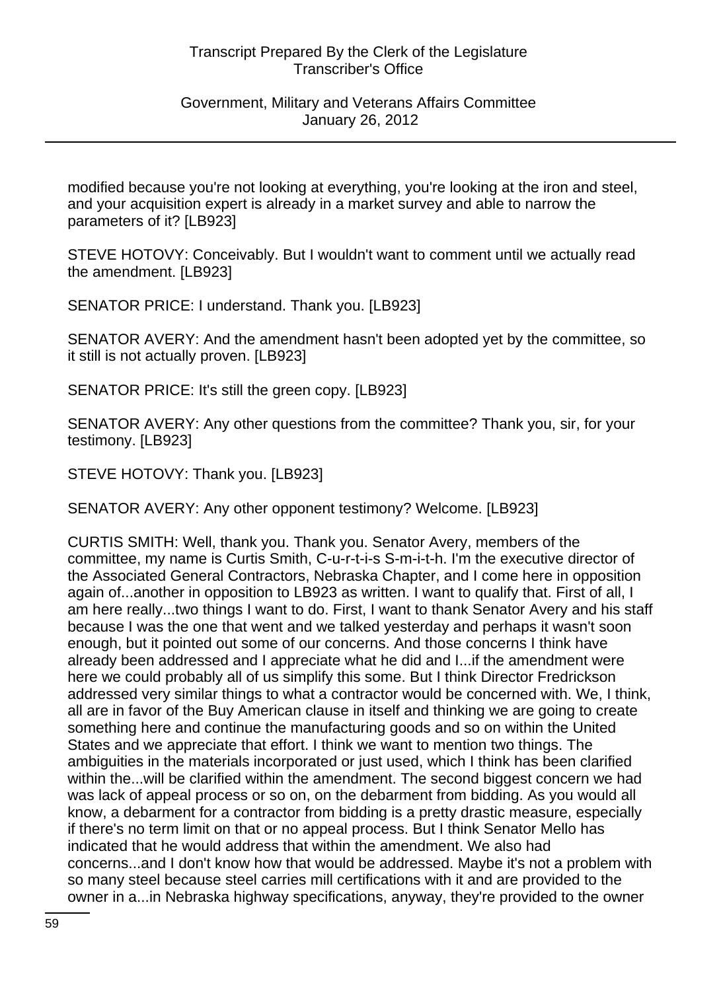#### Government, Military and Veterans Affairs Committee January 26, 2012

modified because you're not looking at everything, you're looking at the iron and steel, and your acquisition expert is already in a market survey and able to narrow the parameters of it? [LB923]

STEVE HOTOVY: Conceivably. But I wouldn't want to comment until we actually read the amendment. [LB923]

SENATOR PRICE: I understand. Thank you. [LB923]

SENATOR AVERY: And the amendment hasn't been adopted yet by the committee, so it still is not actually proven. [LB923]

SENATOR PRICE: It's still the green copy. [LB923]

SENATOR AVERY: Any other questions from the committee? Thank you, sir, for your testimony. [LB923]

STEVE HOTOVY: Thank you. [LB923]

SENATOR AVERY: Any other opponent testimony? Welcome. [LB923]

CURTIS SMITH: Well, thank you. Thank you. Senator Avery, members of the committee, my name is Curtis Smith, C-u-r-t-i-s S-m-i-t-h. I'm the executive director of the Associated General Contractors, Nebraska Chapter, and I come here in opposition again of...another in opposition to LB923 as written. I want to qualify that. First of all, I am here really...two things I want to do. First, I want to thank Senator Avery and his staff because I was the one that went and we talked yesterday and perhaps it wasn't soon enough, but it pointed out some of our concerns. And those concerns I think have already been addressed and I appreciate what he did and I...if the amendment were here we could probably all of us simplify this some. But I think Director Fredrickson addressed very similar things to what a contractor would be concerned with. We, I think, all are in favor of the Buy American clause in itself and thinking we are going to create something here and continue the manufacturing goods and so on within the United States and we appreciate that effort. I think we want to mention two things. The ambiguities in the materials incorporated or just used, which I think has been clarified within the...will be clarified within the amendment. The second biggest concern we had was lack of appeal process or so on, on the debarment from bidding. As you would all know, a debarment for a contractor from bidding is a pretty drastic measure, especially if there's no term limit on that or no appeal process. But I think Senator Mello has indicated that he would address that within the amendment. We also had concerns...and I don't know how that would be addressed. Maybe it's not a problem with so many steel because steel carries mill certifications with it and are provided to the owner in a...in Nebraska highway specifications, anyway, they're provided to the owner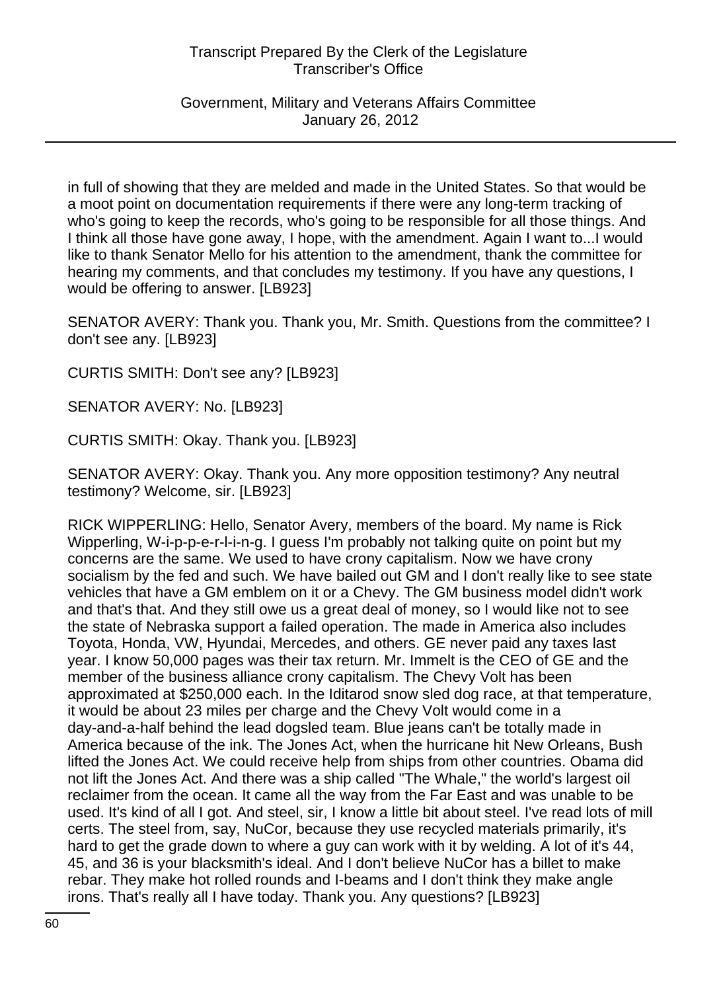Government, Military and Veterans Affairs Committee January 26, 2012

in full of showing that they are melded and made in the United States. So that would be a moot point on documentation requirements if there were any long-term tracking of who's going to keep the records, who's going to be responsible for all those things. And I think all those have gone away, I hope, with the amendment. Again I want to...I would like to thank Senator Mello for his attention to the amendment, thank the committee for hearing my comments, and that concludes my testimony. If you have any questions, I would be offering to answer. [LB923]

SENATOR AVERY: Thank you. Thank you, Mr. Smith. Questions from the committee? I don't see any. [LB923]

CURTIS SMITH: Don't see any? [LB923]

SENATOR AVERY: No. [LB923]

CURTIS SMITH: Okay. Thank you. [LB923]

SENATOR AVERY: Okay. Thank you. Any more opposition testimony? Any neutral testimony? Welcome, sir. [LB923]

RICK WIPPERLING: Hello, Senator Avery, members of the board. My name is Rick Wipperling, W-i-p-p-e-r-l-i-n-g. I guess I'm probably not talking quite on point but my concerns are the same. We used to have crony capitalism. Now we have crony socialism by the fed and such. We have bailed out GM and I don't really like to see state vehicles that have a GM emblem on it or a Chevy. The GM business model didn't work and that's that. And they still owe us a great deal of money, so I would like not to see the state of Nebraska support a failed operation. The made in America also includes Toyota, Honda, VW, Hyundai, Mercedes, and others. GE never paid any taxes last year. I know 50,000 pages was their tax return. Mr. Immelt is the CEO of GE and the member of the business alliance crony capitalism. The Chevy Volt has been approximated at \$250,000 each. In the Iditarod snow sled dog race, at that temperature, it would be about 23 miles per charge and the Chevy Volt would come in a day-and-a-half behind the lead dogsled team. Blue jeans can't be totally made in America because of the ink. The Jones Act, when the hurricane hit New Orleans, Bush lifted the Jones Act. We could receive help from ships from other countries. Obama did not lift the Jones Act. And there was a ship called "The Whale," the world's largest oil reclaimer from the ocean. It came all the way from the Far East and was unable to be used. It's kind of all I got. And steel, sir, I know a little bit about steel. I've read lots of mill certs. The steel from, say, NuCor, because they use recycled materials primarily, it's hard to get the grade down to where a guy can work with it by welding. A lot of it's 44, 45, and 36 is your blacksmith's ideal. And I don't believe NuCor has a billet to make rebar. They make hot rolled rounds and I-beams and I don't think they make angle irons. That's really all I have today. Thank you. Any questions? [LB923]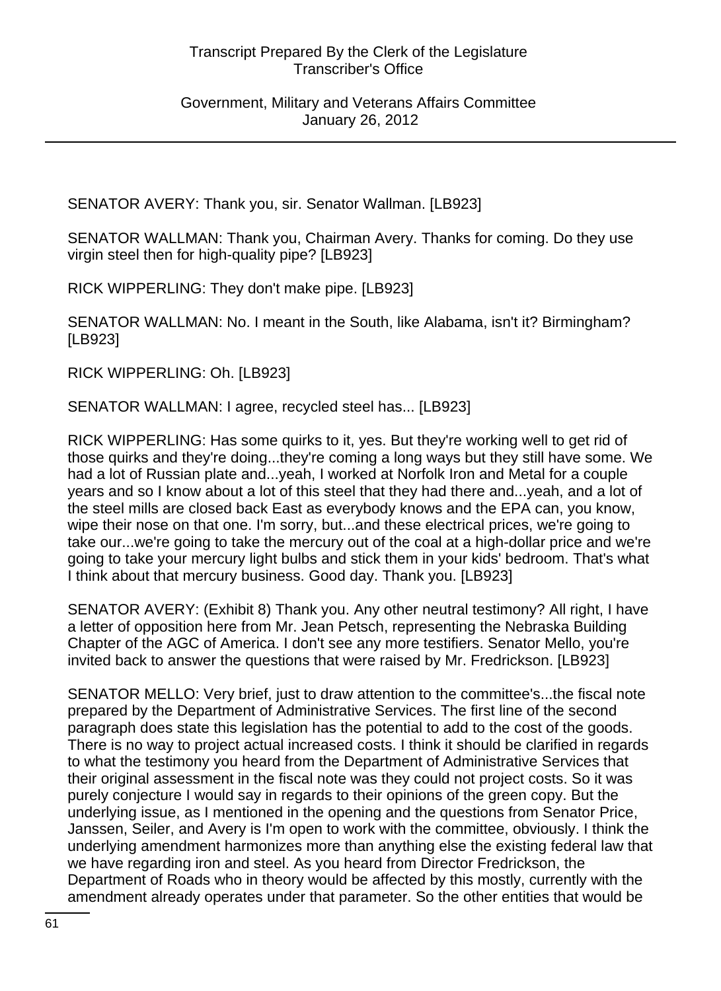SENATOR AVERY: Thank you, sir. Senator Wallman. [LB923]

SENATOR WALLMAN: Thank you, Chairman Avery. Thanks for coming. Do they use virgin steel then for high-quality pipe? [LB923]

RICK WIPPERLING: They don't make pipe. [LB923]

SENATOR WALLMAN: No. I meant in the South, like Alabama, isn't it? Birmingham? [LB923]

RICK WIPPERLING: Oh. [LB923]

SENATOR WALLMAN: I agree, recycled steel has... [LB923]

RICK WIPPERLING: Has some quirks to it, yes. But they're working well to get rid of those quirks and they're doing...they're coming a long ways but they still have some. We had a lot of Russian plate and...yeah, I worked at Norfolk Iron and Metal for a couple years and so I know about a lot of this steel that they had there and...yeah, and a lot of the steel mills are closed back East as everybody knows and the EPA can, you know, wipe their nose on that one. I'm sorry, but...and these electrical prices, we're going to take our...we're going to take the mercury out of the coal at a high-dollar price and we're going to take your mercury light bulbs and stick them in your kids' bedroom. That's what I think about that mercury business. Good day. Thank you. [LB923]

SENATOR AVERY: (Exhibit 8) Thank you. Any other neutral testimony? All right, I have a letter of opposition here from Mr. Jean Petsch, representing the Nebraska Building Chapter of the AGC of America. I don't see any more testifiers. Senator Mello, you're invited back to answer the questions that were raised by Mr. Fredrickson. [LB923]

SENATOR MELLO: Very brief, just to draw attention to the committee's...the fiscal note prepared by the Department of Administrative Services. The first line of the second paragraph does state this legislation has the potential to add to the cost of the goods. There is no way to project actual increased costs. I think it should be clarified in regards to what the testimony you heard from the Department of Administrative Services that their original assessment in the fiscal note was they could not project costs. So it was purely conjecture I would say in regards to their opinions of the green copy. But the underlying issue, as I mentioned in the opening and the questions from Senator Price, Janssen, Seiler, and Avery is I'm open to work with the committee, obviously. I think the underlying amendment harmonizes more than anything else the existing federal law that we have regarding iron and steel. As you heard from Director Fredrickson, the Department of Roads who in theory would be affected by this mostly, currently with the amendment already operates under that parameter. So the other entities that would be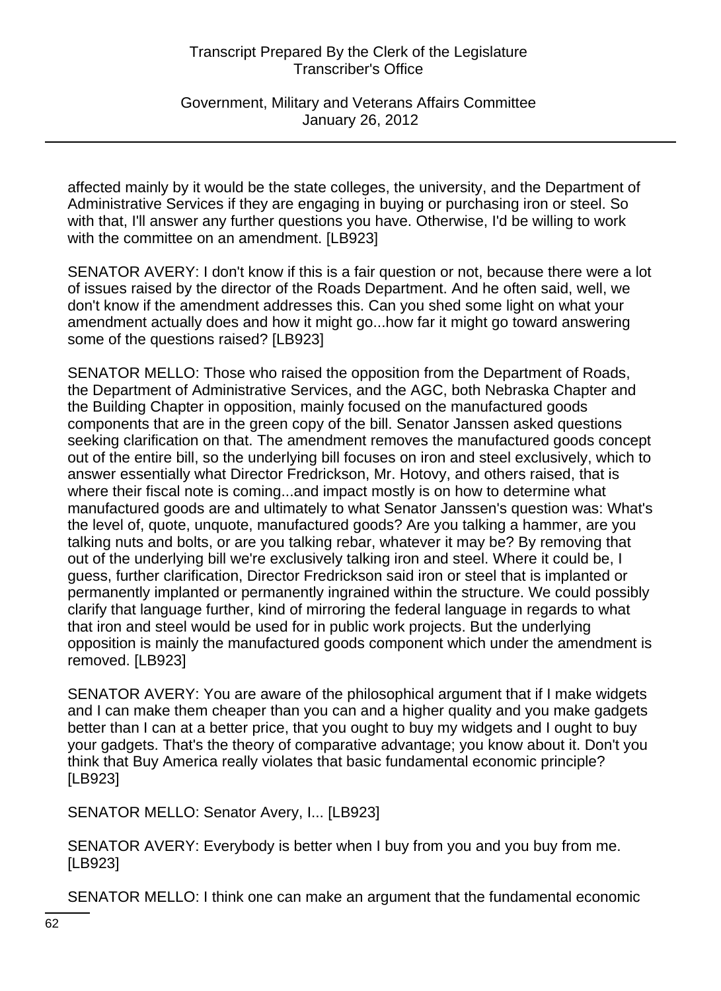Government, Military and Veterans Affairs Committee January 26, 2012

affected mainly by it would be the state colleges, the university, and the Department of Administrative Services if they are engaging in buying or purchasing iron or steel. So with that, I'll answer any further questions you have. Otherwise, I'd be willing to work with the committee on an amendment. [LB923]

SENATOR AVERY: I don't know if this is a fair question or not, because there were a lot of issues raised by the director of the Roads Department. And he often said, well, we don't know if the amendment addresses this. Can you shed some light on what your amendment actually does and how it might go...how far it might go toward answering some of the questions raised? [LB923]

SENATOR MELLO: Those who raised the opposition from the Department of Roads, the Department of Administrative Services, and the AGC, both Nebraska Chapter and the Building Chapter in opposition, mainly focused on the manufactured goods components that are in the green copy of the bill. Senator Janssen asked questions seeking clarification on that. The amendment removes the manufactured goods concept out of the entire bill, so the underlying bill focuses on iron and steel exclusively, which to answer essentially what Director Fredrickson, Mr. Hotovy, and others raised, that is where their fiscal note is coming...and impact mostly is on how to determine what manufactured goods are and ultimately to what Senator Janssen's question was: What's the level of, quote, unquote, manufactured goods? Are you talking a hammer, are you talking nuts and bolts, or are you talking rebar, whatever it may be? By removing that out of the underlying bill we're exclusively talking iron and steel. Where it could be, I guess, further clarification, Director Fredrickson said iron or steel that is implanted or permanently implanted or permanently ingrained within the structure. We could possibly clarify that language further, kind of mirroring the federal language in regards to what that iron and steel would be used for in public work projects. But the underlying opposition is mainly the manufactured goods component which under the amendment is removed. [LB923]

SENATOR AVERY: You are aware of the philosophical argument that if I make widgets and I can make them cheaper than you can and a higher quality and you make gadgets better than I can at a better price, that you ought to buy my widgets and I ought to buy your gadgets. That's the theory of comparative advantage; you know about it. Don't you think that Buy America really violates that basic fundamental economic principle? [LB923]

SENATOR MELLO: Senator Avery, I... [LB923]

SENATOR AVERY: Everybody is better when I buy from you and you buy from me. [LB923]

SENATOR MELLO: I think one can make an argument that the fundamental economic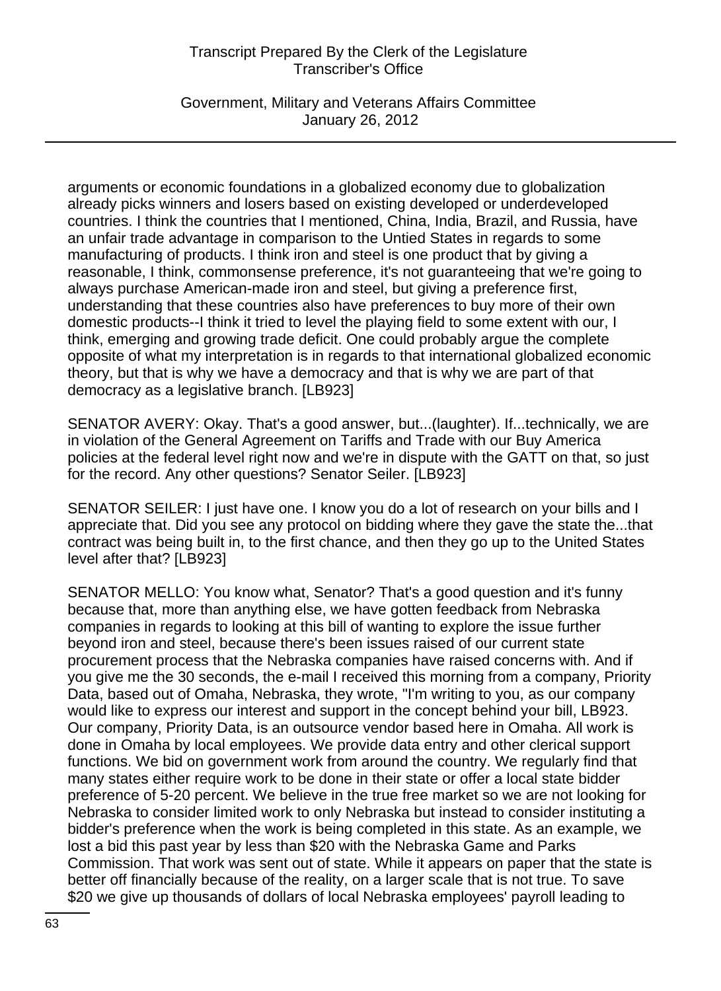Government, Military and Veterans Affairs Committee January 26, 2012

arguments or economic foundations in a globalized economy due to globalization already picks winners and losers based on existing developed or underdeveloped countries. I think the countries that I mentioned, China, India, Brazil, and Russia, have an unfair trade advantage in comparison to the Untied States in regards to some manufacturing of products. I think iron and steel is one product that by giving a reasonable, I think, commonsense preference, it's not guaranteeing that we're going to always purchase American-made iron and steel, but giving a preference first, understanding that these countries also have preferences to buy more of their own domestic products--I think it tried to level the playing field to some extent with our, I think, emerging and growing trade deficit. One could probably argue the complete opposite of what my interpretation is in regards to that international globalized economic theory, but that is why we have a democracy and that is why we are part of that democracy as a legislative branch. [LB923]

SENATOR AVERY: Okay. That's a good answer, but...(laughter). If...technically, we are in violation of the General Agreement on Tariffs and Trade with our Buy America policies at the federal level right now and we're in dispute with the GATT on that, so just for the record. Any other questions? Senator Seiler. [LB923]

SENATOR SEILER: I just have one. I know you do a lot of research on your bills and I appreciate that. Did you see any protocol on bidding where they gave the state the...that contract was being built in, to the first chance, and then they go up to the United States level after that? [LB923]

SENATOR MELLO: You know what, Senator? That's a good question and it's funny because that, more than anything else, we have gotten feedback from Nebraska companies in regards to looking at this bill of wanting to explore the issue further beyond iron and steel, because there's been issues raised of our current state procurement process that the Nebraska companies have raised concerns with. And if you give me the 30 seconds, the e-mail I received this morning from a company, Priority Data, based out of Omaha, Nebraska, they wrote, "I'm writing to you, as our company would like to express our interest and support in the concept behind your bill, LB923. Our company, Priority Data, is an outsource vendor based here in Omaha. All work is done in Omaha by local employees. We provide data entry and other clerical support functions. We bid on government work from around the country. We regularly find that many states either require work to be done in their state or offer a local state bidder preference of 5-20 percent. We believe in the true free market so we are not looking for Nebraska to consider limited work to only Nebraska but instead to consider instituting a bidder's preference when the work is being completed in this state. As an example, we lost a bid this past year by less than \$20 with the Nebraska Game and Parks Commission. That work was sent out of state. While it appears on paper that the state is better off financially because of the reality, on a larger scale that is not true. To save \$20 we give up thousands of dollars of local Nebraska employees' payroll leading to